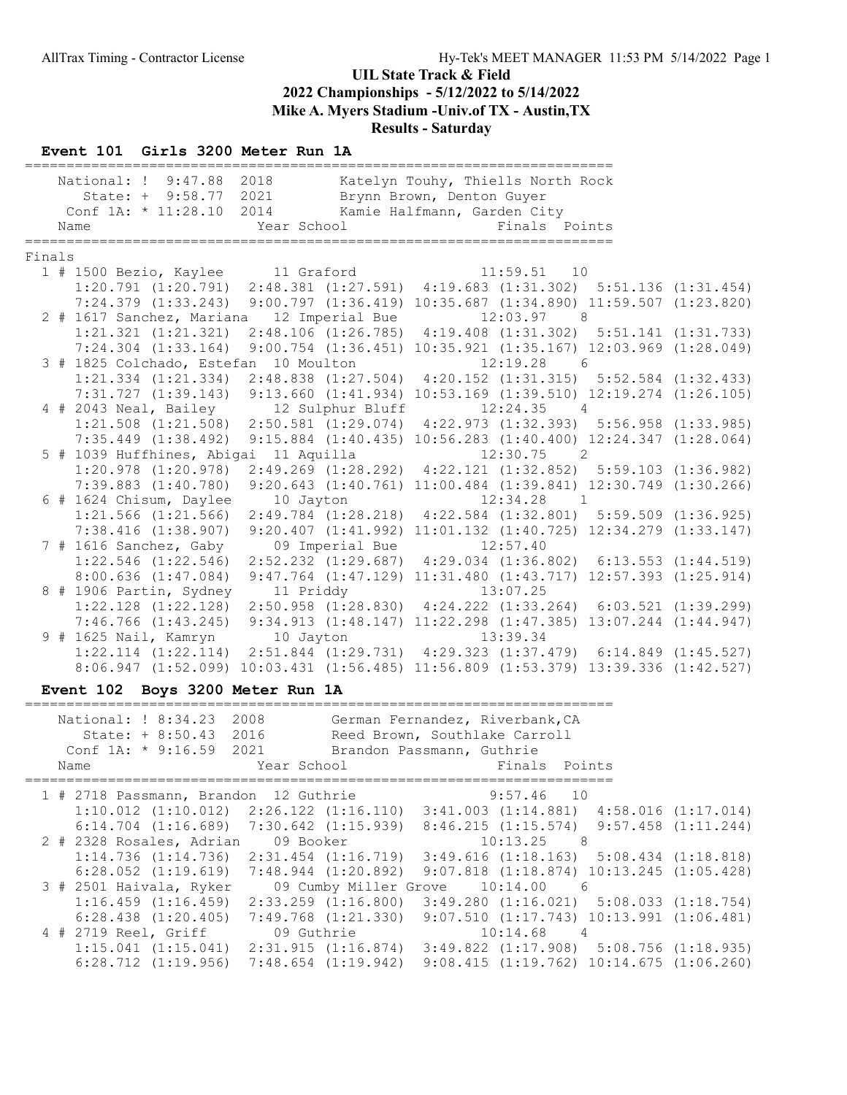#### Event 101 Girls 3200 Meter Run 1A

|        | National: ! 9:47.88                                                | 2018                                                                                                                                                                                 | Katelyn Touhy, Thiells North Rock                                           |   |                         |
|--------|--------------------------------------------------------------------|--------------------------------------------------------------------------------------------------------------------------------------------------------------------------------------|-----------------------------------------------------------------------------|---|-------------------------|
|        | State: + 9:58.77 2021<br>Conf $1A: * 11:28.10$                     | 2014                                                                                                                                                                                 | Brynn Brown, Denton Guyer<br>Kamie Halfmann, Garden City                    |   |                         |
|        | Name                                                               | Year School                                                                                                                                                                          | Finals Points                                                               |   |                         |
|        |                                                                    |                                                                                                                                                                                      |                                                                             |   |                         |
| Finals |                                                                    |                                                                                                                                                                                      |                                                                             |   |                         |
|        | 1 # 1500 Bezio, Kaylee 11 Graford                                  |                                                                                                                                                                                      | $11:59.51$ 10                                                               |   |                         |
|        |                                                                    | $1:20.791$ $(1:20.791)$ $2:48.381$ $(1:27.591)$ $4:19.683$ $(1:31.302)$ $5:51.136$ $(1:31.454)$<br>7:24.379 (1:33.243) 9:00.797 (1:36.419) 10:35.687 (1:34.890) 11:59.507 (1:23.820) |                                                                             |   |                         |
|        | 2 # 1617 Sanchez, Mariana                                          | 12 Imperial Bue                                                                                                                                                                      | $12:03.97$ 8                                                                |   |                         |
|        | 1:21.321 (1:21.321)                                                |                                                                                                                                                                                      | 2:48.106 (1:26.785) 4:19.408 (1:31.302) 5:51.141 (1:31.733)                 |   |                         |
|        | $7:24.304$ $(1:33.164)$                                            |                                                                                                                                                                                      | 9:00.754 (1:36.451) 10:35.921 (1:35.167) 12:03.969 (1:28.049)               |   |                         |
|        | 3 # 1825 Colchado, Estefan 10 Moulton                              |                                                                                                                                                                                      | 12:19.28<br>$6\overline{6}$                                                 |   |                         |
|        | $1:21.334$ $(1:21.334)$                                            |                                                                                                                                                                                      | 2:48.838 (1:27.504) 4:20.152 (1:31.315) 5:52.584 (1:32.433)                 |   |                         |
|        | 7:31.727(1:39.143)                                                 |                                                                                                                                                                                      | 9:13.660 (1:41.934) 10:53.169 (1:39.510) 12:19.274 (1:26.105)               |   |                         |
|        | 4 # 2043 Neal, Bailey                                              | 12 Sulphur Bluff                                                                                                                                                                     | $12:24.35$ 4                                                                |   |                         |
|        |                                                                    | 1:21.508 (1:21.508) 2:50.581 (1:29.074) 4:22.973 (1:32.393) 5:56.958 (1:33.985)                                                                                                      |                                                                             |   |                         |
|        | $7:35.449$ $(1:38.492)$                                            |                                                                                                                                                                                      | 9:15.884 (1:40.435) 10:56.283 (1:40.400) 12:24.347 (1:28.064)               |   |                         |
|        | 5 # 1039 Huffhines, Abigai 11 Aquilla<br>$1:20.978$ $(1:20.978)$   |                                                                                                                                                                                      | $12:30.75$ 2<br>2:49.269 (1:28.292) 4:22.121 (1:32.852) 5:59.103 (1:36.982) |   |                         |
|        | $7:39.883$ $(1:40.780)$                                            |                                                                                                                                                                                      | 9:20.643 (1:40.761) 11:00.484 (1:39.841) 12:30.749 (1:30.266)               |   |                         |
|        | 6 # 1624 Chisum, Daylee                                            | 10 Jayton                                                                                                                                                                            | $12:34.28$ 1                                                                |   |                         |
|        | $1:21.566$ $(1:21.566)$                                            | $2:49.784$ $(1:28.218)$                                                                                                                                                              | $4:22.584$ $(1:32.801)$ $5:59.509$ $(1:36.925)$                             |   |                         |
|        | $7:38.416$ $(1:38.907)$                                            |                                                                                                                                                                                      | 9:20.407 (1:41.992) 11:01.132 (1:40.725) 12:34.279 (1:33.147)               |   |                         |
|        | 7 # 1616 Sanchez, Gaby                                             | 09 Imperial Bue                                                                                                                                                                      | 12:57.40                                                                    |   |                         |
|        | $1:22.546$ $(1:22.546)$                                            | $2:52.232$ $(1:29.687)$                                                                                                                                                              | $4:29.034$ $(1:36.802)$ $6:13.553$ $(1:44.519)$                             |   |                         |
|        | 8:00.636(1:47.084)                                                 |                                                                                                                                                                                      | 9:47.764 (1:47.129) 11:31.480 (1:43.717) 12:57.393 (1:25.914)               |   |                         |
|        | 8 # 1906 Partin, Sydney                                            | 11 Priddy                                                                                                                                                                            | 13:07.25                                                                    |   |                         |
|        |                                                                    | 1:22.128 (1:22.128) 2:50.958 (1:28.830) 4:24.222 (1:33.264) 6:03.521 (1:39.299)                                                                                                      |                                                                             |   |                         |
|        |                                                                    | 7:46.766 (1:43.245) 9:34.913 (1:48.147) 11:22.298 (1:47.385) 13:07.244 (1:44.947)                                                                                                    |                                                                             |   |                         |
|        | 9 # 1625 Nail, Kamryn 10 Jayton                                    | 1:22.114 (1:22.114) 2:51.844 (1:29.731) 4:29.323 (1:37.479) 6:14.849 (1:45.527)                                                                                                      | 13:39.34                                                                    |   |                         |
|        |                                                                    | 8:06.947 (1:52.099) 10:03.431 (1:56.485) 11:56.809 (1:53.379) 13:39.336 (1:42.527)                                                                                                   |                                                                             |   |                         |
|        |                                                                    |                                                                                                                                                                                      |                                                                             |   |                         |
|        | Event 102 Boys 3200 Meter Run 1A<br>============================== |                                                                                                                                                                                      | =================                                                           |   |                         |
|        | National: ! 8:34.23 2008                                           |                                                                                                                                                                                      | German Fernandez, Riverbank, CA                                             |   |                         |
|        | State: + 8:50.43 2016                                              |                                                                                                                                                                                      | Reed Brown, Southlake Carroll                                               |   |                         |
|        | Conf 1A: * 9:16.59 2021                                            |                                                                                                                                                                                      | Brandon Passmann, Guthrie                                                   |   |                         |
|        | Name                                                               | Year School                                                                                                                                                                          | Finals Points                                                               |   |                         |
|        | 1 # 2718 Passmann, Brandon 12 Guthrie                              |                                                                                                                                                                                      | 9:57.46<br>10                                                               |   |                         |
|        | $1:10.012$ $(1:10.012)$                                            | $2:26.122$ $(1:16.110)$                                                                                                                                                              | $3:41.003$ $(1:14.881)$ $4:58.016$ $(1:17.014)$                             |   |                         |
|        | $6:14.704$ $(1:16.689)$                                            | $7:30.642$ $(1:15.939)$                                                                                                                                                              | 8:46.215(1:15.574)                                                          |   | $9:57.458$ $(1:11.244)$ |
|        | 2 # 2328 Rosales, Adrian                                           | 09 Booker                                                                                                                                                                            | 10:13.25<br>8                                                               |   |                         |
|        | 1:14.736(1:14.736)                                                 | $2:31.454$ $(1:16.719)$                                                                                                                                                              | 3:49.616(1:18.163)                                                          |   | $5:08.434$ $(1:18.818)$ |
|        | $6:28.052$ $(1:19.619)$                                            | $7:48.944$ $(1:20.892)$                                                                                                                                                              | $9:07.818$ $(1:18.874)$ $10:13.245$ $(1:05.428)$                            |   |                         |
|        | 3 # 2501 Haivala, Ryker                                            |                                                                                                                                                                                      | 09 Cumby Miller Grove 10:14.00                                              | 6 |                         |

 1:16.459 (1:16.459) 2:33.259 (1:16.800) 3:49.280 (1:16.021) 5:08.033 (1:18.754) 6:28.438 (1:20.405) 7:49.768 (1:21.330) 9:07.510 (1:17.743) 10:13.991 (1:06.481)

 1:15.041 (1:15.041) 2:31.915 (1:16.874) 3:49.822 (1:17.908) 5:08.756 (1:18.935) 6:28.712 (1:19.956) 7:48.654 (1:19.942) 9:08.415 (1:19.762) 10:14.675 (1:06.260)

4 # 2719 Reel, Griff 09 Guthrie 10:14.68 4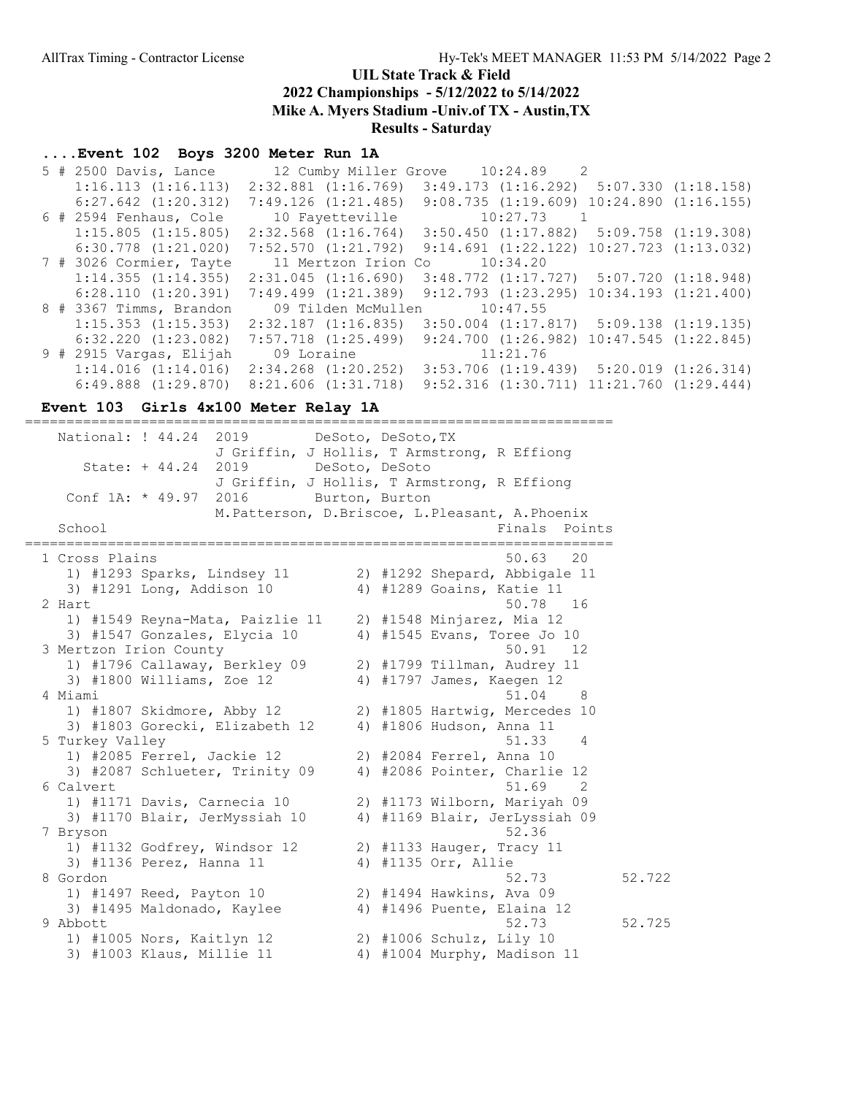## UIL State Track & Field

2022 Championships - 5/12/2022 to 5/14/2022

Mike A. Myers Stadium -Univ.of TX - Austin,TX

Results - Saturday

#### ....Event 102 Boys 3200 Meter Run 1A

|  | $5$ # 2500 Davis, Lance  |                         | 12 Cumby Miller Grove 10:24.89 2                 |                          |
|--|--------------------------|-------------------------|--------------------------------------------------|--------------------------|
|  | 1:16.113(1:16.113)       | $2:32.881$ $(1:16.769)$ | $3:49.173$ $(1:16.292)$ $5:07.330$ $(1:18.158)$  |                          |
|  | $6:27.642$ $(1:20.312)$  | 7:49.126(1:21.485)      | $9:08.735$ $(1:19.609)$ $10:24.890$ $(1:16.155)$ |                          |
|  | $6$ # 2594 Fenhaus, Cole | 10 Fayetteville         | $10:27.73$ 1                                     |                          |
|  | $1:15.805$ $(1:15.805)$  | $2:32.568$ $(1:16.764)$ | $3:50.450$ $(1:17.882)$ $5:09.758$ $(1:19.308)$  |                          |
|  | $6:30.778$ $(1:21.020)$  | $7:52.570$ $(1:21.792)$ | $9:14.691$ $(1:22.122)$ $10:27.723$ $(1:13.032)$ |                          |
|  | 7 # 3026 Cormier, Tayte  | 11 Mertzon Irion Co     | 10:34.20                                         |                          |
|  | 1:14.355(1:14.355)       | $2:31.045$ $(1:16.690)$ | $3:48.772$ $(1:17.727)$ $5:07.720$ $(1:18.948)$  |                          |
|  | 6:28.110(1:20.391)       | $7:49.499$ $(1:21.389)$ | 9:12.793(1:23.295)                               | $10:34.193$ $(1:21.400)$ |
|  | 8 # 3367 Timms, Brandon  | 09 Tilden McMullen      | 10:47.55                                         |                          |
|  | $1:15.353$ $(1:15.353)$  | $2:32.187$ $(1:16.835)$ | $3:50.004$ $(1:17.817)$ $5:09.138$ $(1:19.135)$  |                          |
|  | $6:32.220$ $(1:23.082)$  | $7:57.718$ $(1:25.499)$ | $9:24.700$ $(1:26.982)$ $10:47.545$ $(1:22.845)$ |                          |
|  | 9 # 2915 Vargas, Elijah  | 09 Loraine              | 11:21.76                                         |                          |
|  | 1:14.016(1:14.016)       | $2:34.268$ $(1:20.252)$ | $3:53.706$ $(1:19.439)$ $5:20.019$ $(1:26.314)$  |                          |
|  | $6:49.888$ $(1:29.870)$  | $8:21.606$ $(1:31.718)$ | $9:52.316$ $(1:30.711)$ $11:21.760$ $(1:29.444)$ |                          |

#### Event 103 Girls 4x100 Meter Relay 1A

======================================================================= National: ! 44.24 2019 DeSoto, DeSoto, TX J Griffin, J Hollis, T Armstrong, R Effiong State: + 44.24 2019 DeSoto, DeSoto J Griffin, J Hollis, T Armstrong, R Effiong Conf 1A: \* 49.97 2016 Burton, Burton M.Patterson, D.Briscoe, L.Pleasant, A.Phoenix School **Finals** Points ======================================================================= 1 Cross Plains 50.63 20 1) #1293 Sparks, Lindsey 11 2) #1292 Shepard, Abbigale 11 3) #1291 Long, Addison 10 4) #1289 Goains, Katie 11 2 Hart 50.78 16 1) #1549 Reyna-Mata, Paizlie 11 2) #1548 Minjarez, Mia 12 3) #1547 Gonzales, Elycia 10 4) #1545 Evans, Toree Jo 10 3 Mertzon Irion County 60.91 12 1) #1796 Callaway, Berkley 09 2) #1799 Tillman, Audrey 11 3) #1800 Williams, Zoe 12 4) #1797 James, Kaegen 12 4 Miami 51.04 8 1) #1807 Skidmore, Abby 12 2) #1805 Hartwig, Mercedes 10 3) #1803 Gorecki, Elizabeth 12 4) #1806 Hudson, Anna 11 5 Turkey Valley 61.33 and 1990 and 1991 and 1991 and 1991 and 1991 and 1991 and 1991 and 1991 and 1991 and 19 1) #2085 Ferrel, Jackie 12 2) #2084 Ferrel, Anna 10 3) #2087 Schlueter, Trinity 09 4) #2086 Pointer, Charlie 12  $6$  Calvert  $51.69$   $2$  1) #1171 Davis, Carnecia 10 2) #1173 Wilborn, Mariyah 09 3) #1170 Blair, JerMyssiah 10 4) #1169 Blair, JerLyssiah 09 7 Bryson 52.36 1) #1132 Godfrey, Windsor 12 2) #1133 Hauger, Tracy 11 3) #1136 Perez, Hanna 11 4) #1135 Orr, Allie 8 Gordon 52.73 52.722 1) #1497 Reed, Payton 10 2) #1494 Hawkins, Ava 09 3) #1495 Maldonado, Kaylee 4) #1496 Puente, Elaina 12 9 Abbott 52.73 52.725 1) #1005 Nors, Kaitlyn 12 2) #1006 Schulz, Lily 10 3) #1003 Klaus, Millie 11 4) #1004 Murphy, Madison 11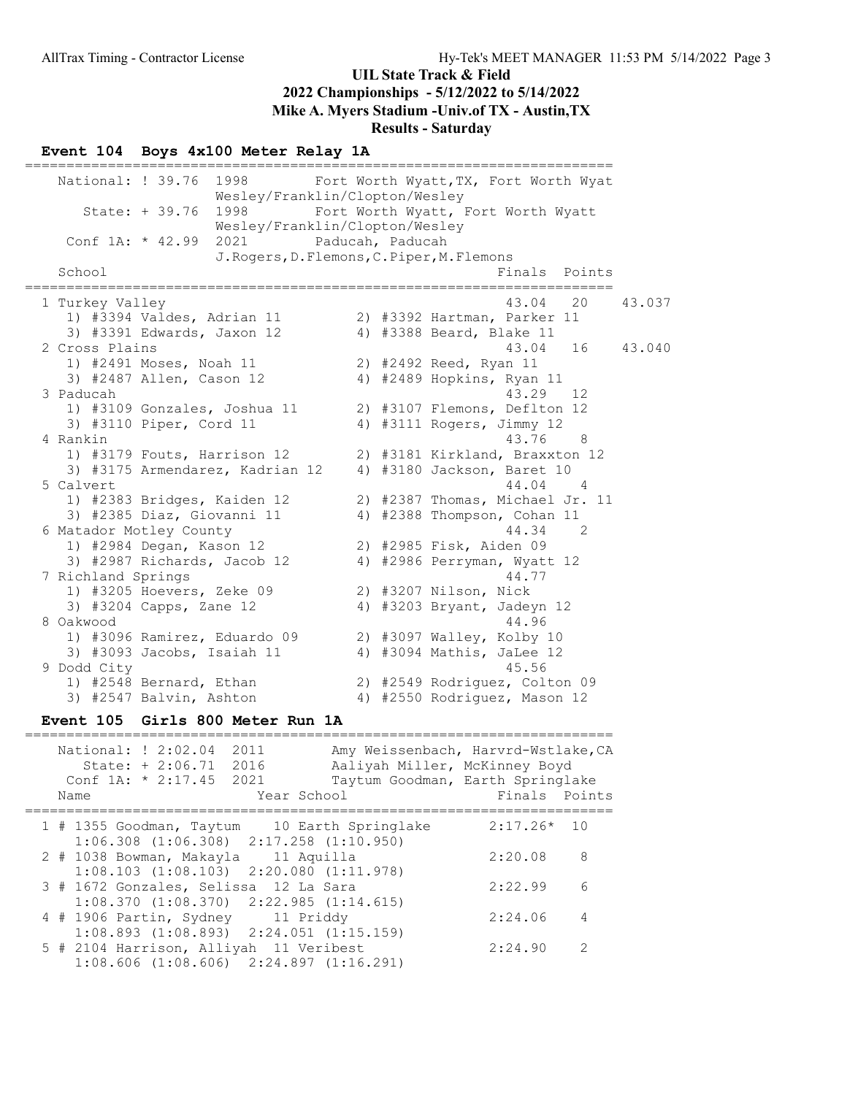#### Event 104 Boys 4x100 Meter Relay 1A

======================================================================= National: ! 39.76 1998 Fort Worth Wyatt,TX, Fort Worth Wyat Wesley/Franklin/Clopton/Wesley State: + 39.76 1998 Fort Worth Wyatt, Fort Worth Wyatt Wesley/Franklin/Clopton/Wesley Conf 1A: \* 42.99 2021 Paducah, Paducah J.Rogers,D.Flemons,C.Piper,M.Flemons<br>Fir Finals Points ======================================================================= 1 Turkey Valley 43.04 20 43.037 1) #3394 Valdes, Adrian 11 2) #3392 Hartman, Parker 11 3) #3391 Edwards, Jaxon 12 4) #3388 Beard, Blake 11 2 Cross Plains 43.04 16 43.040 1) #2491 Moses, Noah 11 2) #2492 Reed, Ryan 11 3) #2487 Allen, Cason 12 4) #2489 Hopkins, Ryan 11 3 Paducah 43.29 12 1) #3109 Gonzales, Joshua 11 2) #3107 Flemons, Deflton 12 3) #3110 Piper, Cord 11 4) #3111 Rogers, Jimmy 12 4 Rankin 43.76 8 1) #3179 Fouts, Harrison 12 2) #3181 Kirkland, Braxxton 12 3) #3175 Armendarez, Kadrian 12 4) #3180 Jackson, Baret 10 5 Calvert 44.04 4 1) #2383 Bridges, Kaiden 12 2) #2387 Thomas, Michael Jr. 11 3) #2385 Diaz, Giovanni 11 4) #2388 Thompson, Cohan 11 6 Matador Motley County 44.34 2 1) #2984 Degan, Kason 12 2) #2985 Fisk, Aiden 09 3) #2987 Richards, Jacob 12 4) #2986 Perryman, Wyatt 12 7 Richland Springs 44.77 1) #3205 Hoevers, Zeke 09 2) #3207 Nilson, Nick 3) #3204 Capps, Zane 12 4) #3203 Bryant, Jadeyn 12 8 Oakwood 44.96 1) #3096 Ramirez, Eduardo 09 2) #3097 Walley, Kolby 10 3) #3093 Jacobs, Isaiah 11 4) #3094 Mathis, JaLee 12 9 Dodd City 45.56 1) #2548 Bernard, Ethan 2) #2549 Rodriguez, Colton 09 3) #2547 Balvin, Ashton 4) #2550 Rodriguez, Mason 12 Event 105 Girls 800 Meter Run 1A

| National: ! 2:02.04<br>2011<br>State: $+ 2:06.71$ 2016<br>Conf 1A: $*$ 2:17.45 2021<br>Year School<br>Name | Amy Weissenbach, Harvrd-Wstlake, CA<br>Aaliyah Miller, McKinney Boyd<br>Taytum Goodman, Earth Springlake<br>Finals Points |
|------------------------------------------------------------------------------------------------------------|---------------------------------------------------------------------------------------------------------------------------|
| 1 # 1355 Goodman, Taytum 10 Earth Springlake<br>$1:06.308$ $(1:06.308)$ $2:17.258$ $(1:10.950)$            | $2:17.26*$ 10                                                                                                             |
| 2 # 1038 Bowman, Makayla 11 Aquilla<br>$1:08.103$ $(1:08.103)$ $2:20.080$ $(1:11.978)$                     | -8<br>2:20.08                                                                                                             |
| 3 # 1672 Gonzales, Selissa 12 La Sara<br>$1:08.370$ $(1:08.370)$ $2:22.985$ $(1:14.615)$                   | 2:22.99<br>6                                                                                                              |
| 4 # 1906 Partin, Sydney 11 Priddy<br>$1:08.893$ $(1:08.893)$ $2:24.051$ $(1:15.159)$                       | 2:24.06<br>4                                                                                                              |
| 5 # 2104 Harrison, Alliyah 11 Veribest<br>$1:08.606$ $(1:08.606)$ $2:24.897$ $(1:16.291)$                  | 2:24.90<br>2                                                                                                              |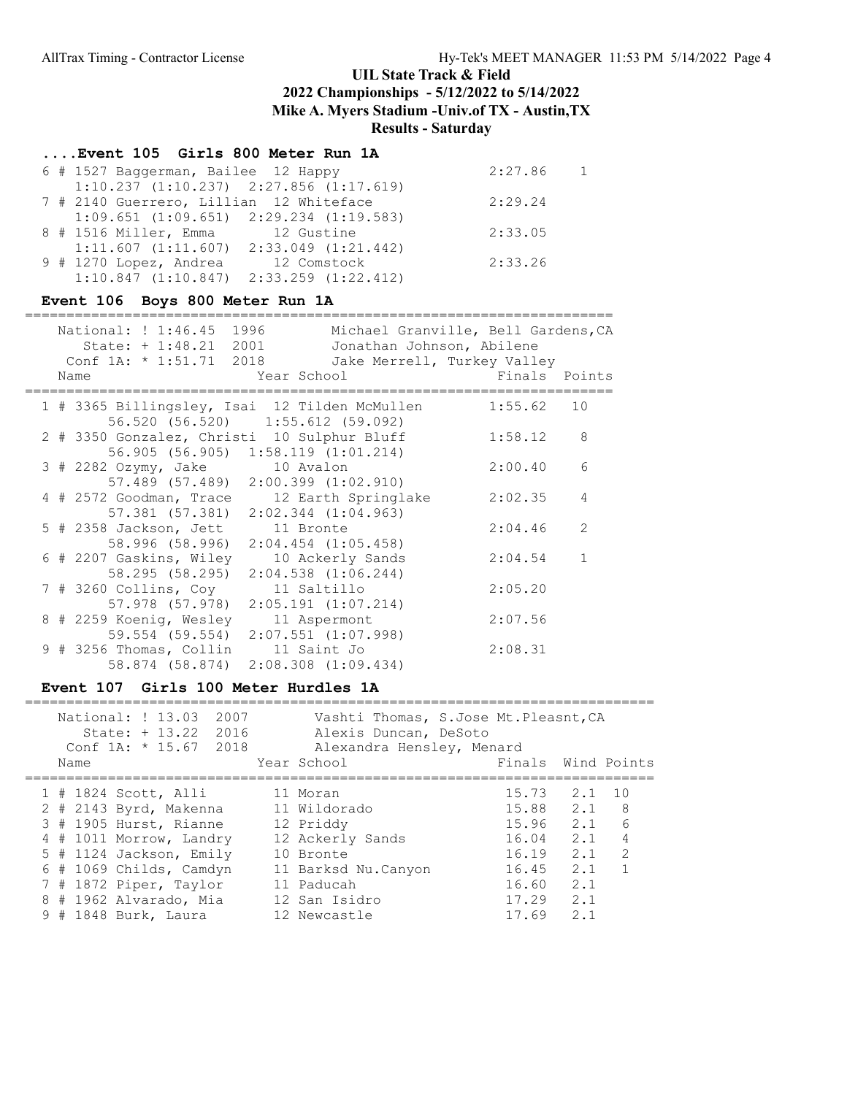## ....Event 105 Girls 800 Meter Run 1A

| 6 # 1527 Baggerman, Bailee 12 Happy             |             | 2:27.86 | $\overline{1}$ |
|-------------------------------------------------|-------------|---------|----------------|
| $1:10.237$ $(1:10.237)$ $2:27.856$ $(1:17.619)$ |             |         |                |
| 7 # 2140 Guerrero, Lillian 12 Whiteface         |             | 2:29.24 |                |
| $1:09.651$ $(1:09.651)$ $2:29.234$ $(1:19.583)$ |             |         |                |
| 8 # 1516 Miller, Emma 12 Gustine                |             | 2:33.05 |                |
| $1:11.607$ $(1:11.607)$ $2:33.049$ $(1:21.442)$ |             |         |                |
| 9 # 1270 Lopez, Andrea                          | 12 Comstock | 2:33.26 |                |
| $1:10.847$ $(1:10.847)$ $2:33.259$ $(1:22.412)$ |             |         |                |

### Event 106 Boys 800 Meter Run 1A

| National: ! 1:46.45 1996<br>State: + 1:48.21 2001<br>Conf 1A: * 1:51.71 2018 | Jonathan Johnson, Abilene<br>Jake Merrell, Turkey Valley                           | Michael Granville, Bell Gardens, CA |    |
|------------------------------------------------------------------------------|------------------------------------------------------------------------------------|-------------------------------------|----|
| Name                                                                         | Year School                                                                        | Finals Points                       |    |
|                                                                              | 1 # 3365 Billingsley, Isai 12 Tilden McMullen<br>56.520 (56.520) 1:55.612 (59.092) | 1:55.62                             | 10 |
| 2 # 3350 Gonzalez, Christi 10 Sulphur Bluff                                  | 56.905 (56.905) 1:58.119 (1:01.214)                                                | 1:58.12                             | 8  |
| 3 # 2282 Ozymy, Jake 10 Avalon                                               | 57.489 (57.489) 2:00.399 (1:02.910)                                                | 2:00.40                             | 6  |
| 4 # 2572 Goodman, Trace                                                      | 12 Earth Springlake<br>57.381 (57.381) 2:02.344 (1:04.963)                         | 2:02.35                             | 4  |
| 5 # 2358 Jackson, Jett 11 Bronte                                             | 58.996 (58.996) 2:04.454 (1:05.458)                                                | 2:04.46                             | 2  |
| 6 # 2207 Gaskins, Wiley                                                      | 10 Ackerly Sands<br>58.295 (58.295) 2:04.538 (1:06.244)                            | 2:04.54                             |    |
| 7 # 3260 Collins, Coy 11 Saltillo                                            | $57.978$ $(57.978)$ $2:05.191$ $(1:07.214)$                                        | 2:05.20                             |    |
| 8 # 2259 Koenig, Wesley                                                      | 11 Aspermont<br>59.554 (59.554) 2:07.551 (1:07.998)                                | 2:07.56                             |    |
| 9 # 3256 Thomas, Collin 11 Saint Jo<br>58.874 (58.874)                       | 2:08.308 (1:09.434)                                                                | 2:08.31                             |    |

### Event 107 Girls 100 Meter Hurdles 1A

| Name | National: ! 13.03<br>2007<br>$State: + 13.22$<br>2016<br>Conf $1A: * 15.67$<br>2018 | Vashti Thomas, S.Jose Mt.Pleasnt, CA<br>Alexis Duncan, DeSoto<br>Alexandra Hensley, Menard<br>Year School | Finals Wind Points |     |                |
|------|-------------------------------------------------------------------------------------|-----------------------------------------------------------------------------------------------------------|--------------------|-----|----------------|
|      | $1$ # 1824 Scott, Alli                                                              | 11 Moran                                                                                                  | 15.73              | 2.1 | 10             |
|      | $2$ # 2143 Byrd, Makenna                                                            | 11 Wildorado                                                                                              | 15.88 2.1          |     | - 8            |
|      | 3 # 1905 Hurst, Rianne                                                              | 12 Priddy                                                                                                 | 15.96              | 2.1 | 6              |
|      | 4 # 1011 Morrow, Landry                                                             | 12 Ackerly Sands                                                                                          | 16.04              | 2.1 | $\overline{4}$ |
|      | 5 # 1124 Jackson, Emily                                                             | 10 Bronte                                                                                                 | 16.19              | 2.1 | $\mathcal{L}$  |
|      | $6$ # 1069 Childs, Camdyn                                                           | 11 Barksd Nu.Canyon                                                                                       | 16.45              | 2.1 |                |
|      | 7 # 1872 Piper, Taylor                                                              | 11 Paducah                                                                                                | 16.60              | 2.1 |                |
|      | 8 # 1962 Alvarado, Mia                                                              | 12 San Isidro                                                                                             | 17.29              | 2.1 |                |
|      | 9 # 1848 Burk, Laura                                                                | 12 Newcastle                                                                                              | 17.69              | 2.1 |                |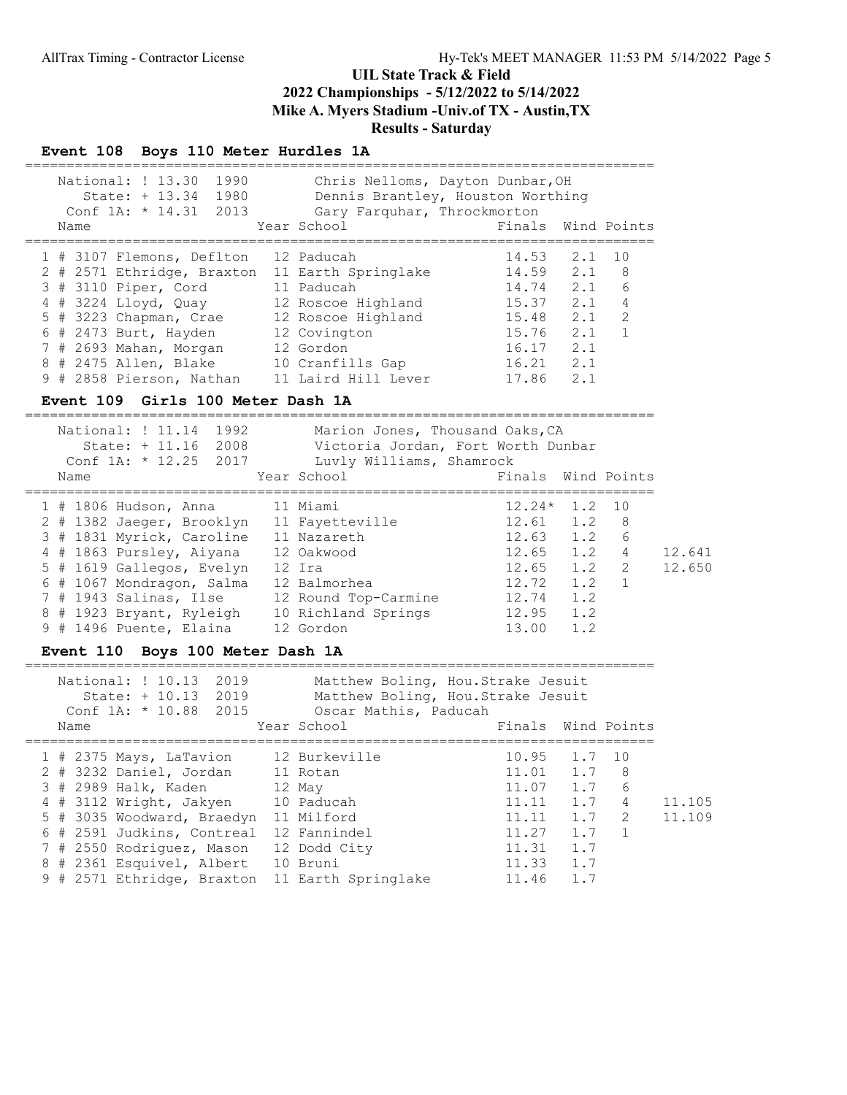### Event 108 Boys 110 Meter Hurdles 1A

| National: ! 13.30<br>1990<br>1980<br>$State: + 13.34$<br>Conf $1A: * 14.31 2013$ | Chris Nelloms, Dayton Dunbar, OH<br>Dennis Brantley, Houston Worthing |  |  |  |  |  |  |  |
|----------------------------------------------------------------------------------|-----------------------------------------------------------------------|--|--|--|--|--|--|--|
|                                                                                  | Gary Farquhar, Throckmorton                                           |  |  |  |  |  |  |  |
| Name                                                                             | Finals Wind Points<br>Year School                                     |  |  |  |  |  |  |  |
|                                                                                  |                                                                       |  |  |  |  |  |  |  |
| 1 # 3107 Flemons, Deflton                                                        | 2.1<br>10<br>12 Paducah<br>14.53                                      |  |  |  |  |  |  |  |
| 2 # 2571 Ethridge, Braxton                                                       | 2.1<br>11 Earth Springlake<br>14.59<br>- 8                            |  |  |  |  |  |  |  |
| 3 # 3110 Piper, Cord                                                             | 6<br>2.1<br>14.74<br>11 Paducah                                       |  |  |  |  |  |  |  |
| 4 # 3224 Lloyd, Quay                                                             | 2.1<br>$\overline{4}$<br>15.37<br>12 Roscoe Highland                  |  |  |  |  |  |  |  |
| 5 # 3223 Chapman, Crae                                                           | 2<br>2.1<br>15.48<br>12 Roscoe Highland                               |  |  |  |  |  |  |  |
| $6$ # 2473 Burt, Hayden                                                          | 15.76<br>2.1<br>1<br>12 Covington                                     |  |  |  |  |  |  |  |
| 7 # 2693 Mahan, Morgan                                                           | 2.1<br>16.17<br>12 Gordon                                             |  |  |  |  |  |  |  |
| 8 # 2475 Allen, Blake                                                            | 2.1<br>16.21<br>10 Cranfills Gap                                      |  |  |  |  |  |  |  |
| 9 # 2858 Pierson, Nathan                                                         | 17.86<br>2.1<br>11 Laird Hill Lever                                   |  |  |  |  |  |  |  |
| $E_{\text{model}}$ 100 $G_{\text{cell}}$ 100 Meter Beek 13                       |                                                                       |  |  |  |  |  |  |  |

#### Event 109 Girls 100 Meter Dash 1A

============================================================================ National: ! 11.14 1992 Marion Jones, Thousand Oaks, CA State: + 11.16 2008 Victoria Jordan, Fort Worth Dunbar Conf 1A: \* 12.25 2017 Luvly Williams, Shamrock Name Year School Finals Wind Points ============================================================================ 1 # 1806 Hudson, Anna 11 Miami 12.24\* 1.2 10 2 # 1382 Jaeger, Brooklyn 11 Fayetteville 12.61 1.2 8 3 # 1831 Myrick, Caroline 11 Nazareth 12.63 1.2 6 4 # 1863 Pursley, Aiyana 12 Oakwood 12.65 1.2 4 12.641 5 # 1619 Gallegos, Evelyn 12 Ira 12.65 1.2 2 12.650 6 # 1067 Mondragon, Salma 12 Balmorhea 12.72 1.2 1 7 # 1943 Salinas, Ilse 12 Round Top-Carmine 12.74 1.2 8 # 1923 Bryant, Ryleigh 10 Richland Springs 12.95 1.2 9 # 1496 Puente, Elaina 12 Gordon 13.00 1.2

#### Event 110 Boys 100 Meter Dash 1A

 National: ! 10.13 2019 Matthew Boling, Hou.Strake Jesuit State: + 10.13 2019 Matthew Boling, Hou.Strake Jesuit Conf 1A: \* 10.88 2015 Oscar Mathis, Paducah Name That School Finals Wind Points ============================================================================ 1 # 2375 Mays, LaTavion 12 Burkeville 10.95 1.7 10 2 # 3232 Daniel, Jordan 11 Rotan 11.01 1.7 8 3 # 2989 Halk, Kaden 12 May 11.07 1.7 6 4 # 3112 Wright, Jakyen 10 Paducah 11.11 1.7 4 11.105 5 # 3035 Woodward, Braedyn 11 Milford 11.11 1.11 1.7 2 11.109 6 # 2591 Judkins, Contreal 12 Fannindel 11.27 1.7 1 7 # 2550 Rodriguez, Mason 12 Dodd City 11.31 1.7 8 # 2361 Esquivel, Albert 10 Bruni 11.33 1.7 9 # 2571 Ethridge, Braxton 11 Earth Springlake 11.46 1.7

============================================================================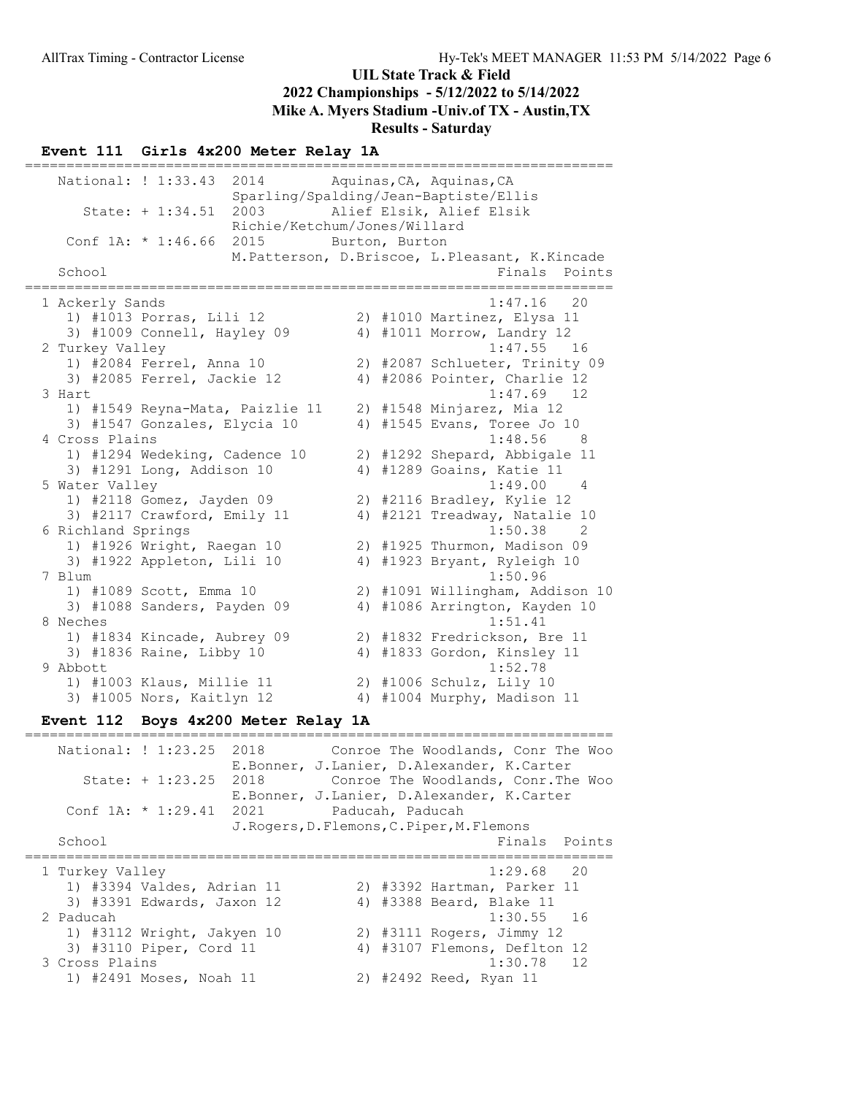### Event 111 Girls 4x200 Meter Relay 1A

======================================================================= National: ! 1:33.43 2014 Aquinas, CA, Aquinas, CA Sparling/Spalding/Jean-Baptiste/Ellis State: + 1:34.51 2003 Alief Elsik, Alief Elsik Richie/Ketchum/Jones/Willard Conf 1A: \* 1:46.66 2015 Burton, Burton M.Patterson, D.Briscoe, L.Pleasant, K.Kincade<br>Finals Points Finals Points ======================================================================= 1 Ackerly Sands 1:47.16 20 1) #1013 Porras, Lili 12 2) #1010 Martinez, Elysa 11 3) #1009 Connell, Hayley 09 4) #1011 Morrow, Landry 12 2 Turkey Valley 1:47.55 16 1) #2084 Ferrel, Anna 10 2) #2087 Schlueter, Trinity 09 3) #2085 Ferrel, Jackie 12 4) #2086 Pointer, Charlie 12 3 Hart 1:47.69 12 1) #1549 Reyna-Mata, Paizlie 11 2) #1548 Minjarez, Mia 12 3) #1547 Gonzales, Elycia 10 4) #1545 Evans, Toree Jo 10 4 Cross Plains 1:48.56 8 1) #1294 Wedeking, Cadence 10 2) #1292 Shepard, Abbigale 11 3) #1291 Long, Addison 10 4) #1289 Goains, Katie 11 5 Water Valley 1:49.00 4 1) #2118 Gomez, Jayden 09 2) #2116 Bradley, Kylie 12 3) #2117 Crawford, Emily 11 4) #2121 Treadway, Natalie 10 6 Richland Springs 1:50.38 2 1) #1926 Wright, Raegan 10 2) #1925 Thurmon, Madison 09 3) #1922 Appleton, Lili 10 4) #1923 Bryant, Ryleigh 10 7 Blum 1:50.96 1) #1089 Scott, Emma 10 2) #1091 Willingham, Addison 10 3) #1088 Sanders, Payden 09 4) #1086 Arrington, Kayden 10 8 Neches 1:51.41 1) #1834 Kincade, Aubrey 09 2) #1832 Fredrickson, Bre 11 3) #1836 Raine, Libby 10 4) #1833 Gordon, Kinsley 11 9 Abbott 1:52.78 1) #1003 Klaus, Millie 11 2) #1006 Schulz, Lily 10 3) #1005 Nors, Kaitlyn 12 4) #1004 Murphy, Madison 11

#### Event 112 Boys 4x200 Meter Relay 1A

======================================================================= National: ! 1:23.25 2018 Conroe The Woodlands, Conr The Woo E.Bonner, J.Lanier, D.Alexander, K.Carter State: + 1:23.25 2018 Conroe The Woodlands, Conr.The Woo E.Bonner, J.Lanier, D.Alexander, K.Carter Conf 1A: \* 1:29.41 2021 Paducah, Paducah J.Rogers,D.Flemons,C.Piper,M.Flemons School **Finals Points** ======================================================================= 1 Turkey Valley 1:29.68 20 1) #3394 Valdes, Adrian 11 2) #3392 Hartman, Parker 11 3) #3391 Edwards, Jaxon 12 4) #3388 Beard, Blake 11 2 Paducah 1:30.55 16 1) #3112 Wright, Jakyen 10 2) #3111 Rogers, Jimmy 12 3) #3110 Piper, Cord 11 4) #3107 Flemons, Deflton 12 3 Cross Plains 1:30.78 12 1) #2491 Moses, Noah 11 2) #2492 Reed, Ryan 11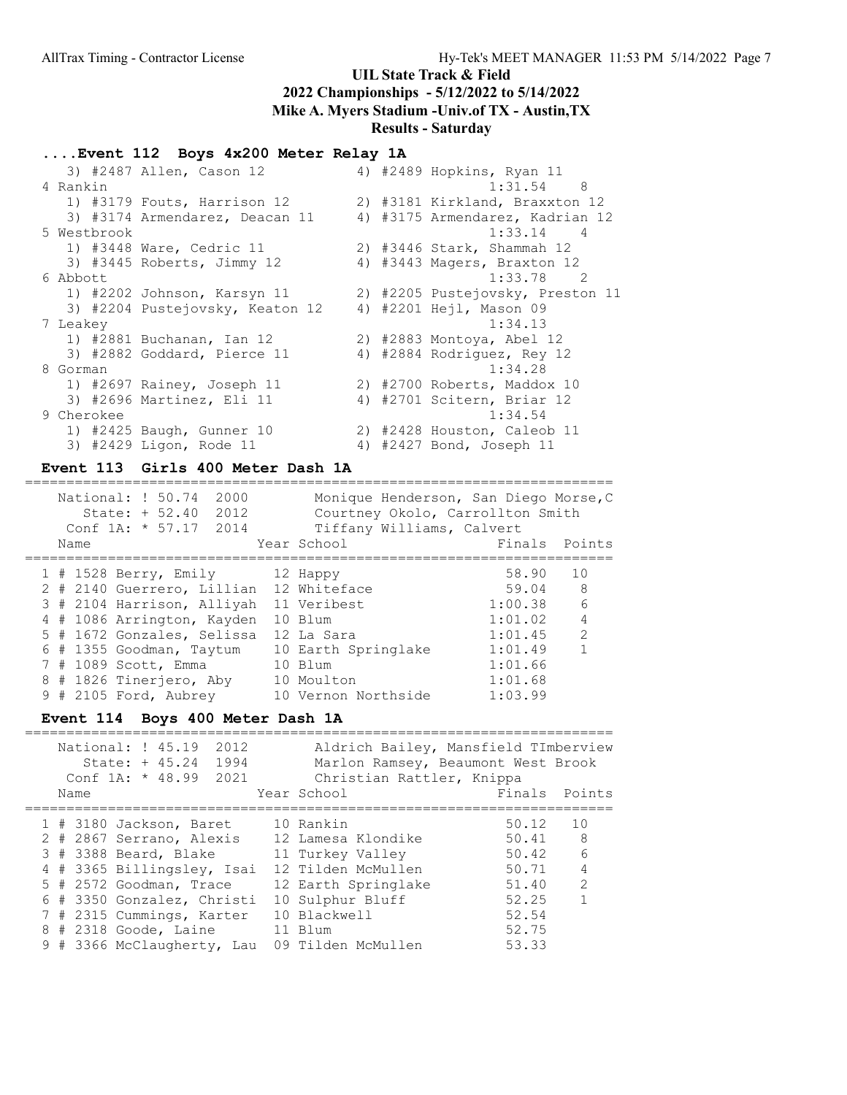# ....Event 112 Boys 4x200 Meter Relay 1A

|             | 3) #2487 Allen, Cason 12        |  | 4) #2489 Hopkins, Ryan 11        |
|-------------|---------------------------------|--|----------------------------------|
| 4 Rankin    |                                 |  | $1:31.54$ 8                      |
|             | 1) #3179 Fouts, Harrison 12     |  | 2) #3181 Kirkland, Braxxton 12   |
|             | 3) #3174 Armendarez, Deacan 11  |  | 4) #3175 Armendarez, Kadrian 12  |
| 5 Westbrook |                                 |  | $1:33.14$ 4                      |
|             | 1) #3448 Ware, Cedric 11        |  | 2) #3446 Stark, Shammah 12       |
|             | 3) #3445 Roberts, Jimmy 12      |  | 4) #3443 Magers, Braxton 12      |
| 6 Abbott    |                                 |  | $1:33.78$ 2                      |
|             | 1) #2202 Johnson, Karsyn 11     |  | 2) #2205 Pustejovsky, Preston 11 |
|             | 3) #2204 Pustejovsky, Keaton 12 |  | 4) #2201 Hejl, Mason 09          |
| 7 Leakey    |                                 |  | 1:34.13                          |
|             | 1) #2881 Buchanan, Ian 12       |  | 2) #2883 Montoya, Abel 12        |
|             | 3) #2882 Goddard, Pierce 11     |  | 4) #2884 Rodriguez, Rey 12       |
| 8 Gorman    |                                 |  | 1:34.28                          |
|             | 1) #2697 Rainey, Joseph 11      |  | 2) #2700 Roberts, Maddox 10      |
|             | 3) #2696 Martinez, Eli 11       |  | 4) #2701 Scitern, Briar 12       |
| 9 Cherokee  |                                 |  | 1:34.54                          |
|             | 1) #2425 Baugh, Gunner 10       |  | 2) #2428 Houston, Caleob 11      |
|             | 3) #2429 Ligon, Rode 11         |  | 4) #2427 Bond, Joseph 11         |
|             |                                 |  |                                  |

#### Event 113 Girls 400 Meter Dash 1A =======================================================================

|   | Name | National: ! 50.74<br>2000<br>State: $+ 52.40$<br>2012<br>Conf $1A: * 57.17$<br>2014 | Monique Henderson, San Diego Morse, C<br>Courtney Okolo, Carrollton Smith<br>Tiffany Williams, Calvert<br>Year School | Finals  | Points         |
|---|------|-------------------------------------------------------------------------------------|-----------------------------------------------------------------------------------------------------------------------|---------|----------------|
|   |      |                                                                                     |                                                                                                                       | 58.90   | 10             |
|   |      | 1 # 1528 Berry, Emily 12 Happy                                                      |                                                                                                                       |         |                |
|   |      | 2 # 2140 Guerrero, Lillian 12 Whiteface                                             |                                                                                                                       | 59.04   | - 8            |
|   |      | 3 # 2104 Harrison, Alliyah 11 Veribest                                              |                                                                                                                       | 1:00.38 | - 6            |
|   |      | 4 # 1086 Arrington, Kayden                                                          | 10 Blum                                                                                                               | 1:01.02 | $\overline{4}$ |
|   |      | 5 # 1672 Gonzales, Selissa                                                          | 12 La Sara                                                                                                            | 1:01.45 | 2              |
| 6 |      | # 1355 Goodman, Taytum                                                              | 10 Earth Springlake                                                                                                   | 1:01.49 | $\mathbf{1}$   |
|   |      | 7 # 1089 Scott, Emma                                                                | 10 Blum                                                                                                               | 1:01.66 |                |
|   |      | 8 # 1826 Tinerjero, Aby                                                             | 10 Moulton                                                                                                            | 1:01.68 |                |
|   |      | 9 # 2105 Ford, Aubrey                                                               | 10 Vernon Northside                                                                                                   | 1:03.99 |                |

### Event 114 Boys 400 Meter Dash 1A

| Name | National: ! 45.19<br>2012<br>1994<br>$State: + 45.24$<br>Conf $1A: * 48.99$<br>2021 | Aldrich Bailey, Mansfield TImberview<br>Marlon Ramsey, Beaumont West Brook<br>Christian Rattler, Knippa<br>Year School | Finals Points |                |
|------|-------------------------------------------------------------------------------------|------------------------------------------------------------------------------------------------------------------------|---------------|----------------|
|      | 1 # 3180 Jackson, Baret                                                             | 10 Rankin                                                                                                              | 50.12         | 10             |
|      | 2 # 2867 Serrano, Alexis                                                            | 12 Lamesa Klondike                                                                                                     | 50.41 8       |                |
|      | 3 # 3388 Beard, Blake                                                               | 11 Turkey Valley                                                                                                       | 50.42         | $6^{6}$        |
|      | 4 # 3365 Billingsley, Isai                                                          | 12 Tilden McMullen                                                                                                     | 50.71         | $\overline{4}$ |
|      | 5 # 2572 Goodman, Trace                                                             | 12 Earth Springlake                                                                                                    | 51.40         | $\mathcal{L}$  |
|      | 6 # 3350 Gonzalez, Christi                                                          | 10 Sulphur Bluff                                                                                                       | 52.25         | $\mathbf 1$    |
|      | 7 # 2315 Cummings, Karter                                                           | 10 Blackwell                                                                                                           | 52.54         |                |
|      | 8 # 2318 Goode, Laine                                                               | 11 Blum                                                                                                                | 52.75         |                |
|      | 9 # 3366 McClaugherty, Lau                                                          | 09 Tilden McMullen                                                                                                     | 53.33         |                |
|      |                                                                                     |                                                                                                                        |               |                |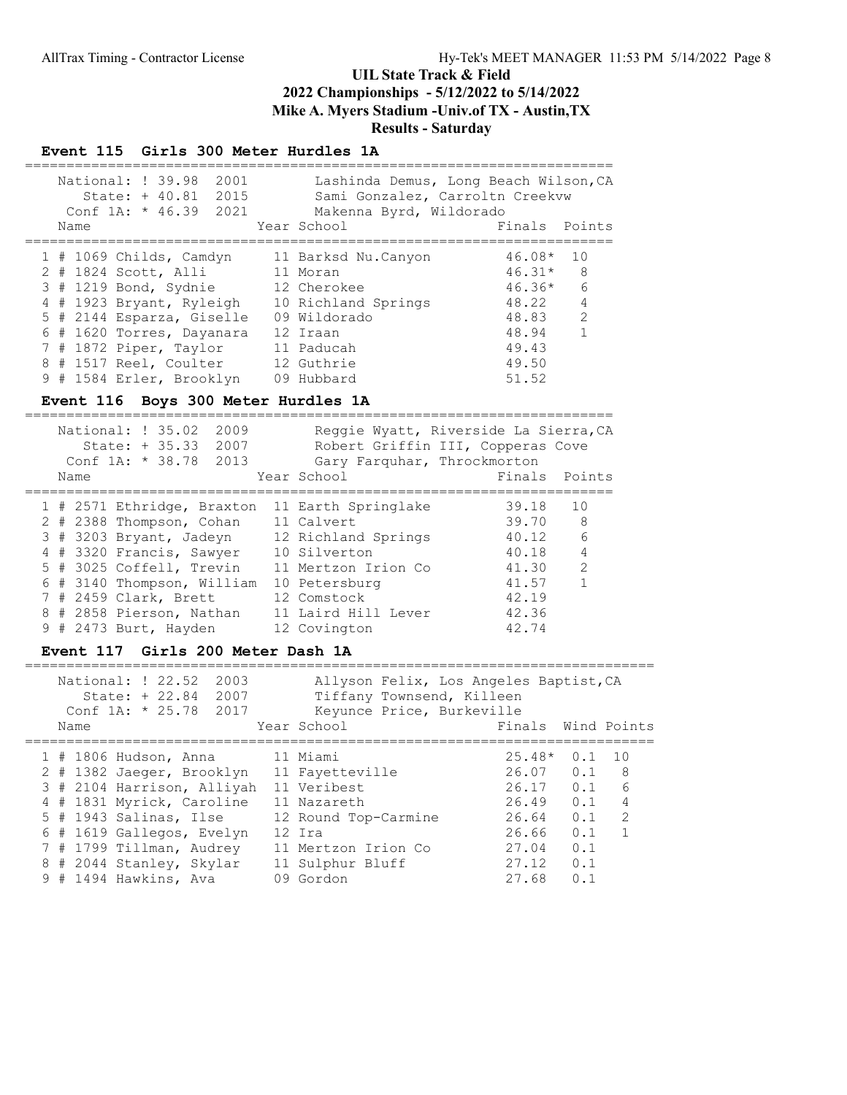### Event 115 Girls 300 Meter Hurdles 1A

|      | National: ! 39.98<br>2001<br>2015<br>State: $+ 40.81$<br>Conf $1A: * 46.39$<br>2021 | Lashinda Demus, Long Beach Wilson, CA<br>Sami Gonzalez, Carroltn Creekvw<br>Makenna Byrd, Wildorado |            |                |
|------|-------------------------------------------------------------------------------------|-----------------------------------------------------------------------------------------------------|------------|----------------|
| Name |                                                                                     | Year School                                                                                         | Finals     | Points         |
|      |                                                                                     |                                                                                                     |            |                |
|      | $1$ # 1069 Childs, Camdyn                                                           | 11 Barksd Nu.Canyon                                                                                 | 46.08*     | 1 O            |
|      | 2 # 1824 Scott, Alli                                                                | 11 Moran                                                                                            | $46.31*$ 8 |                |
|      | 3 # 1219 Bond, Sydnie                                                               | 12 Cherokee                                                                                         | $46.36*$   | 6              |
|      | 4 # 1923 Bryant, Ryleigh                                                            | 10 Richland Springs                                                                                 | 48.22      | $\overline{4}$ |
|      | 5 # 2144 Esparza, Giselle                                                           | 09 Wildorado                                                                                        | 48.83      | 2              |
|      | 6 # 1620 Torres, Dayanara                                                           | 12 Iraan                                                                                            | 48.94      | $\mathbf{1}$   |
|      | 7 # 1872 Piper, Taylor                                                              | 11 Paducah                                                                                          | 49.43      |                |
|      | 8 # 1517 Reel, Coulter                                                              | 12 Guthrie                                                                                          | 49.50      |                |
|      | 9 # 1584 Erler, Brooklyn                                                            | 09 Hubbard                                                                                          | 51.52      |                |

# Event 116 Boys 300 Meter Hurdles 1A

| National: ! 35.02<br>2009<br>$State: + 35.33$<br>2007<br>Conf $1A: * 38.78$<br>2013<br>Name                                                                                                                                                           | Reggie Wyatt, Riverside La Sierra, CA<br>Robert Griffin III, Copperas Cove<br>Gary Farquhar, Throckmorton<br>Year School                                               | Finals                                                                        | Points                                   |
|-------------------------------------------------------------------------------------------------------------------------------------------------------------------------------------------------------------------------------------------------------|------------------------------------------------------------------------------------------------------------------------------------------------------------------------|-------------------------------------------------------------------------------|------------------------------------------|
| 1 # 2571 Ethridge, Braxton<br>2 # 2388 Thompson, Cohan<br>3 # 3203 Bryant, Jadeyn<br>4 # 3320 Francis, Sawyer<br>5 # 3025 Coffell, Trevin<br>6 # 3140 Thompson, William<br>7 # 2459 Clark, Brett<br>8 # 2858 Pierson, Nathan<br>9 # 2473 Burt, Hayden | 11 Earth Springlake<br>11 Calvert<br>12 Richland Springs<br>10 Silverton<br>11 Mertzon Irion Co<br>10 Petersburg<br>12 Comstock<br>11 Laird Hill Lever<br>12 Covington | 39.18<br>39.70<br>40.12<br>40.18<br>41.30<br>41.57<br>42.19<br>42.36<br>42.74 | 10<br>8<br>6<br>$\overline{4}$<br>2<br>1 |

### Event 117 Girls 200 Meter Dash 1A

| Name | National: ! 22.52<br>2003<br>State: + 22.84<br>2007<br>Conf 1A: $*$ 25.78<br>2017 | Allyson Felix, Los Angeles Baptist, CA<br>Tiffany Townsend, Killeen<br>Keyunce Price, Burkeville<br>Year School | Finals   |     | Wind Points    |
|------|-----------------------------------------------------------------------------------|-----------------------------------------------------------------------------------------------------------------|----------|-----|----------------|
|      | 1 # 1806 Hudson, Anna                                                             | 11 Miami                                                                                                        | $25.48*$ | 0.1 | 1 O            |
|      | 2 # 1382 Jaeger, Brooklyn                                                         | 11 Fayetteville                                                                                                 | 26.07    | 0.1 | - 8            |
|      | 3 # 2104 Harrison, Alliyah                                                        | 11 Veribest                                                                                                     | 26.17    | 0.1 | 6              |
|      | 4 # 1831 Myrick, Caroline                                                         | 11 Nazareth                                                                                                     | 26.49    | 0.1 | $\overline{4}$ |
|      | $5$ # 1943 Salinas, Ilse                                                          | 12 Round Top-Carmine                                                                                            | 26.64    | 0.1 | $\mathcal{P}$  |
|      | 6 # 1619 Gallegos, Evelyn                                                         | 12 Ira                                                                                                          | 26.66    | 0.1 |                |
|      | 7 # 1799 Tillman, Audrey                                                          | 11 Mertzon Irion Co                                                                                             | 27.04    | 0.1 |                |
|      | 8 # 2044 Stanley, Skylar                                                          | 11 Sulphur Bluff                                                                                                | 27.12    | 0.1 |                |
|      | $9$ # 1494 Hawkins, Ava                                                           | 09 Gordon                                                                                                       | 27.68    | 0.1 |                |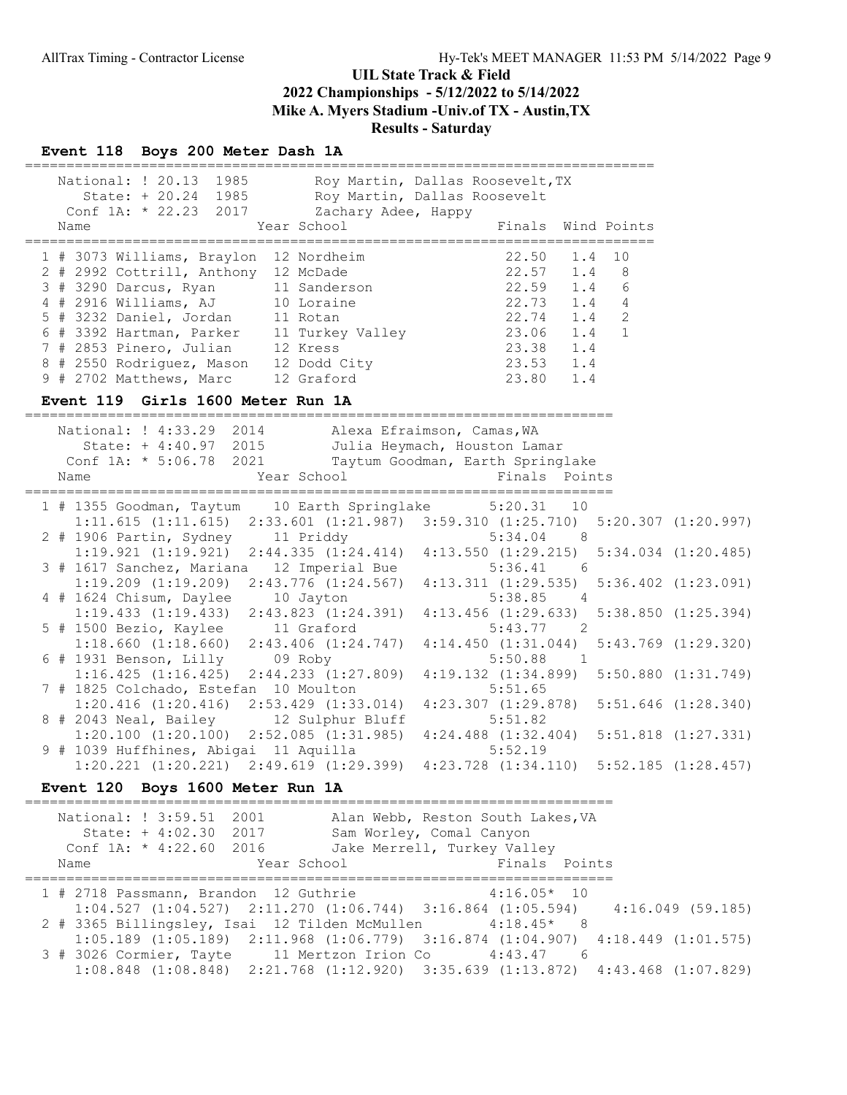### Event 118 Boys 200 Meter Dash 1A

| National: ! 20.13 1985<br>State: + 20.24 1985<br>Conf 1A: * 22.23 2017<br>Year School<br>Name                                                                                                                                                                                                                                                                                                                                         | Roy Martin, Dallas Roosevelt, TX<br>Roy Martin, Dallas Roosevelt<br>Zachary Adee, Happy<br>Finals<br>Wind Points<br>=========                                                                                          |
|---------------------------------------------------------------------------------------------------------------------------------------------------------------------------------------------------------------------------------------------------------------------------------------------------------------------------------------------------------------------------------------------------------------------------------------|------------------------------------------------------------------------------------------------------------------------------------------------------------------------------------------------------------------------|
| 1 # 3073 Williams, Braylon 12 Nordheim<br>2 # 2992 Cottrill, Anthony 12 McDade<br>3 # 3290 Darcus, Ryan 11 Sanderson<br>4 # 2916 Williams, AJ 10 Loraine<br>5 # 3232 Daniel, Jordan 11 Rotan<br>6 # 3392 Hartman, Parker 11 Turkey Valley<br>7 # 2853 Pinero, Julian 12 Kress<br>8 # 2550 Rodriguez, Mason 12 Dodd City<br>9 # 2702 Matthews, Marc 12 Graford<br>Event 119 Girls 1600 Meter Run 1A<br>_______________________________ | 22.50<br>1.4<br>10<br>22.57<br>22.59<br>1.4<br>8<br>1.4<br>6<br>$22.73$<br>$22.74$<br>$23.06$<br>1.4<br>4<br>1.4<br>2<br>1.4<br>1<br>23.38<br>23.53<br>1.4<br>1.4<br>23.80<br>1.4<br>_________________________________ |
| National: ! 4:33.29 2014<br>State: + 4:40.97 2015<br>Conf 1A: * 5:06.78 2021<br>Year School<br>Name                                                                                                                                                                                                                                                                                                                                   | Alexa Efraimson, Camas, WA<br>Julia Heymach, Houston Lamar<br>Taytum Goodman, Earth Springlake<br>Finals Points                                                                                                        |
| 1 # 1355 Goodman, Taytum<br>2 # 1906 Partin, Sydney 11 Priddy                                                                                                                                                                                                                                                                                                                                                                         | 10 Earth Springlake<br>5:20.31<br>10<br>$1:11.615$ (1:11.615) 2:33.601 (1:21.987) 3:59.310 (1:25.710)<br>$5:20.307$ $(1:20.997)$<br>5:34.04<br>- 8                                                                     |
| $1:19.921$ $(1:19.921)$ $2:44.335$ $(1:24.414)$<br>3 # 1617 Sanchez, Mariana 12 Imperial Bue                                                                                                                                                                                                                                                                                                                                          | $4:13.550$ $(1:29.215)$ $5:34.034$ $(1:20.485)$<br>$5:36.41$ 6                                                                                                                                                         |
| $1:19.209$ $(1:19.209)$ $2:43.776$ $(1:24.567)$<br>4 # 1624 Chisum, Daylee<br>10 Jayton                                                                                                                                                                                                                                                                                                                                               | 4:13.311(1:29.535)<br>$5:36.402$ $(1:23.091)$<br>5:38.85<br>4                                                                                                                                                          |
| $1:19.433$ $(1:19.433)$ $2:43.823$ $(1:24.391)$<br>5 # 1500 Bezio, Kaylee 11 Graford                                                                                                                                                                                                                                                                                                                                                  | $4:13.456$ $(1:29.633)$<br>$5:38.850$ $(1:25.394)$<br>5:43.77<br>$\overline{\phantom{0}}^2$<br>4:14.450(1:31.044)<br>$5:43.769$ $(1:29.320)$                                                                           |
| 1:18.660 (1:18.660) 2:43.406 (1:24.747)<br>6 # 1931 Benson, Lilly 09 Roby<br>$1:16.425$ $(1:16.425)$ $2:44.233$ $(1:27.809)$                                                                                                                                                                                                                                                                                                          | $5:50.88$ 1<br>$4:19.132$ $(1:34.899)$ $5:50.880$ $(1:31.749)$                                                                                                                                                         |
| 7 # 1825 Colchado, Estefan 10 Moulton<br>$1:20.416$ $(1:20.416)$ $2:53.429$ $(1:33.014)$                                                                                                                                                                                                                                                                                                                                              | 5:51.65<br>$4:23.307$ $(1:29.878)$ $5:51.646$ $(1:28.340)$                                                                                                                                                             |
| 8 # 2043 Neal, Bailey 12 Sulphur Bluff<br>$1:20.100$ $(1:20.100)$ $2:52.085$ $(1:31.985)$                                                                                                                                                                                                                                                                                                                                             | 5:51.82<br>$4:24.488$ $(1:32.404)$ $5:51.818$ $(1:27.331)$                                                                                                                                                             |
| 9 # 1039 Huffhines, Abigai 11 Aquilla                                                                                                                                                                                                                                                                                                                                                                                                 | 5:52.19<br>$1:20.221$ $(1:20.221)$ $2:49.619$ $(1:29.399)$ $4:23.728$ $(1:34.110)$ $5:52.185$ $(1:28.457)$                                                                                                             |
| Boys 1600 Meter Run 1A<br><b>Event 120</b>                                                                                                                                                                                                                                                                                                                                                                                            | =======================                                                                                                                                                                                                |
| National: ! 3:59.51<br>2001<br>State: + 4:02.30 2017<br>Conf 1A: * 4:22.60<br>2016                                                                                                                                                                                                                                                                                                                                                    | Alan Webb, Reston South Lakes, VA<br>Sam Worley, Comal Canyon<br>Jake Merrell, Turkey Valley                                                                                                                           |

Name The Year School The Finals Points ======================================================================= 1 # 2718 Passmann, Brandon 12 Guthrie 4:16.05\* 10 1:04.527 (1:04.527) 2:11.270 (1:06.744) 3:16.864 (1:05.594) 4:16.049 (59.185) 2 # 3365 Billingsley, Isai 12 Tilden McMullen 4:18.45\* 8 1:05.189 (1:05.189) 2:11.968 (1:06.779) 3:16.874 (1:04.907) 4:18.449 (1:01.575) 3 # 3026 Cormier, Tayte 11 Mertzon Irion Co 4:43.47 6

1:08.848 (1:08.848) 2:21.768 (1:12.920) 3:35.639 (1:13.872) 4:43.468 (1:07.829)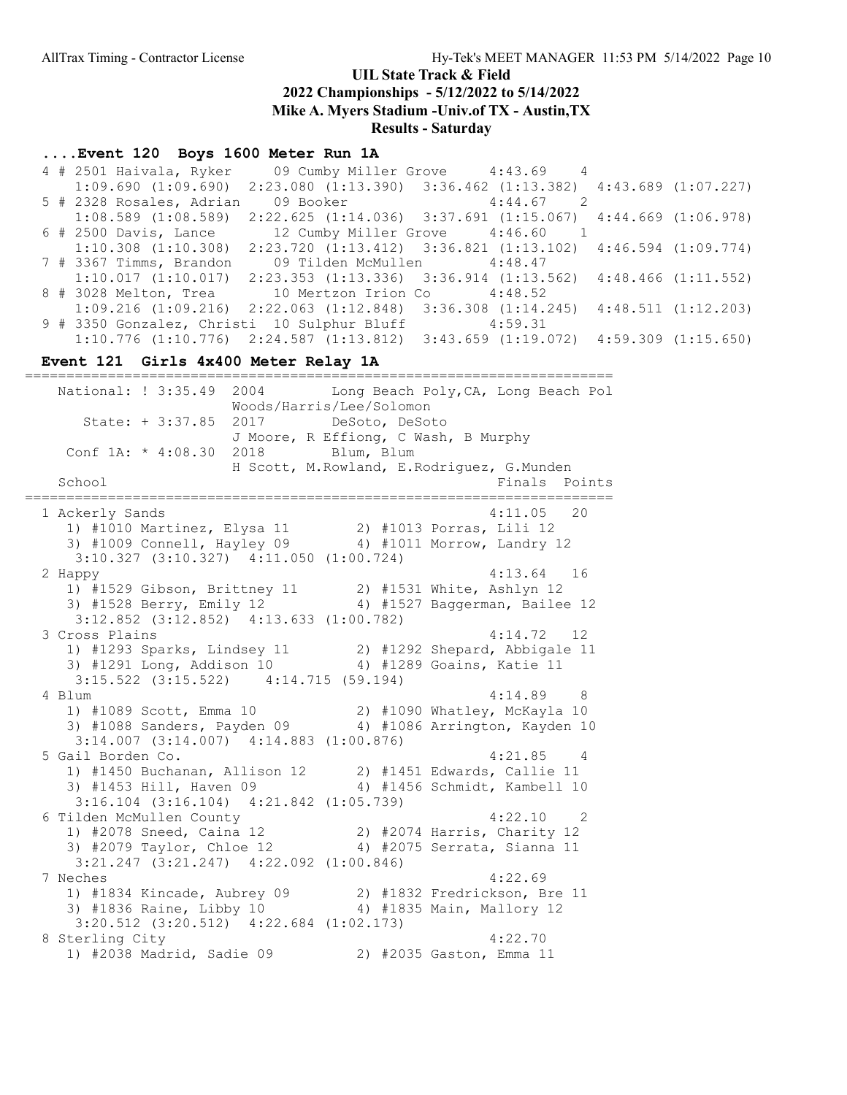# UIL State Track & Field

2022 Championships - 5/12/2022 to 5/14/2022

Mike A. Myers Stadium -Univ.of TX - Austin,TX

Results - Saturday

### ....Event 120 Boys 1600 Meter Run 1A

 4 # 2501 Haivala, Ryker 09 Cumby Miller Grove 4:43.69 4 1:09.690 (1:09.690) 2:23.080 (1:13.390) 3:36.462 (1:13.382) 4:43.689 (1:07.227) 5 # 2328 Rosales, Adrian 09 Booker 4:44.67 2 1:08.589 (1:08.589) 2:22.625 (1:14.036) 3:37.691 (1:15.067) 4:44.669 (1:06.978) 6 # 2500 Davis, Lance 12 Cumby Miller Grove 4:46.60 1 1:10.308 (1:10.308) 2:23.720 (1:13.412) 3:36.821 (1:13.102) 4:46.594 (1:09.774) 7 # 3367 Timms, Brandon 09 Tilden McMullen 4:48.47 1:10.017 (1:10.017) 2:23.353 (1:13.336) 3:36.914 (1:13.562) 4:48.466 (1:11.552) 8 # 3028 Melton, Trea 10 Mertzon Irion Co 4:48.52 1:09.216 (1:09.216) 2:22.063 (1:12.848) 3:36.308 (1:14.245) 4:48.511 (1:12.203) 9 # 3350 Gonzalez, Christi 10 Sulphur Bluff 4:59.31 1:10.776 (1:10.776) 2:24.587 (1:13.812) 3:43.659 (1:19.072) 4:59.309 (1:15.650)

#### Event 121 Girls 4x400 Meter Relay 1A

======================================================================= National: ! 3:35.49 2004 Long Beach Poly, CA, Long Beach Pol Woods/Harris/Lee/Solomon State: + 3:37.85 2017 DeSoto, DeSoto J Moore, R Effiong, C Wash, B Murphy Conf 1A: \* 4:08.30 2018 Blum, Blum H Scott, M.Rowland, E.Rodriguez, G.Munden School Finals Points ======================================================================= 1 Ackerly Sands 4:11.05 20 1) #1010 Martinez, Elysa 11 2) #1013 Porras, Lili 12 3) #1009 Connell, Hayley 09 4) #1011 Morrow, Landry 12 3:10.327 (3:10.327) 4:11.050 (1:00.724) 2 Happy 4:13.64 16 1) #1529 Gibson, Brittney 11 2) #1531 White, Ashlyn 12 3) #1528 Berry, Emily 12 4) #1527 Baggerman, Bailee 12 3:12.852 (3:12.852) 4:13.633 (1:00.782) 3 Cross Plains 4:14.72 12 1) #1293 Sparks, Lindsey 11 2) #1292 Shepard, Abbigale 11 3) #1291 Long, Addison 10 4) #1289 Goains, Katie 11 3:15.522 (3:15.522) 4:14.715 (59.194) 4 Blum 4:14.89 8 1) #1089 Scott, Emma 10 2) #1090 Whatley, McKayla 10 3) #1088 Sanders, Payden 09 4) #1086 Arrington, Kayden 10 3:14.007 (3:14.007) 4:14.883 (1:00.876) 5 Gail Borden Co. 4:21.85 4 1) #1450 Buchanan, Allison 12 2) #1451 Edwards, Callie 11 3) #1453 Hill, Haven 09 4) #1456 Schmidt, Kambell 10 3:16.104 (3:16.104) 4:21.842 (1:05.739) 6 Tilden McMullen County 4:22.10 2 1) #2078 Sneed, Caina 12 2) #2074 Harris, Charity 12 3) #2079 Taylor, Chloe 12 4) #2075 Serrata, Sianna 11 3:21.247 (3:21.247) 4:22.092 (1:00.846) 7 Neches 4:22.69 1) #1834 Kincade, Aubrey 09 2) #1832 Fredrickson, Bre 11 3) #1836 Raine, Libby 10 4) #1835 Main, Mallory 12 3:20.512 (3:20.512) 4:22.684 (1:02.173) 8 Sterling City  $4:22.70$ 1) #2038 Madrid, Sadie 09 2) #2035 Gaston, Emma 11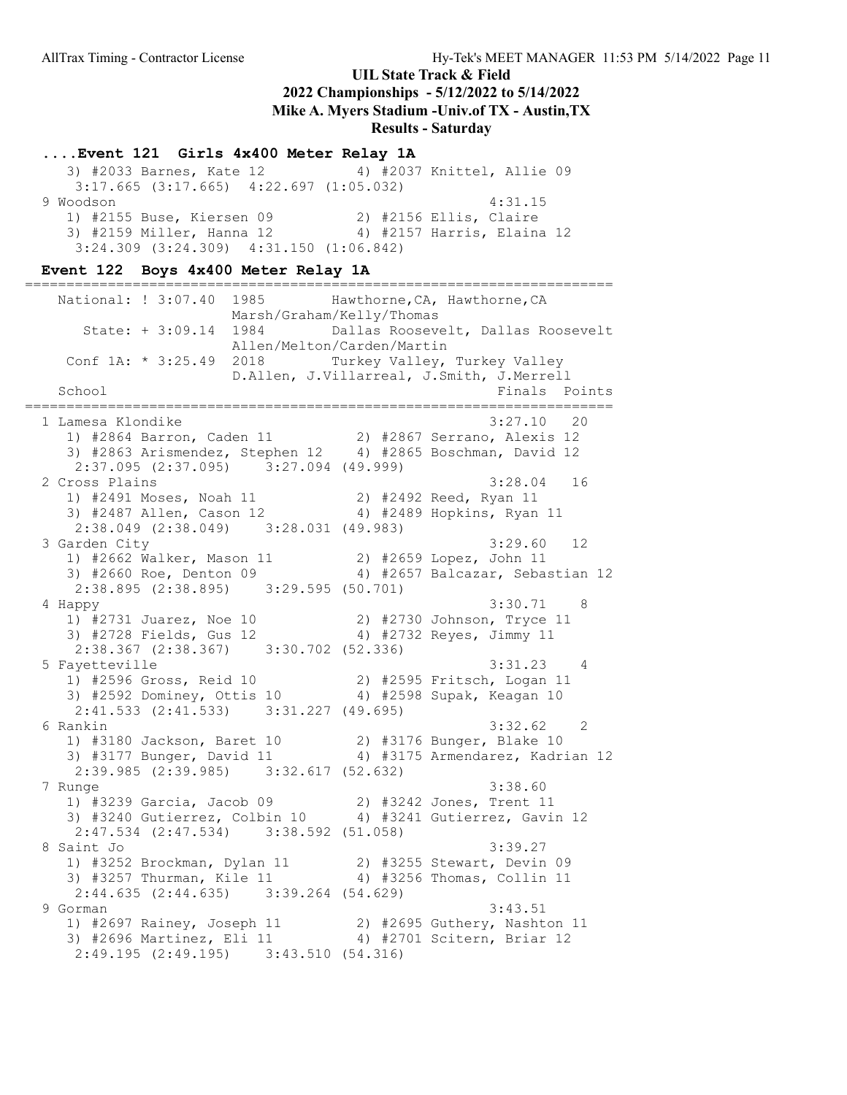#### ....Event 121 Girls 4x400 Meter Relay 1A

 3) #2033 Barnes, Kate 12 4) #2037 Knittel, Allie 09 3:17.665 (3:17.665) 4:22.697 (1:05.032) 9 Woodson 4:31.15 1) #2155 Buse, Kiersen 09 2) #2156 Ellis, Claire 3) #2159 Miller, Hanna 12 4) #2157 Harris, Elaina 12 3:24.309 (3:24.309) 4:31.150 (1:06.842)

#### Event 122 Boys 4x400 Meter Relay 1A

======================================================================= National: ! 3:07.40 1985 Hawthorne, CA, Hawthorne, CA Marsh/Graham/Kelly/Thomas State: + 3:09.14 1984 Dallas Roosevelt, Dallas Roosevelt Allen/Melton/Carden/Martin Conf 1A: \* 3:25.49 2018 Turkey Valley, Turkey Valley D.Allen, J.Villarreal, J.Smith, J.Merrell School **Finals** Points ======================================================================= 1 Lamesa Klondike 3:27.10 20 1) #2864 Barron, Caden 11 2) #2867 Serrano, Alexis 12 3) #2863 Arismendez, Stephen 12 4) #2865 Boschman, David 12 2:37.095 (2:37.095) 3:27.094 (49.999)<br>2 Cross Plains 2 Cross Plains 3:28.04 16 1) #2491 Moses, Noah 11 2) #2492 Reed, Ryan 11 3) #2487 Allen, Cason 12 4) #2489 Hopkins, Ryan 11 2:38.049 (2:38.049) 3:28.031 (49.983) 3 Garden City 3:29.60 12 1) #2662 Walker, Mason 11 2) #2659 Lopez, John 11 3) #2660 Roe, Denton 09 4) #2657 Balcazar, Sebastian 12 2:38.895 (2:38.895) 3:29.595 (50.701) 4 Happy 3:30.71 8 1) #2731 Juarez, Noe 10 2) #2730 Johnson, Tryce 11 3) #2728 Fields, Gus 12 4) #2732 Reyes, Jimmy 11 2:38.367 (2:38.367) 3:30.702 (52.336) 5 Fayetteville 3:31.23 4 1) #2596 Gross, Reid 10 2) #2595 Fritsch, Logan 11 3) #2592 Dominey, Ottis 10 4) #2598 Supak, Keagan 10 2:41.533 (2:41.533) 3:31.227 (49.695) 6 Rankin 3:32.62 2 1) #3180 Jackson, Baret 10 2) #3176 Bunger, Blake 10 3) #3177 Bunger, David 11 4) #3175 Armendarez, Kadrian 12 2:39.985 (2:39.985) 3:32.617 (52.632) 7 Runge 3:38.60 1) #3239 Garcia, Jacob 09 2) #3242 Jones, Trent 11 3) #3240 Gutierrez, Colbin 10 4) #3241 Gutierrez, Gavin 12 2:47.534 (2:47.534) 3:38.592 (51.058) 8 Saint Jo 3:39.27 1) #3252 Brockman, Dylan 11 2) #3255 Stewart, Devin 09 3) #3257 Thurman, Kile 11 4) #3256 Thomas, Collin 11 2:44.635 (2:44.635) 3:39.264 (54.629) 9 Gorman 3:43.51 1) #2697 Rainey, Joseph 11 2) #2695 Guthery, Nashton 11 3) #2696 Martinez, Eli 11 4) #2701 Scitern, Briar 12 2:49.195 (2:49.195) 3:43.510 (54.316)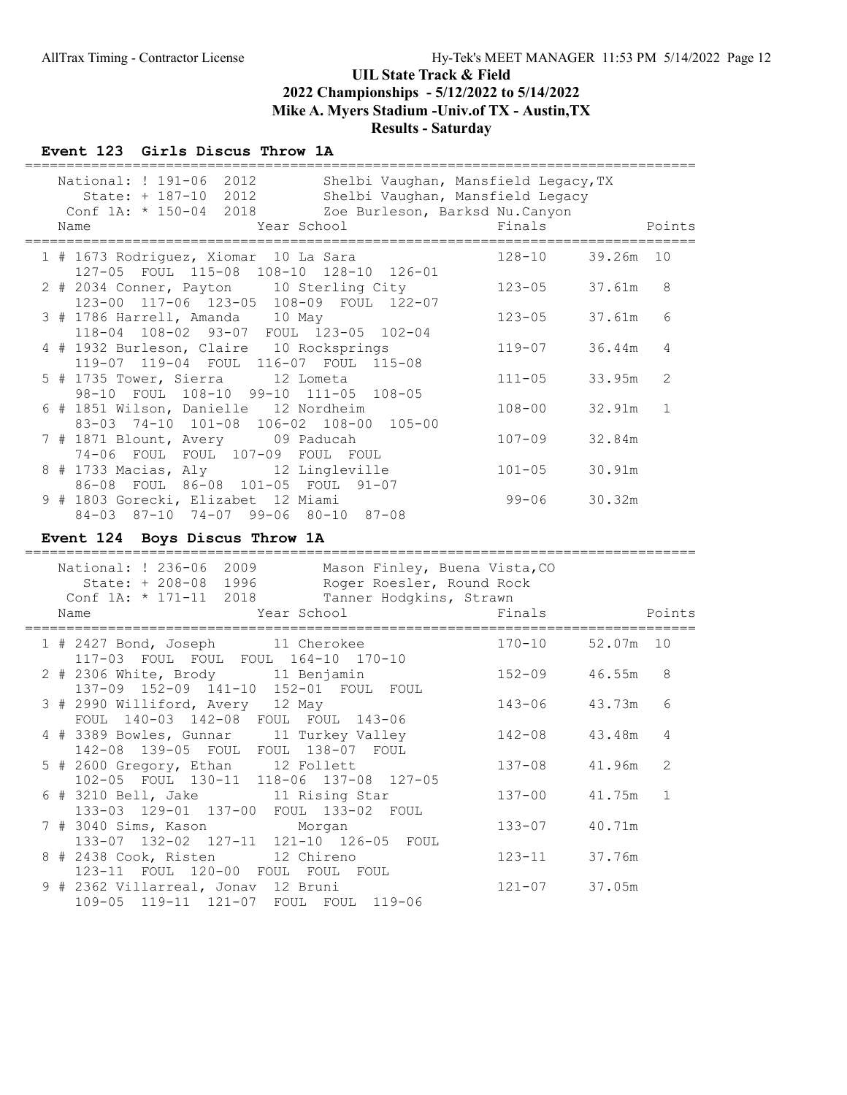### Event 123 Girls Discus Throw 1A

| National: ! 191-06 2012<br>State: + 187-10 2012 Shelbi Vaughan, Mansfield Legacy<br>Conf 1A: * 150-04 2018 Zoe Burleson, Barksd Nu. Canyon<br>Year School<br>Name | Shelbi Vaughan, Mansfield Legacy, TX<br>Finals<br>=============================== |        | Points         |
|-------------------------------------------------------------------------------------------------------------------------------------------------------------------|-----------------------------------------------------------------------------------|--------|----------------|
| 1 # 1673 Rodriguez, Xiomar 10 La Sara<br>127-05 FOUL 115-08 108-10 128-10 126-01                                                                                  | $128 - 10$                                                                        | 39.26m | 10             |
| 2 # 2034 Conner, Payton 10 Sterling City                                                                                                                          | $123 - 05$                                                                        | 37.61m | - 8            |
| 123-00 117-06 123-05 108-09 FOUL 122-07<br>3 # 1786 Harrell, Amanda 10 May                                                                                        | $123 - 05$                                                                        | 37.61m | 6              |
| 118-04 108-02 93-07 FOUL 123-05 102-04<br>4 # 1932 Burleson, Claire 10 Rocksprings                                                                                | $119 - 07$                                                                        | 36.44m | 4              |
| 119-07 119-04 FOUL 116-07 FOUL 115-08<br>5 # 1735 Tower, Sierra 12 Lometa                                                                                         | $111 - 05$                                                                        | 33.95m | 2              |
| 98-10 FOUL 108-10 99-10 111-05 108-05<br>6 # 1851 Wilson, Danielle 12 Nordheim                                                                                    | $108 - 00$                                                                        | 32.91m | 1              |
| 83-03 74-10 101-08 106-02 108-00 105-00<br>7 # 1871 Blount, Avery 09 Paducah                                                                                      | $107 - 09$                                                                        | 32.84m |                |
| 74-06 FOUL FOUL 107-09 FOUL FOUL<br>8 # 1733 Macias, Aly 12 Lingleville                                                                                           | $101 - 05$                                                                        | 30.91m |                |
| 86-08 FOUL 86-08 101-05 FOUL 91-07<br>9 # 1803 Gorecki, Elizabet 12 Miami                                                                                         | 99-06                                                                             | 30.32m |                |
| 84-03 87-10 74-07 99-06 80-10 87-08<br>Event 124 Boys Discus Throw 1A                                                                                             |                                                                                   |        |                |
| =================<br>Mason Finley, Buena Vista, CO<br>National: ! 236-06 2009                                                                                     |                                                                                   |        |                |
| State: + 208-08 1996<br>Roger Roesler, Round Rock<br>Conf 1A: * 171-11 2018<br>Tanner Hodgkins, Strawn<br>Year School<br>Name                                     | Finals                                                                            |        | Points         |
| 1 # 2427 Bond, Joseph 11 Cherokee                                                                                                                                 | $170 - 10$                                                                        | 52.07m | 10             |
| 117-03 FOUL FOUL FOUL 164-10 170-10<br>2 # 2306 White, Brody 11 Benjamin                                                                                          | $152 - 09$                                                                        | 46.55m | 8              |
| 137-09 152-09 141-10 152-01 FOUL FOUL<br>3 # 2990 Williford, Avery 12 May                                                                                         | $143 - 06$                                                                        | 43.73m | 6              |
| FOUL 140-03 142-08 FOUL FOUL 143-06<br>4 # 3389 Bowles, Gunnar 11 Turkey Valley                                                                                   | $142 - 08$                                                                        | 43.48m | 4              |
| 142-08 139-05 FOUL FOUL 138-07 FOUL<br>5 # 2600 Gregory, Ethan 12 Follett                                                                                         | $137 - 08$                                                                        | 41.96m | 2              |
| 102-05 FOUL 130-11 118-06 137-08 127-05<br>6 # 3210 Bell, Jake<br>11 Rising Star                                                                                  | $137 - 00$                                                                        | 41.75m | $\overline{1}$ |
| 133-03 129-01 137-00 FOUL 133-02 FOUL<br>7 # 3040 Sims, Kason<br>Morgan                                                                                           | $133 - 07$                                                                        | 40.71m |                |
| 133-07 132-02 127-11<br>121-10 126-05 FOUL<br>8 # 2438 Cook, Risten<br>12 Chireno<br>123-11 FOUL 120-00 FOUL FOUL FOUL                                            | $123 - 11$                                                                        | 37.76m |                |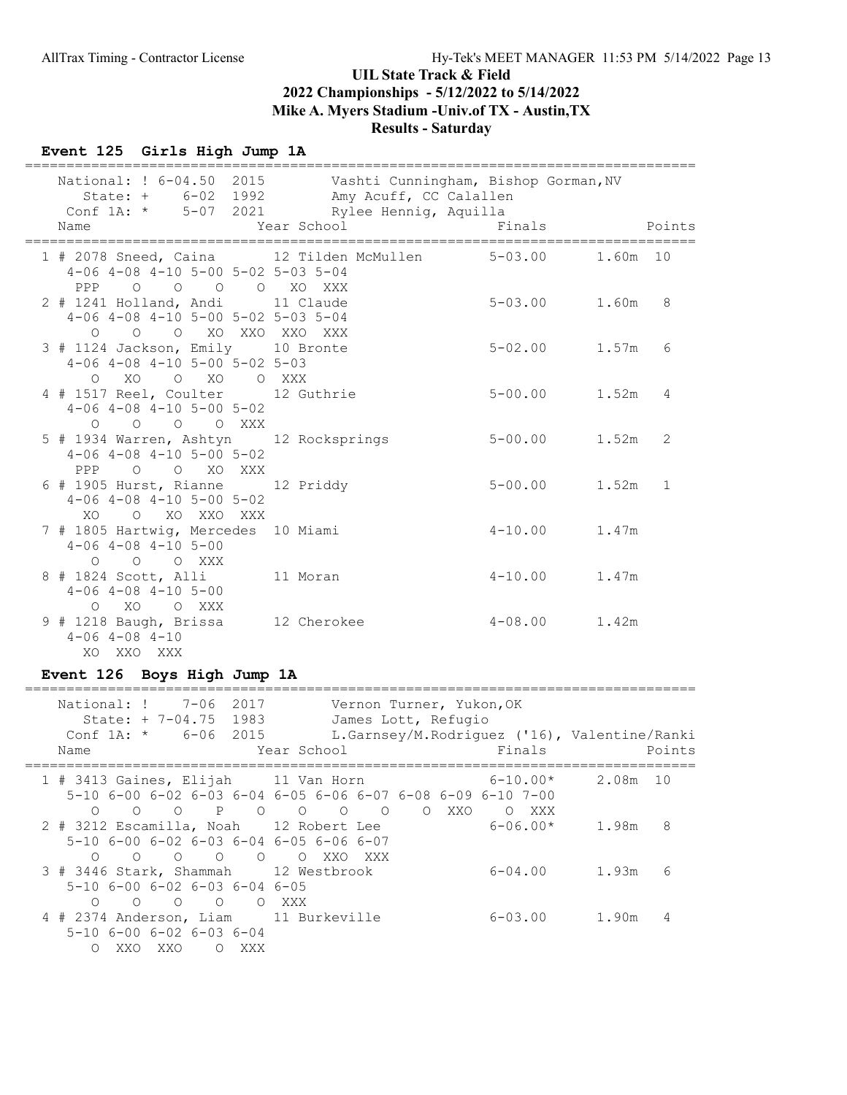### Event 125 Girls High Jump 1A

| National: ! 6-04.50 2015 Vashti Cunningham, Bishop Gorman, NV                                                                       | State: + 6-02 1992 Amy Acuff, CC Calallen |                   |                |
|-------------------------------------------------------------------------------------------------------------------------------------|-------------------------------------------|-------------------|----------------|
| Conf 1A: * 5-07 2021 Rylee Hennig, Aquilla                                                                                          |                                           |                   |                |
| Name                                                                                                                                | Year School                               | Finals            | Points         |
| 1 # 2078 Sneed, Caina 12 Tilden McMullen 5-03.00 1.60m 10<br>$4-06$ $4-08$ $4-10$ $5-00$ $5-02$ $5-03$ $5-04$<br>PPP 0 0 0 0 XO XXX |                                           |                   |                |
| 2 # 1241 Holland, Andi 11 Claude<br>$4-06$ $4-08$ $4-10$ $5-00$ $5-02$ $5-03$ $5-04$<br>0 0 0 XO XXO XXO XXX                        |                                           | $5 - 03.00$ 1.60m | 8              |
| 3 # 1124 Jackson, Emily 10 Bronte<br>$4-06$ $4-08$ $4-10$ $5-00$ $5-02$ $5-03$<br>O XO O XO O XXX                                   |                                           | $5 - 02.00$ 1.57m | 6              |
| 4 # 1517 Reel, Coulter 12 Guthrie<br>$4-06$ $4-08$ $4-10$ $5-00$ $5-02$<br>O O O O XXX                                              |                                           | $5 - 00.00$ 1.52m | $\overline{4}$ |
| 5 # 1934 Warren, Ashtyn 12 Rocksprings<br>$4-06$ $4-08$ $4-10$ $5-00$ $5-02$<br>PPP 0 0 XO XXX                                      |                                           | $5 - 00.00$ 1.52m | 2              |
| 6 # 1905 Hurst, Rianne 12 Priddy<br>$4-06$ $4-08$ $4-10$ $5-00$ $5-02$<br>O XO XXO XXX<br>XO                                        |                                           | $5 - 00.00$ 1.52m | $\mathbf{1}$   |
| 7 # 1805 Hartwig, Mercedes 10 Miami<br>$4-06$ $4-08$ $4-10$ $5-00$<br>O O O XXX                                                     |                                           | $4 - 10.00$ 1.47m |                |
| 8 # 1824 Scott, Alli 11 Moran<br>$4-06$ $4-08$ $4-10$ $5-00$<br>O XO O XXX                                                          |                                           | $4-10.00$ 1.47m   |                |
| 9 # 1218 Baugh, Brissa<br>$4 - 06$ $4 - 08$ $4 - 10$<br>XO XXO XXX                                                                  | 12 Cherokee                               | $4 - 08.00$ 1.42m |                |

# Event 126 Boys High Jump 1A

| National: ! 7-06 2017<br>State: $+ 7-04.75$ 1983<br>Conf $1A: *$ 6-06 2015<br>Name                                                     | Vernon Turner, Yukon, OK<br>James Lott, Refugio<br>L.Garnsey/M.Rodriquez ('16), Valentine/Ranki<br>Finals<br>Year School | Points             |
|----------------------------------------------------------------------------------------------------------------------------------------|--------------------------------------------------------------------------------------------------------------------------|--------------------|
| 1 # 3413 Gaines, Elijah 11 Van Horn<br>$\bigcirc$<br>$\cap$                                                                            | $6-10.00*$<br>5-10 6-00 6-02 6-03 6-04 6-05 6-06 6-07 6-08 6-09 6-10 7-00<br>XXO<br>$\circ$<br>$\Omega$<br>XXX           | 2.08m 10           |
| 2 # 3212 Escamilla, Noah 12 Robert Lee<br>$5-10$ 6-00 6-02 6-03 6-04 6-05 6-06 6-07<br>$\begin{matrix} 0 & 0 & 0 & 0 & 0 \end{matrix}$ | $6 - 06.00*$<br>O XXO<br>XXX X                                                                                           | 8<br>1.98m         |
| 3 # 3446 Stark, Shammah 12 Westbrook<br>$5-10$ 6-00 6-02 6-03 6-04 6-05<br>$\overline{O}$<br>$\circ$<br>$\Omega$<br>$\bigcirc$         | O XXX                                                                                                                    | 6-04.00 1.93m<br>6 |
| 4 # 2374 Anderson, Liam 11 Burkeville<br>$5-10$ 6-00 6-02 6-03 6-04<br>XXO<br>$\circ$<br>XXX<br>$\circ$<br>XXO                         | 6-03.00                                                                                                                  | 1.90m<br>4         |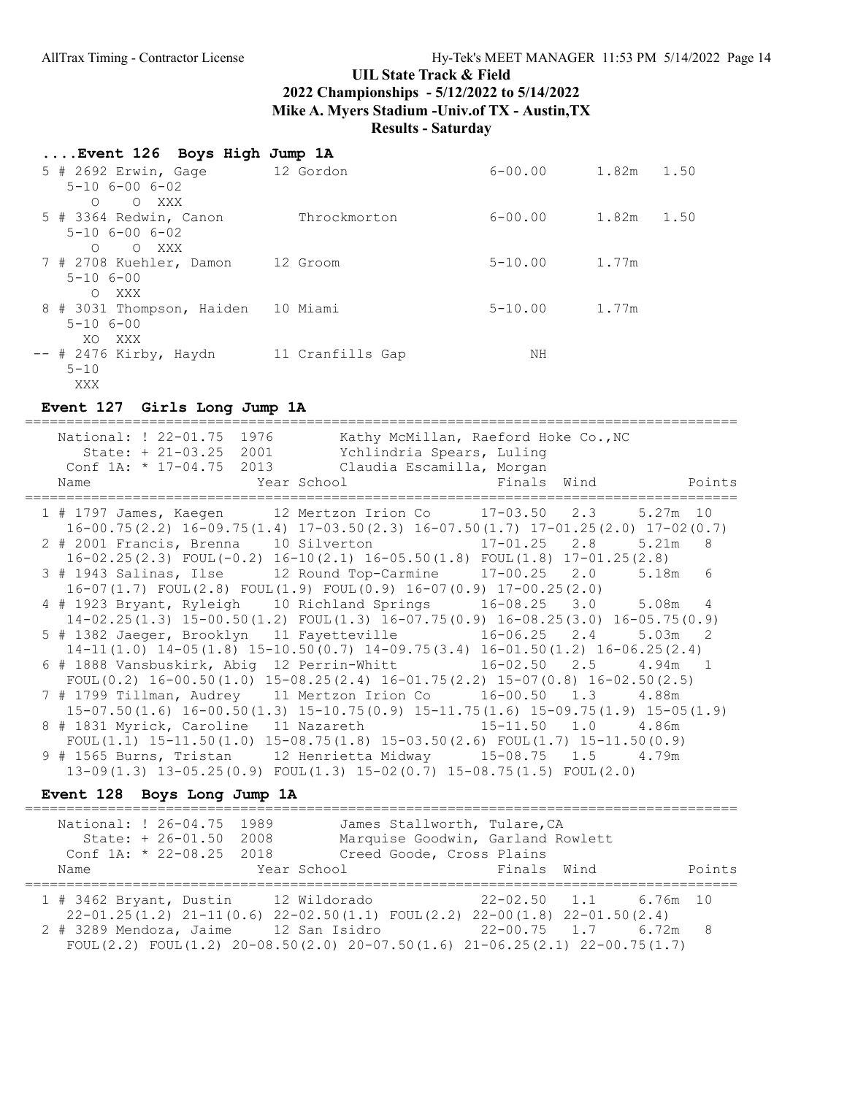| Event 126 Boys High Jump 1A                    |                  |             |               |
|------------------------------------------------|------------------|-------------|---------------|
| 5 # 2692 Erwin, Gage 12 Gordon                 |                  | $6 - 00.00$ | 1.50<br>1.82m |
| $5 - 10$ $6 - 00$ $6 - 02$<br>O XXX<br>$\circ$ |                  |             |               |
| 5 # 3364 Redwin, Canon                         | Throckmorton     | $6 - 00.00$ | 1.82m<br>1.50 |
| $5 - 10$ $6 - 00$ $6 - 02$<br>O XXX<br>$\circ$ |                  |             |               |
| 7 # 2708 Kuehler, Damon                        | 12 Groom         | $5 - 10.00$ | 1.77m         |
| $5 - 106 - 00$<br>O XXX                        |                  |             |               |
| 8 # 3031 Thompson, Haiden                      | 10 Miami         | $5 - 10.00$ | 1.77m         |
| $5 - 106 - 00$<br>XO XXX                       |                  |             |               |
| $--$ # 2476 Kirby, Haydn                       | 11 Cranfills Gap | NΗ          |               |
| $5 - 10$                                       |                  |             |               |
| XXX                                            |                  |             |               |

#### Event 127 Girls Long Jump 1A

====================================================================================== National: ! 22-01.75 1976 Kathy McMillan, Raeford Hoke Co., NC State: + 21-03.25 2001 Ychlindria Spears, Luling Conf 1A: \* 17-04.75 2013 Claudia Escamilla, Morgan Name Year School Finals Wind Points ====================================================================================== 1 # 1797 James, Kaegen 12 Mertzon Irion Co 17-03.50 2.3 5.27m 10 16-00.75(2.2) 16-09.75(1.4) 17-03.50(2.3) 16-07.50(1.7) 17-01.25(2.0) 17-02(0.7) 2 # 2001 Francis, Brenna 10 Silverton 17-01.25 2.8 5.21m 8 16-02.25(2.3) FOUL(-0.2) 16-10(2.1) 16-05.50(1.8) FOUL(1.8) 17-01.25(2.8) 3 # 1943 Salinas, Ilse 12 Round Top-Carmine 17-00.25 2.0 5.18m 6 16-07(1.7) FOUL(2.8) FOUL(1.9) FOUL(0.9) 16-07(0.9) 17-00.25(2.0) 4 # 1923 Bryant, Ryleigh 10 Richland Springs 16-08.25 3.0 5.08m 4 14-02.25(1.3) 15-00.50(1.2) FOUL(1.3) 16-07.75(0.9) 16-08.25(3.0) 16-05.75(0.9) 5 # 1382 Jaeger, Brooklyn 11 Fayetteville 16-06.25 2.4 5.03m 2 14-11(1.0) 14-05(1.8) 15-10.50(0.7) 14-09.75(3.4) 16-01.50(1.2) 16-06.25(2.4) 6 # 1888 Vansbuskirk, Abig 12 Perrin-Whitt 16-02.50 2.5 4.94m 1 FOUL(0.2) 16-00.50(1.0) 15-08.25(2.4) 16-01.75(2.2) 15-07(0.8) 16-02.50(2.5) 7 # 1799 Tillman, Audrey 11 Mertzon Irion Co 16-00.50 1.3 4.88m 15-07.50(1.6) 16-00.50(1.3) 15-10.75(0.9) 15-11.75(1.6) 15-09.75(1.9) 15-05(1.9) 8 # 1831 Myrick, Caroline 11 Nazareth 15-11.50 1.0 4.86m FOUL(1.1) 15-11.50(1.0) 15-08.75(1.8) 15-03.50(2.6) FOUL(1.7) 15-11.50(0.9) 9 # 1565 Burns, Tristan 12 Henrietta Midway 15-08.75 1.5 4.79m 13-09(1.3) 13-05.25(0.9) FOUL(1.3) 15-02(0.7) 15-08.75(1.5) FOUL(2.0)

#### Event 128 Boys Long Jump 1A

| National: ! 26-04.75 1989<br>James Stallworth, Tulare, CA<br>State: + 26-01.50 2008<br>Marquise Goodwin, Garland Rowlett<br>Conf 1A: * 22-08.25 2018<br>Creed Goode, Cross Plains<br>Points<br>Finals Wind<br>Year School<br>Name<br>$1$ # 3462 Bryant, Dustin<br>12 Wildorado<br>22-02.50 1.1 6.76m 10<br>$22-01.25(1.2)$ $21-11(0.6)$ $22-02.50(1.1)$ FOUL $(2.2)$ $22-00(1.8)$ $22-01.50(2.4)$<br>2 # 3289 Mendoza, Jaime<br>$22-00.75$ 1.7 6.72m 8<br>12 San Isidro<br>FOUL $(2.2)$ FOUL $(1.2)$ 20-08.50 $(2.0)$ 20-07.50 $(1.6)$ 21-06.25 $(2.1)$ 22-00.75 $(1.7)$ |  |  |
|--------------------------------------------------------------------------------------------------------------------------------------------------------------------------------------------------------------------------------------------------------------------------------------------------------------------------------------------------------------------------------------------------------------------------------------------------------------------------------------------------------------------------------------------------------------------------|--|--|
|                                                                                                                                                                                                                                                                                                                                                                                                                                                                                                                                                                          |  |  |
|                                                                                                                                                                                                                                                                                                                                                                                                                                                                                                                                                                          |  |  |
|                                                                                                                                                                                                                                                                                                                                                                                                                                                                                                                                                                          |  |  |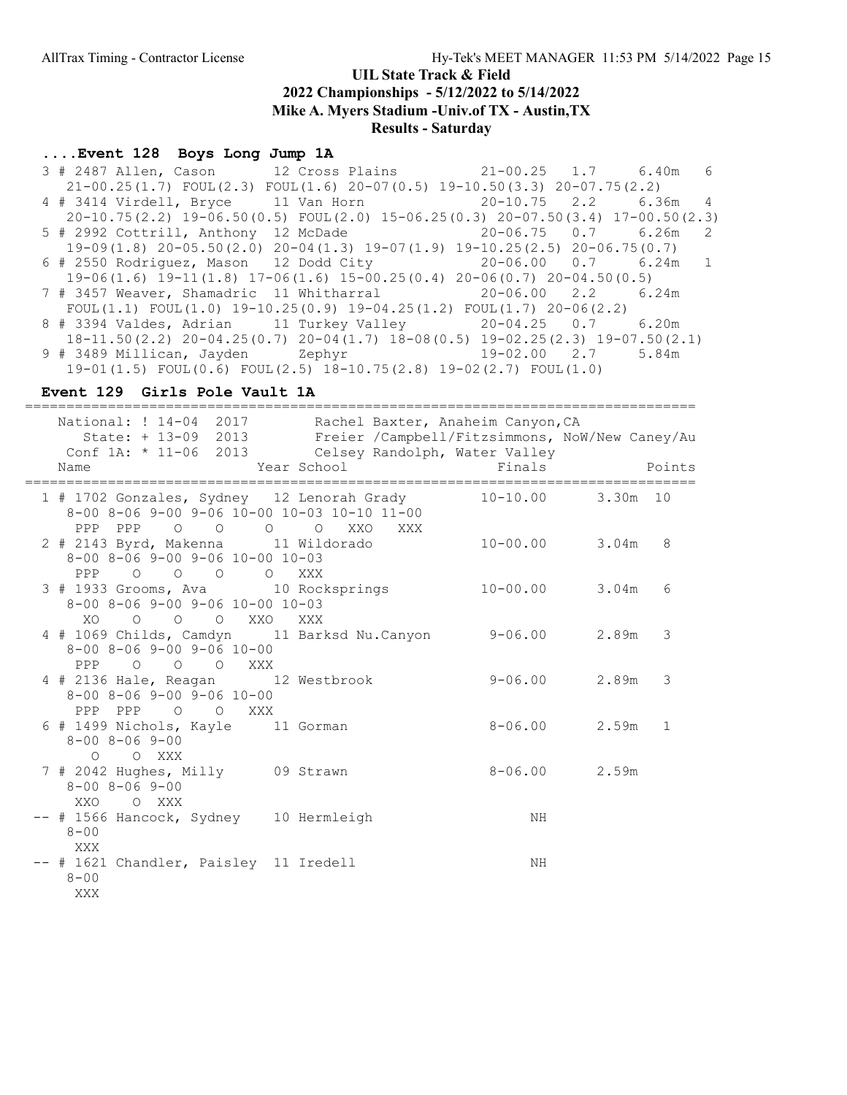### ....Event 128 Boys Long Jump 1A

 3 # 2487 Allen, Cason 12 Cross Plains 21-00.25 1.7 6.40m 6 21-00.25(1.7) FOUL(2.3) FOUL(1.6) 20-07(0.5) 19-10.50(3.3) 20-07.75(2.2) 4 # 3414 Virdell, Bryce 11 Van Horn 20-10.75 2.2 6.36m 4 20-10.75(2.2) 19-06.50(0.5) FOUL(2.0) 15-06.25(0.3) 20-07.50(3.4) 17-00.50(2.3) 5 # 2992 Cottrill, Anthony 12 McDade 20-06.75 0.7 6.26m 2 19-09(1.8) 20-05.50(2.0) 20-04(1.3) 19-07(1.9) 19-10.25(2.5) 20-06.75(0.7) 6 # 2550 Rodriguez, Mason 12 Dodd City 20-06.00 0.7 6.24m 1 19-06(1.6) 19-11(1.8) 17-06(1.6) 15-00.25(0.4) 20-06(0.7) 20-04.50(0.5) 7 # 3457 Weaver, Shamadric 11 Whitharral 20-06.00 2.2 6.24m FOUL(1.1) FOUL(1.0)  $19-10.25(0.9)$   $19-04.25(1.2)$  FOUL(1.7)  $20-06(2.2)$  8 # 3394 Valdes, Adrian 11 Turkey Valley 20-04.25 0.7 6.20m 18-11.50(2.2) 20-04.25(0.7) 20-04(1.7) 18-08(0.5) 19-02.25(2.3) 19-07.50(2.1) 9 # 3489 Millican, Jayden Zephyr 19-02.00 2.7 5.84m  $19-01(1.5)$  FOUL $(0.6)$  FOUL $(2.5)$   $18-10.75(2.8)$   $19-02(2.7)$  FOUL $(1.0)$ 

#### Event 129 Girls Pole Vault 1A

================================================================================= National: ! 14-04 2017 Rachel Baxter, Anaheim Canyon, CA State: + 13-09 2013 Freier /Campbell/Fitzsimmons, NoW/New Caney/Au Conf 1A: \* 11-06 2013 Celsey Randolph, Water Valley Name Year School Finals Points ================================================================================= --------------<br>1 # 1702 Gonzales, Sydney 12 Lenorah Grady 10-10.00 3.30m 10 8-00 8-06 9-00 9-06 10-00 10-03 10-10 11-00 PPP PPP O O O O XXO XXX 2 # 2143 Byrd, Makenna 11 Wildorado 10-00.00 3.04m 8 8-00 8-06 9-00 9-06 10-00 10-03 PPP O O O O XXX 3 # 1933 Grooms, Ava 10 Rocksprings 10-00.00 3.04m 6 8-00 8-06 9-00 9-06 10-00 10-03 XO O O O XXO XXX 4 # 1069 Childs, Camdyn 11 Barksd Nu.Canyon 9-06.00 2.89m 3 8-00 8-06 9-00 9-06 10-00 PPP O O O XXX 4 # 2136 Hale, Reagan 12 Westbrook 9-06.00 2.89m 3 8-00 8-06 9-00 9-06 10-00 PPP PPP O O XXX 6 # 1499 Nichols, Kayle 11 Gorman 8-06.00 2.59m 1 8-00 8-06 9-00 O O XXX 7 # 2042 Hughes, Milly 09 Strawn 8-06.00 2.59m 8-00 8-06 9-00 XXO O XXX -- # 1566 Hancock, Sydney 10 Hermleigh NH 8-00 XXX -- # 1621 Chandler, Paisley 11 Iredell NH 8-00 XXX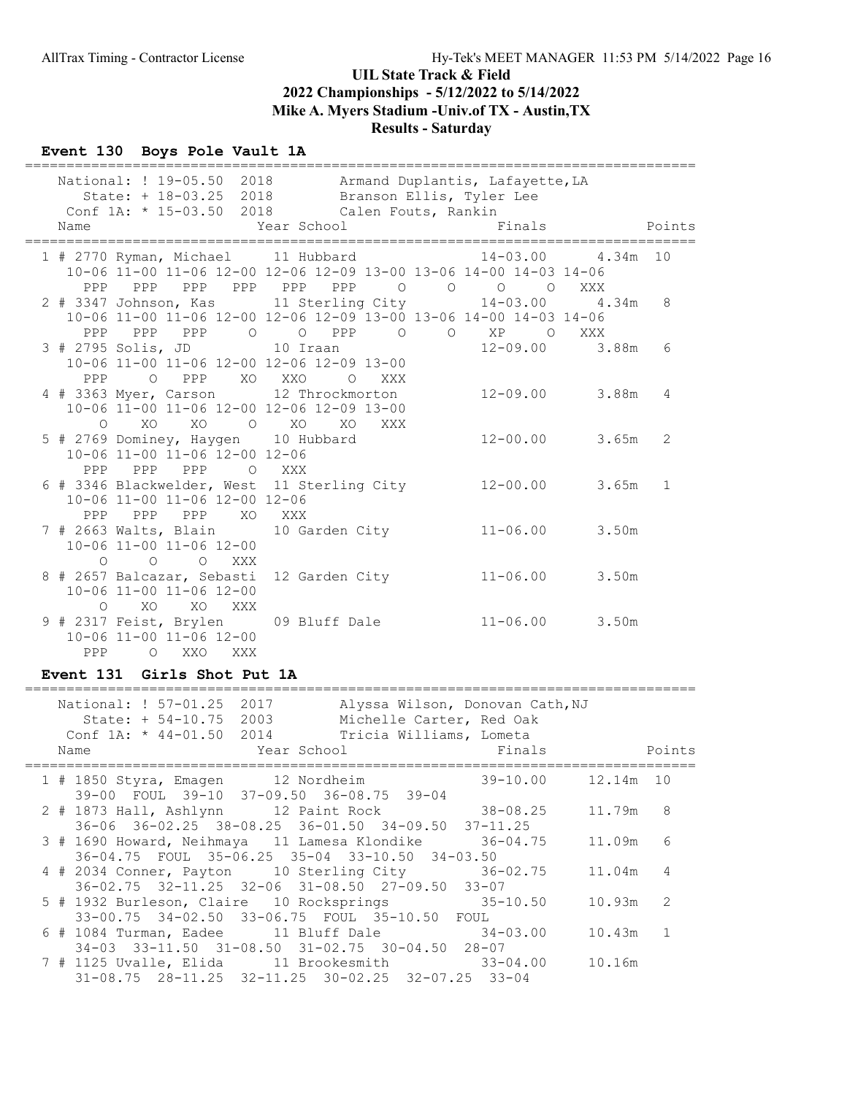### Event 130 Boys Pole Vault 1A

|                                                                     | National: ! 19-05.50 2018 Armand Duplantis, Lafayette, LA<br>State: + 18-03.25 2018 Branson Ellis, Tyler Lee |              |
|---------------------------------------------------------------------|--------------------------------------------------------------------------------------------------------------|--------------|
| Conf 1A: * 15-03.50 2018 Calen Fouts, Rankin<br>Year School<br>Name | Finals                                                                                                       | Points       |
|                                                                     |                                                                                                              |              |
|                                                                     | 1 # 2770 Ryman, Michael 11 Hubbard 14-03.00 4.34m 10                                                         |              |
|                                                                     | 10-06 11-00 11-06 12-00 12-06 12-09 13-00 13-06 14-00 14-03 14-06                                            |              |
|                                                                     | PPP PPP PPP PPP PPP PPP 0 0 0 0<br>XXX                                                                       |              |
|                                                                     | 2 # 3347 Johnson, Kas 11 Sterling City 14-03.00 4.34m                                                        | 8            |
|                                                                     | 10-06 11-00 11-06 12-00 12-06 12-09 13-00 13-06 14-00 14-03 14-06                                            |              |
|                                                                     | PPP PPP PPP 0 0 PPP 0 0 XP 0<br>XXX                                                                          |              |
| 3 # 2795 Solis, JD 10 Iraan                                         | $12 - 09.00$ 3.88m                                                                                           | 6            |
| 10-06 11-00 11-06 12-00 12-06 12-09 13-00                           |                                                                                                              |              |
| PPP OPPP XOXXO O                                                    | XXX                                                                                                          |              |
| 4 # 3363 Myer, Carson 12 Throckmorton                               | 12-09.00 3.88m                                                                                               | 4            |
| 10-06 11-00 11-06 12-00 12-06 12-09 13-00                           |                                                                                                              |              |
| XO XO O XO XO<br>$\Omega$                                           | XXX                                                                                                          |              |
| 5 # 2769 Dominey, Haygen 10 Hubbard                                 | $12 - 00.00$ 3.65m                                                                                           | 2            |
| 10-06 11-00 11-06 12-00 12-06                                       |                                                                                                              |              |
| PPP<br>PPP<br>PPP<br>O XXX                                          |                                                                                                              |              |
|                                                                     | 6 # 3346 Blackwelder, West 11 Sterling City 12-00.00 3.65m                                                   | $\mathbf{1}$ |
| 10-06 11-00 11-06 12-00 12-06                                       |                                                                                                              |              |
| PPP PPP<br>PPP XO XXX                                               |                                                                                                              |              |
| 7 # 2663 Walts, Blain 10 Garden City                                | $11 - 06.00$ 3.50m                                                                                           |              |
| 10-06 11-00 11-06 12-00                                             |                                                                                                              |              |
| $\circ$<br>$\bigcirc$<br>O XXX                                      |                                                                                                              |              |
| 8 # 2657 Balcazar, Sebasti 12 Garden City                           | $11 - 06.00$ 3.50m                                                                                           |              |
| 10-06 11-00 11-06 12-00                                             |                                                                                                              |              |
| O XO XO XXX                                                         |                                                                                                              |              |
| 9 # 2317 Feist, Brylen 09 Bluff Dale                                | $11 - 06.00$ 3.50m                                                                                           |              |
| 10-06 11-00 11-06 12-00<br>$\circ$                                  |                                                                                                              |              |
| PPP<br>XXO<br>XXX                                                   |                                                                                                              |              |

### Event 131 Girls Shot Put 1A

| National: ! 57-01.25<br>2017<br>Alyssa Wilson, Donovan Cath, NJ<br>State: + 54-10.75 2003<br>Michelle Carter, Red Oak<br>Conf 1A: * 44-01.50 2014 Tricia Williams, Lometa |                          |                |
|---------------------------------------------------------------------------------------------------------------------------------------------------------------------------|--------------------------|----------------|
| <b>Example 2</b> Year School <b>Example 2</b> School <b>Primals</b><br>Name                                                                                               | <b>Example 19</b> Points |                |
| 1 # 1850 Styra, Emagen 12 Nordheim 39-10.00 12.14m 10<br>39-00 FOUL 39-10 37-09.50 36-08.75 39-04                                                                         |                          |                |
| 2 # 1873 Hall, Ashlynn 12 Paint Rock 38-08.25<br>$36-06$ $36-02.25$ $38-08.25$ $36-01.50$ $34-09.50$ $37-11.25$                                                           | 11.79m 8                 |                |
| 3 # 1690 Howard, Neihmaya 11 Lamesa Klondike 36-04.75<br>36-04.75 FOUL 35-06.25 35-04 33-10.50 34-03.50                                                                   | 11.09m                   | 6              |
| 4 # 2034 Conner, Payton 10 Sterling City 36-02.75<br>$36-02.75$ $32-11.25$ $32-06$ $31-08.50$ $27-09.50$ $33-07$                                                          | 11.04m                   | $\overline{4}$ |
| 5 # 1932 Burleson, Claire 10 Rocksprings 35-10.50<br>33-00.75 34-02.50 33-06.75 FOUL 35-10.50 FOUL                                                                        | $10.93m$ 2               |                |
| 6 # 1084 Turman, Eadee 11 Bluff Dale 34-03.00<br>$34-03$ $33-11.50$ $31-08.50$ $31-02.75$ $30-04.50$ $28-07$                                                              | $10.43m$ 1               |                |
| 7 # 1125 Uvalle, Elida 11 Brookesmith 33-04.00<br>$31-08.75$ $28-11.25$ $32-11.25$ $30-02.25$ $32-07.25$ $33-04$                                                          | 10.16m                   |                |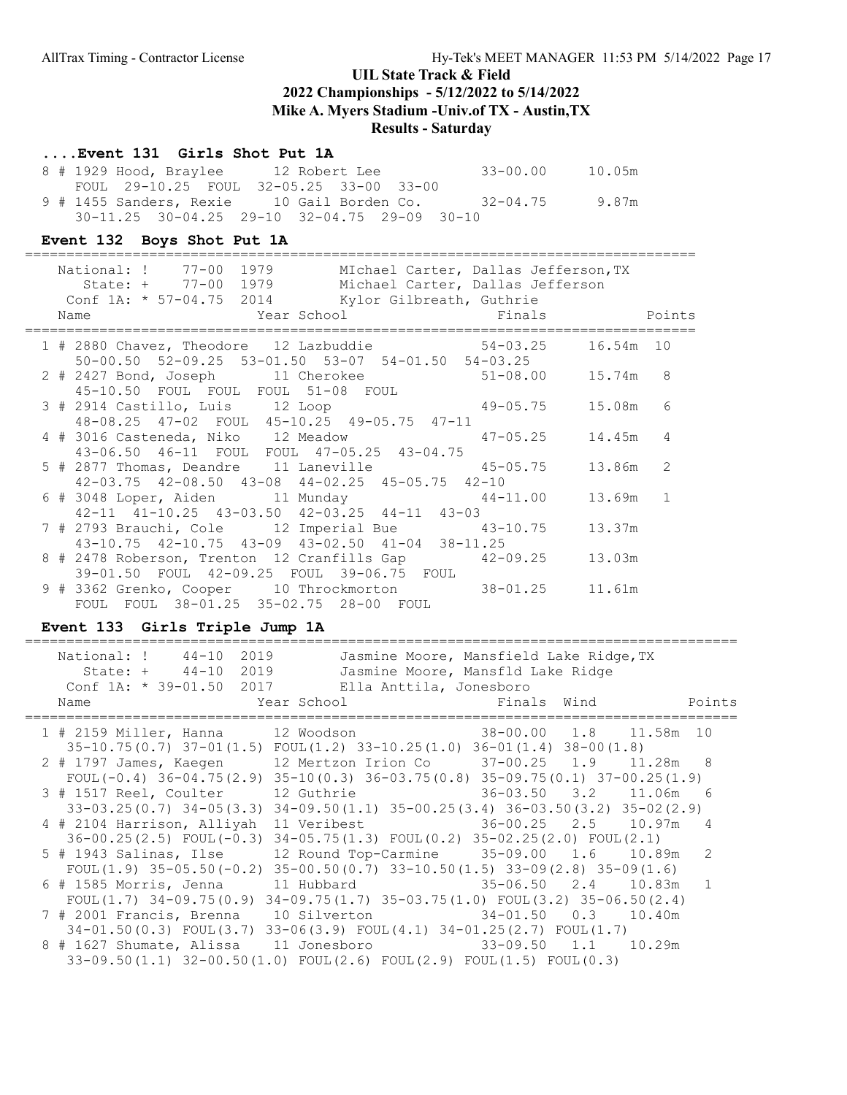### ....Event 131 Girls Shot Put 1A

| 8 # 1929 Hood, Braylee | 12 Robert Lee                                            | $33 - 00.00$ | 10.05m |
|------------------------|----------------------------------------------------------|--------------|--------|
|                        | FOUL 29-10.25 FOUL 32-05.25 33-00 33-00                  |              |        |
|                        | 9 # 1455 Sanders, Rexie      10 Gail Borden Co.          | $32 - 04.75$ | 9.87m  |
|                        | $30-11.25$ $30-04.25$ $29-10$ $32-04.75$ $29-09$ $30-10$ |              |        |

### Event 132 Boys Shot Put 1A

|  | National: ! 77-00 1979 MIchael Carter, Dallas Jefferson, TX<br>State: + 77-00 1979 Michael Carter, Dallas Jefferson                            |           |   |
|--|------------------------------------------------------------------------------------------------------------------------------------------------|-----------|---|
|  | Conf 1A: * 57-04.75 2014 Kylor Gilbreath, Guthrie<br><b>Example 2018</b> Year School <b>Example 2018</b> Points<br>Name                        |           |   |
|  | 1 # 2880 Chavez, Theodore 12 Lazbuddie 54-03.25<br>50-00.50 52-09.25 53-01.50 53-07 54-01.50 54-03.25                                          | 16.54m 10 |   |
|  | 2 # 2427 Bond, Joseph 11 Cherokee 51-08.00 15.74m 8<br>45-10.50 FOUL FOUL FOUL 51-08 FOUL                                                      |           |   |
|  | 3 # 2914 Castillo, Luis 12 Loop 49-05.75                                                                                                       | 15.08m    | 6 |
|  | 48-08.25 47-02 FOUL 45-10.25 49-05.75 47-11<br>4 # 3016 Casteneda, Niko 12 Meadow 47-05.25                                                     | 14.45m 4  |   |
|  | 43-06.50 46-11 FOUL FOUL 47-05.25 43-04.75<br>5 # 2877 Thomas, Deandre 11 Laneville 45-05.75                                                   | 13.86m 2  |   |
|  | $42-03.75$ $42-08.50$ $43-08$ $44-02.25$ $45-05.75$ $42-10$<br>6 # 3048 Loper, Aiden 11 Munday 44-11.00                                        | 13.69m 1  |   |
|  | 42-11 41-10.25 43-03.50 42-03.25 44-11 43-03<br>7 # 2793 Brauchi, Cole 12 Imperial Bue 43-10.75 13.37m                                         |           |   |
|  | $43-10.75$ $42-10.75$ $43-09$ $43-02.50$ $41-04$ $38-11.25$<br>8 # 2478 Roberson, Trenton 12 Cranfills Gap 42-09.25 13.03m                     |           |   |
|  | 39-01.50 FOUL 42-09.25 FOUL 39-06.75 FOUL<br>9 # 3362 Grenko, Cooper 10 Throckmorton 38-01.25 11.61m<br>FOUL FOUL 38-01.25 35-02.75 28-00 FOUL |           |   |

### Event 133 Girls Triple Jump 1A

======================================================================================

| National: ! 44-10 2019<br>State: + 44-10 2019<br>Conf 1A: * 39-01.50 2017 Ella Anttila, Jonesboro<br>Name                                                                                                                                                 | Jasmine Moore, Mansfield Lake Ridge, TX<br>Jasmine Moore, Mansfld Lake Ridge |  | Points       |
|-----------------------------------------------------------------------------------------------------------------------------------------------------------------------------------------------------------------------------------------------------------|------------------------------------------------------------------------------|--|--------------|
| 1 # 2159 Miller, Hanna 12 Woodson 38-00.00 1.8 11.58m 10                                                                                                                                                                                                  |                                                                              |  |              |
| $35-10.75(0.7)$ $37-01(1.5)$ $FOUL(1.2)$ $33-10.25(1.0)$ $36-01(1.4)$ $38-00(1.8)$<br>2 # 1797 James, Kaeqen 12 Mertzon Irion Co 37-00.25 1.9 11.28m 8<br>FOUL $(-0.4)$ 36-04.75 $(2.9)$ 35-10 $(0.3)$ 36-03.75 $(0.8)$ 35-09.75 $(0.1)$ 37-00.25 $(1.9)$ |                                                                              |  |              |
| 3 # 1517 Reel, Coulter<br>$33-03.25(0.7)$ $34-05(3.3)$ $34-09.50(1.1)$ $35-00.25(3.4)$ $36-03.50(3.2)$ $35-02(2.9)$                                                                                                                                       | 36-03.50 3.2 11.06m 6<br>12 Guthrie                                          |  |              |
| 4 # 2104 Harrison, Alliyah 11 Veribest 36-00.25 2.5 10.97m 4<br>$36-00.25(2.5)$ FOUL $(-0.3)$ $34-05.75(1.3)$ FOUL $(0.2)$ $35-02.25(2.0)$ FOUL $(2.1)$                                                                                                   |                                                                              |  |              |
| 5 # 1943 Salinas, Ilse<br>FOUL $(1.9)$ 35-05.50 $(-0.2)$ 35-00.50 $(0.7)$ 33-10.50 $(1.5)$ 33-09 $(2.8)$ 35-09 $(1.6)$                                                                                                                                    | 12 Round Top-Carmine 35-09.00 1.6 10.89m                                     |  | -2           |
| 6 # 1585 Morris, Jenna<br>FOUL $(1.7)$ 34-09.75 $(0.9)$ 34-09.75 $(1.7)$ 35-03.75 $(1.0)$ FOUL $(3.2)$ 35-06.50 $(2.4)$                                                                                                                                   |                                                                              |  | $\mathbf{1}$ |
| $34-01.50(0.3)$ FOUL $(3.7)$ $33-06(3.9)$ FOUL $(4.1)$ $34-01.25(2.7)$ FOUL $(1.7)$                                                                                                                                                                       |                                                                              |  |              |
| 8 # 1627 Shumate, Alissa 11 Jonesboro 33-09.50 1.1 10.29m<br>$33-09.50(1.1)$ $32-00.50(1.0)$ $FOUT(2.6)$ $FOUT(2.9)$ $FOUT(1.5)$ $FOUT(0.3)$                                                                                                              |                                                                              |  |              |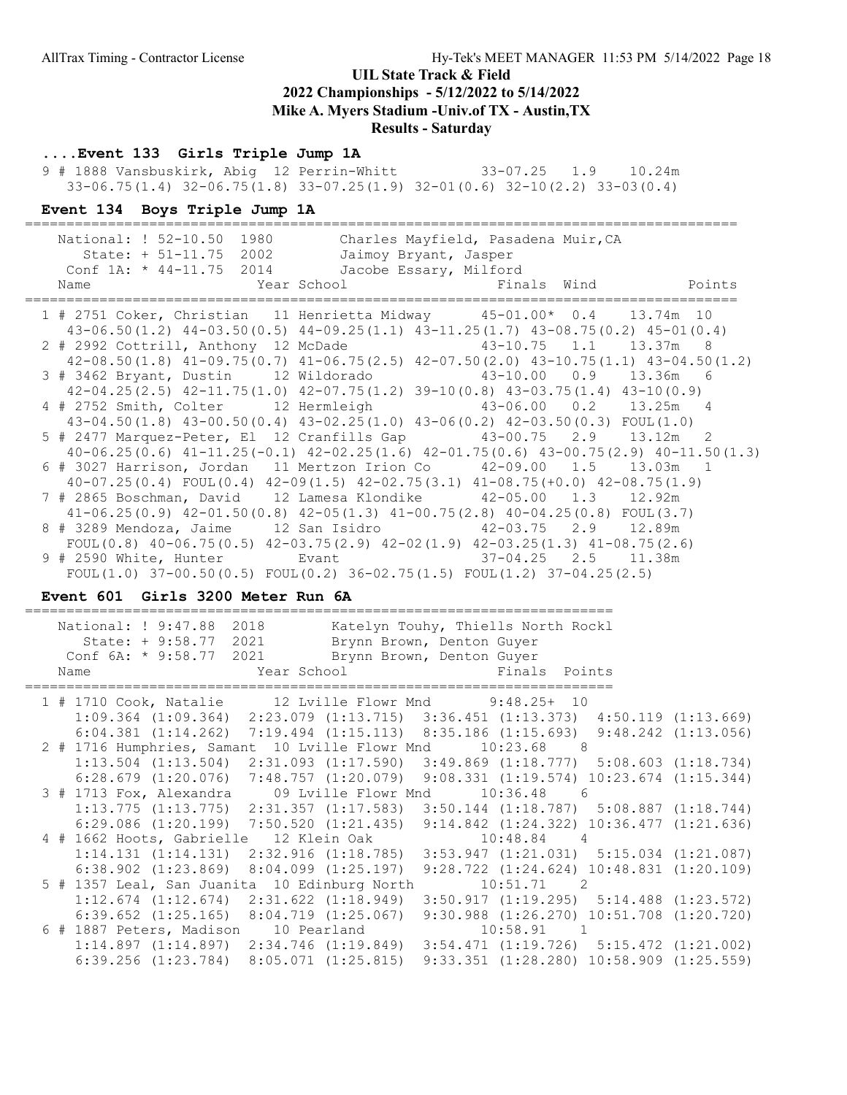### ....Event 133 Girls Triple Jump 1A

 9 # 1888 Vansbuskirk, Abig 12 Perrin-Whitt 33-07.25 1.9 10.24m 33-06.75(1.4) 32-06.75(1.8) 33-07.25(1.9) 32-01(0.6) 32-10(2.2) 33-03(0.4)

### Event 134 Boys Triple Jump 1A

| National: ! 52-10.50 1980<br>Charles Mayfield, Pasadena Muir, CA<br>State: + 51-11.75 2002<br>Jaimoy Bryant, Jasper<br>Conf 1A: * 44-11.75 2014 Jacobe Essary, Milford<br>Finals Wind Points<br>External School Year School<br>Name |  |
|-------------------------------------------------------------------------------------------------------------------------------------------------------------------------------------------------------------------------------------|--|
| 1 # 2751 Coker, Christian 11 Henrietta Midway 45-01.00* 0.4 13.74m 10<br>43-06.50(1.2) 44-03.50(0.5) 44-09.25(1.1) 43-11.25(1.7) 43-08.75(0.2) 45-01(0.4)                                                                           |  |
| 2 # 2992 Cottrill, Anthony 12 McDade 43-10.75 1.1 13.37m 8                                                                                                                                                                          |  |
| $42-08.50(1.8)$ $41-09.75(0.7)$ $41-06.75(2.5)$ $42-07.50(2.0)$ $43-10.75(1.1)$ $43-04.50(1.2)$                                                                                                                                     |  |
| 3 # 3462 Bryant, Dustin 12 Wildorado 43-10.00 0.9 13.36m 6                                                                                                                                                                          |  |
| $42-04.25(2.5)$ $42-11.75(1.0)$ $42-07.75(1.2)$ $39-10(0.8)$ $43-03.75(1.4)$ $43-10(0.9)$                                                                                                                                           |  |
| 4 # 2752 Smith, Colter 12 Hermleigh 43-06.00 0.2 13.25m 4                                                                                                                                                                           |  |
| $43-04.50(1.8)$ $43-00.50(0.4)$ $43-02.25(1.0)$ $43-06(0.2)$ $42-03.50(0.3)$ FOUL $(1.0)$                                                                                                                                           |  |
| 5 # 2477 Marquez-Peter, El 12 Cranfills Gap 43-00.75 2.9 13.12m 2                                                                                                                                                                   |  |
| $40-06.25(0.6)$ $41-11.25(-0.1)$ $42-02.25(1.6)$ $42-01.75(0.6)$ $43-00.75(2.9)$ $40-11.50(1.3)$                                                                                                                                    |  |
| 6 # 3027 Harrison, Jordan 11 Mertzon Irion Co   42-09.00   1.5   13.03m   1                                                                                                                                                         |  |
| $40-07.25(0.4)$ FOUL $(0.4)$ $42-09(1.5)$ $42-02.75(3.1)$ $41-08.75(+0.0)$ $42-08.75(1.9)$<br>7 # 2865 Boschman, David 12 Lamesa Klondike 42-05.00 1.3 12.92m                                                                       |  |
| $41-06.25(0.9)$ $42-01.50(0.8)$ $42-05(1.3)$ $41-00.75(2.8)$ $40-04.25(0.8)$ FOUL(3.7)                                                                                                                                              |  |
| 8 # 3289 Mendoza, Jaime 12 San Isidro 42-03.75 2.9 12.89m                                                                                                                                                                           |  |
| FOUL $(0.8)$ 40-06.75 $(0.5)$ 42-03.75 $(2.9)$ 42-02 $(1.9)$ 42-03.25 $(1.3)$ 41-08.75 $(2.6)$                                                                                                                                      |  |
| 9 # 2590 White, Hunter Evant 6 17-04.25 2.5 11.38m                                                                                                                                                                                  |  |
| FOUL(1.0) $37-00.50(0.5)$ FOUL(0.2) $36-02.75(1.5)$ FOUL(1.2) $37-04.25(2.5)$                                                                                                                                                       |  |

### Event 601 Girls 3200 Meter Run 6A

| National: ! 9:47.88<br>State: + 9:58.77 2021 Brynn Brown, Denton Guyer<br>Conf 6A: * 9:58.77 2021 Brynn Brown, Denton Guyer<br>Name | 2018 | Katelyn Touhy, Thiells North Rockl<br>Year School and the School | Finals Points                                    |                                                  |
|-------------------------------------------------------------------------------------------------------------------------------------|------|------------------------------------------------------------------|--------------------------------------------------|--------------------------------------------------|
| 1 # 1710 Cook, Natalie 12 Lville Flowr Mnd 9:48.25+ 10                                                                              |      |                                                                  |                                                  |                                                  |
| $1:09.364$ (1:09.364) $2:23.079$ (1:13.715) $3:36.451$ (1:13.373) $4:50.119$ (1:13.669)                                             |      |                                                                  |                                                  |                                                  |
| $6:04.381$ $(1:14.262)$ $7:19.494$ $(1:15.113)$ $8:35.186$ $(1:15.693)$ $9:48.242$ $(1:13.056)$                                     |      |                                                                  |                                                  |                                                  |
| 2 # 1716 Humphries, Samant 10 Lville Flowr Mnd 10:23.68 8                                                                           |      |                                                                  |                                                  |                                                  |
| $1:13.504$ $(1:13.504)$ $2:31.093$ $(1:17.590)$ $3:49.869$ $(1:18.777)$ $5:08.603$ $(1:18.734)$                                     |      |                                                                  |                                                  |                                                  |
| 6:28.679 (1:20.076) 7:48.757 (1:20.079) 9:08.331 (1:19.574) 10:23.674 (1:15.344)                                                    |      |                                                                  |                                                  |                                                  |
| 3 # 1713 Fox, Alexandra 09 Lville Flowr Mnd 10:36.48 6                                                                              |      |                                                                  |                                                  |                                                  |
| $1:13.775$ $(1:13.775)$ $2:31.357$ $(1:17.583)$ $3:50.144$ $(1:18.787)$ $5:08.887$ $(1:18.744)$                                     |      |                                                                  |                                                  |                                                  |
| $6:29.086$ (1:20.199) 7:50.520 (1:21.435) 9:14.842 (1:24.322) 10:36.477 (1:21.636)                                                  |      |                                                                  |                                                  |                                                  |
| 4 # 1662 Hoots, Gabrielle 12 Klein Oak                                                                                              |      |                                                                  | $10:48.84$ 4                                     |                                                  |
| $1:14.131$ $(1:14.131)$ $2:32.916$ $(1:18.785)$ $3:53.947$ $(1:21.031)$ $5:15.034$ $(1:21.087)$                                     |      |                                                                  |                                                  |                                                  |
| $6:38.902$ $(1:23.869)$ $8:04.099$ $(1:25.197)$                                                                                     |      |                                                                  | $9:28.722$ $(1:24.624)$ $10:48.831$ $(1:20.109)$ |                                                  |
| 5 # 1357 Leal, San Juanita 10 Edinburg North                                                                                        |      |                                                                  | 10:51.71 2                                       |                                                  |
| $1:12.674$ $(1:12.674)$ $2:31.622$ $(1:18.949)$ $3:50.917$ $(1:19.295)$ $5:14.488$ $(1:23.572)$                                     |      |                                                                  |                                                  |                                                  |
| $6:39.652$ $(1:25.165)$ $8:04.719$ $(1:25.067)$                                                                                     |      |                                                                  | $9:30.988$ $(1:26.270)$ $10:51.708$ $(1:20.720)$ |                                                  |
| 6 # 1887 Peters, Madison 10 Pearland 10:58.91 1                                                                                     |      |                                                                  |                                                  |                                                  |
| $1:14.897$ $(1:14.897)$ $2:34.746$ $(1:19.849)$ $3:54.471$ $(1:19.726)$ $5:15.472$ $(1:21.002)$                                     |      |                                                                  |                                                  |                                                  |
| $6:39.256$ $(1:23.784)$ $8:05.071$ $(1:25.815)$                                                                                     |      |                                                                  |                                                  | $9:33.351$ $(1:28.280)$ $10:58.909$ $(1:25.559)$ |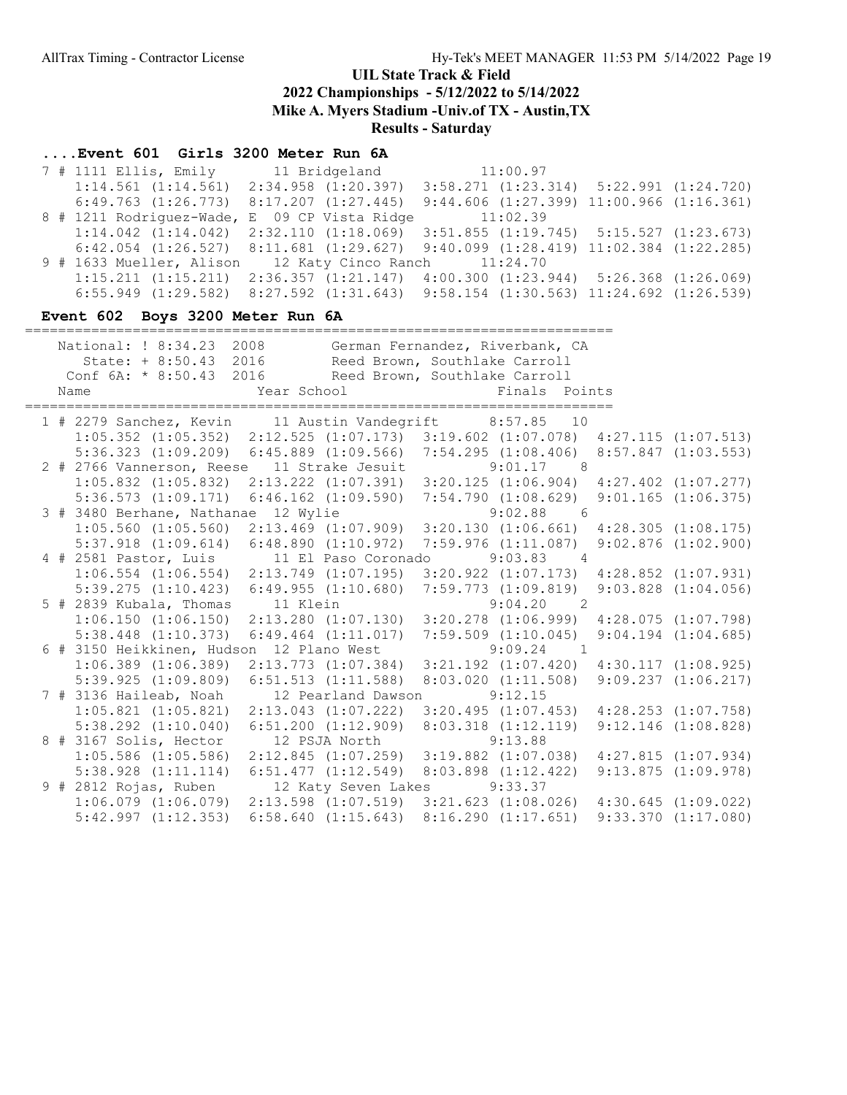### ....Event 601 Girls 3200 Meter Run 6A

 7 # 1111 Ellis, Emily 11 Bridgeland 11:00.97 1:14.561 (1:14.561) 2:34.958 (1:20.397) 3:58.271 (1:23.314) 5:22.991 (1:24.720) 6:49.763 (1:26.773) 8:17.207 (1:27.445) 9:44.606 (1:27.399) 11:00.966 (1:16.361) 8 # 1211 Rodriguez-Wade, E 09 CP Vista Ridge 11:02.39 1:14.042 (1:14.042) 2:32.110 (1:18.069) 3:51.855 (1:19.745) 5:15.527 (1:23.673) 6:42.054 (1:26.527) 8:11.681 (1:29.627) 9:40.099 (1:28.419) 11:02.384 (1:22.285) 9 # 1633 Mueller, Alison 12 Katy Cinco Ranch 11:24.70 1:15.211 (1:15.211) 2:36.357 (1:21.147) 4:00.300 (1:23.944) 5:26.368 (1:26.069) 6:55.949 (1:29.582) 8:27.592 (1:31.643) 9:58.154 (1:30.563) 11:24.692 (1:26.539)

#### Event 602 Boys 3200 Meter Run 6A

| National: ! 8:34.23 2008 German Fernandez, Riverbank, CA<br>State: + 8:50.43 2016 Reed Brown, Southlake Carroll<br>Conf 6A: * 8:50.43 2016 Reed Brown, Southlake Carroll<br>Year School <a> Finals Points<br/>Name</a> |                       |                                                               |                         |
|------------------------------------------------------------------------------------------------------------------------------------------------------------------------------------------------------------------------|-----------------------|---------------------------------------------------------------|-------------------------|
| 1 # 2279 Sanchez, Kevin 11 Austin Vandegrift 8:57.85 10                                                                                                                                                                |                       |                                                               |                         |
| $1:05.352$ $(1:05.352)$ $2:12.525$ $(1:07.173)$ $3:19.602$ $(1:07.078)$ $4:27.115$ $(1:07.513)$                                                                                                                        |                       |                                                               |                         |
| 5:36.323 (1:09.209) 6:45.889 (1:09.566) 7:54.295 (1:08.406) 8:57.847 (1:03.553)                                                                                                                                        |                       |                                                               |                         |
| 2 # 2766 Vannerson, Reese 11 Strake Jesuit 9:01.17 8                                                                                                                                                                   |                       |                                                               |                         |
| $1:05.832$ $(1:05.832)$ $2:13.222$ $(1:07.391)$ $3:20.125$ $(1:06.904)$ $4:27.402$ $(1:07.277)$                                                                                                                        |                       |                                                               |                         |
| 5:36.573 (1:09.171) 6:46.162 (1:09.590) 7:54.790 (1:08.629) 9:01.165 (1:06.375)                                                                                                                                        |                       |                                                               |                         |
| 3 # 3480 Berhane, Nathanae 12 Wylie 3 .02.88 6                                                                                                                                                                         |                       |                                                               |                         |
| $1:05.560$ $(1:05.560)$ $2:13.469$ $(1:07.909)$ $3:20.130$ $(1:06.661)$ $4:28.305$ $(1:08.175)$                                                                                                                        |                       |                                                               |                         |
| 5:37.918 (1:09.614) 6:48.890 (1:10.972) 7:59.976 (1:11.087) 9:02.876 (1:02.900)                                                                                                                                        |                       |                                                               |                         |
| 4 # 2581 Pastor, Luis $11$ El Paso Coronado $9:03.83$ 4                                                                                                                                                                |                       |                                                               |                         |
| $1:06.554$ $(1:06.554)$ $2:13.749$ $(1:07.195)$ $3:20.922$ $(1:07.173)$ $4:28.852$ $(1:07.931)$                                                                                                                        |                       |                                                               |                         |
| 5:39.275 (1:10.423) 6:49.955 (1:10.680) 7:59.773 (1:09.819) 9:03.828 (1:04.056)                                                                                                                                        |                       |                                                               |                         |
| 5 # 2839 Kubala, Thomas 11 Klein 5 9:04.20 2                                                                                                                                                                           |                       |                                                               |                         |
| $1:06.150$ $(1:06.150)$ $2:13.280$ $(1:07.130)$ $3:20.278$ $(1:06.999)$ $4:28.075$ $(1:07.798)$                                                                                                                        |                       |                                                               |                         |
| 5:38.448 (1:10.373) 6:49.464 (1:11.017) 7:59.509 (1:10.045) 9:04.194 (1:04.685)                                                                                                                                        |                       |                                                               |                         |
| 6 # 3150 Heikkinen, Hudson 12 Plano West 9:09.24 1                                                                                                                                                                     |                       |                                                               |                         |
| $1:06.389$ (1:06.389) $2:13.773$ (1:07.384) $3:21.192$ (1:07.420) $4:30.117$ (1:08.925)                                                                                                                                |                       |                                                               |                         |
| 5:39.925 (1:09.809) 6:51.513 (1:11.588) 8:03.020 (1:11.508) 9:09.237 (1:06.217)                                                                                                                                        |                       |                                                               |                         |
| 7 # 3136 Haileab, Noah 12 Pearland Dawson 9:12.15                                                                                                                                                                      |                       |                                                               |                         |
| $1:05.821$ $(1:05.821)$ $2:13.043$ $(1:07.222)$ $3:20.495$ $(1:07.453)$ $4:28.253$ $(1:07.758)$                                                                                                                        |                       |                                                               |                         |
| $5:38.292$ $(1:10.040)$ $6:51.200$ $(1:12.909)$ $8:03.318$ $(1:12.119)$                                                                                                                                                |                       |                                                               | $9:12.146$ $(1:08.828)$ |
| 8 # 3167 Solis, Hector                                                                                                                                                                                                 | 12 PSJA North 9:13.88 |                                                               |                         |
| $1:05.586$ $(1:05.586)$                                                                                                                                                                                                |                       | 2:12.845 (1:07.259) 3:19.882 (1:07.038) 4:27.815 (1:07.934)   |                         |
| 5:38.928 (1:11.114) 6:51.477 (1:12.549) 8:03.898 (1:12.422) 9:13.875 (1:09.978)                                                                                                                                        |                       |                                                               |                         |
| 9 # 2812 Rojas, Ruben 12 Katy Seven Lakes 9:33.37                                                                                                                                                                      |                       |                                                               |                         |
| $1:06.079$ $(1:06.079)$ $2:13.598$ $(1:07.519)$ $3:21.623$ $(1:08.026)$ $4:30.645$ $(1:09.022)$                                                                                                                        |                       |                                                               |                         |
| $5:42.997$ $(1:12.353)$                                                                                                                                                                                                |                       | $6:58.640$ (1:15.643) 8:16.290 (1:17.651) 9:33.370 (1:17.080) |                         |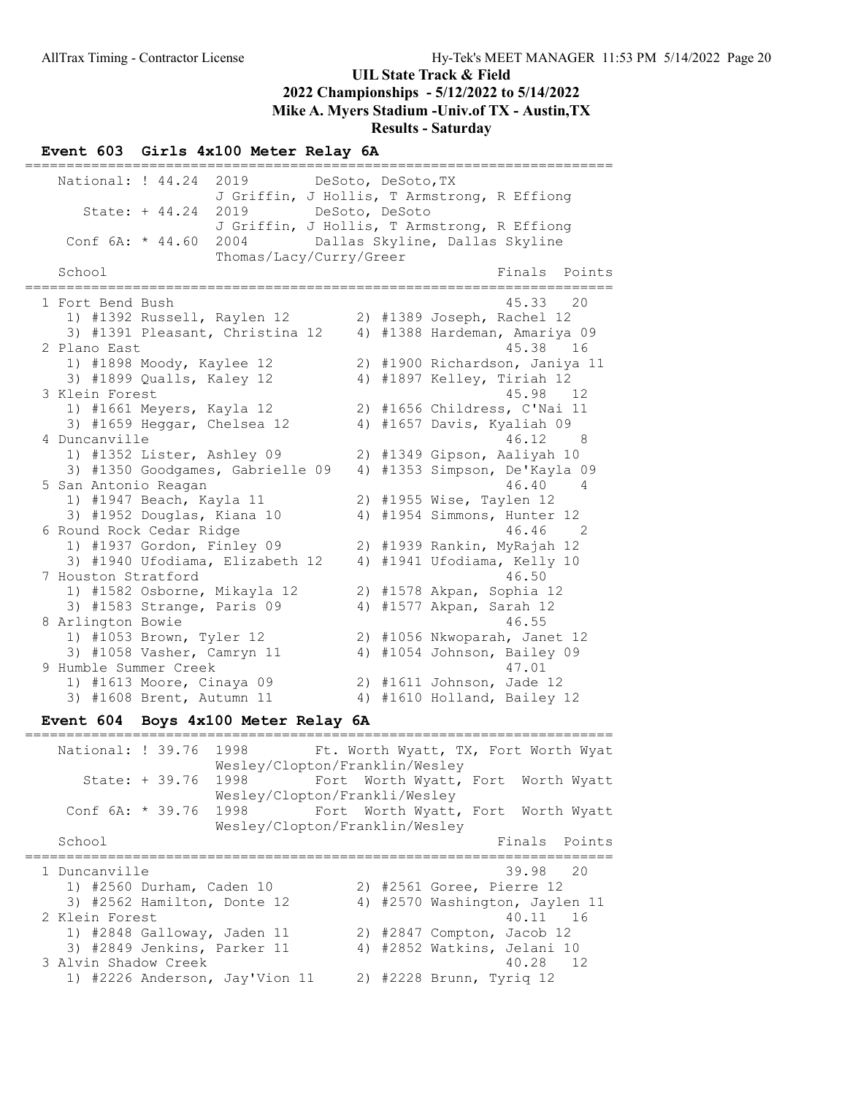#### Event 603 Girls 4x100 Meter Relay 6A

======================================================================= National: ! 44.24 2019 DeSoto, DeSoto, TX J Griffin, J Hollis, T Armstrong, R Effiong State: + 44.24 2019 DeSoto, DeSoto J Griffin, J Hollis, T Armstrong, R Effiong Conf 6A: \* 44.60 2004 Dallas Skyline, Dallas Skyline Thomas/Lacy/Curry/Greer Finals Points ======================================================================= 1 Fort Bend Bush 45.33 20 1) #1392 Russell, Raylen 12 2) #1389 Joseph, Rachel 12 3) #1391 Pleasant, Christina 12 4) #1388 Hardeman, Amariya 09 2 Plano East 45.38 16 1) #1898 Moody, Kaylee 12 2) #1900 Richardson, Janiya 11 3) #1899 Qualls, Kaley 12 4) #1897 Kelley, Tiriah 12 3 Klein Forest 45.98 12 1) #1661 Meyers, Kayla 12 2) #1656 Childress, C'Nai 11 3) #1659 Heggar, Chelsea 12 4) #1657 Davis, Kyaliah 09 4 Duncanville 46.12 8 1) #1352 Lister, Ashley 09 2) #1349 Gipson, Aaliyah 10 3) #1350 Goodgames, Gabrielle 09 4) #1353 Simpson, De'Kayla 09 5 San Antonio Reagan 46.40 4 1) #1947 Beach, Kayla 11 2) #1955 Wise, Taylen 12 3) #1952 Douglas, Kiana 10 4) #1954 Simmons, Hunter 12 6 Round Rock Cedar Ridge 46.46 2 1) #1937 Gordon, Finley 09 2) #1939 Rankin, MyRajah 12 3) #1940 Ufodiama, Elizabeth 12 4) #1941 Ufodiama, Kelly 10 7 Houston Stratford 46.50 1) #1582 Osborne, Mikayla 12 2) #1578 Akpan, Sophia 12 3) #1583 Strange, Paris 09 4) #1577 Akpan, Sarah 12 8 Arlington Bowie 16, 1990 16, 1991 16, 1992 16, 1992 16, 1992 17: 18, 1992 17: 18, 1992 17: 18, 1993 17: 18, 1 1) #1053 Brown, Tyler 12 2) #1056 Nkwoparah, Janet 12 3) #1058 Vasher, Camryn 11 4) #1054 Johnson, Bailey 09 9 Humble Summer Creek 47.01 1) #1613 Moore, Cinaya 09 2) #1611 Johnson, Jade 12 3) #1608 Brent, Autumn 11 4) #1610 Holland, Bailey 12

#### Event 604 Boys 4x100 Meter Relay 6A

======================================================================= National: ! 39.76 1998 Ft. Worth Wyatt, TX, Fort Worth Wyat Wesley/Clopton/Franklin/Wesley State: + 39.76 1998 Fort Worth Wyatt, Fort Worth Wyatt Wesley/Clopton/Frankli/Wesley Conf 6A: \* 39.76 1998 Fort Worth Wyatt, Fort Worth Wyatt Wesley/Clopton/Franklin/Wesley School **Finals Points** ======================================================================= 1 Duncanville 39.98 20 1) #2560 Durham, Caden 10 2) #2561 Goree, Pierre 12 3) #2562 Hamilton, Donte 12 4) #2570 Washington, Jaylen 11 2 Klein Forest 16 and 16 and 16 and 16 and 16 and 16 and 16 and 16 and 16 and 16 and 16 and 16 and 16 and 16 and 16 and 16 and 16 and 16 and 16 and 16 and 16 and 16 and 16 and 16 and 16 and 16 and 16 and 16 and 16 and 16 a 1) #2848 Galloway, Jaden 11 2) #2847 Compton, Jacob 12 3) #2849 Jenkins, Parker 11 4) #2852 Watkins, Jelani 10 3 Alvin Shadow Creek 40.28 12 1) #2226 Anderson, Jay'Vion 11 2) #2228 Brunn, Tyriq 12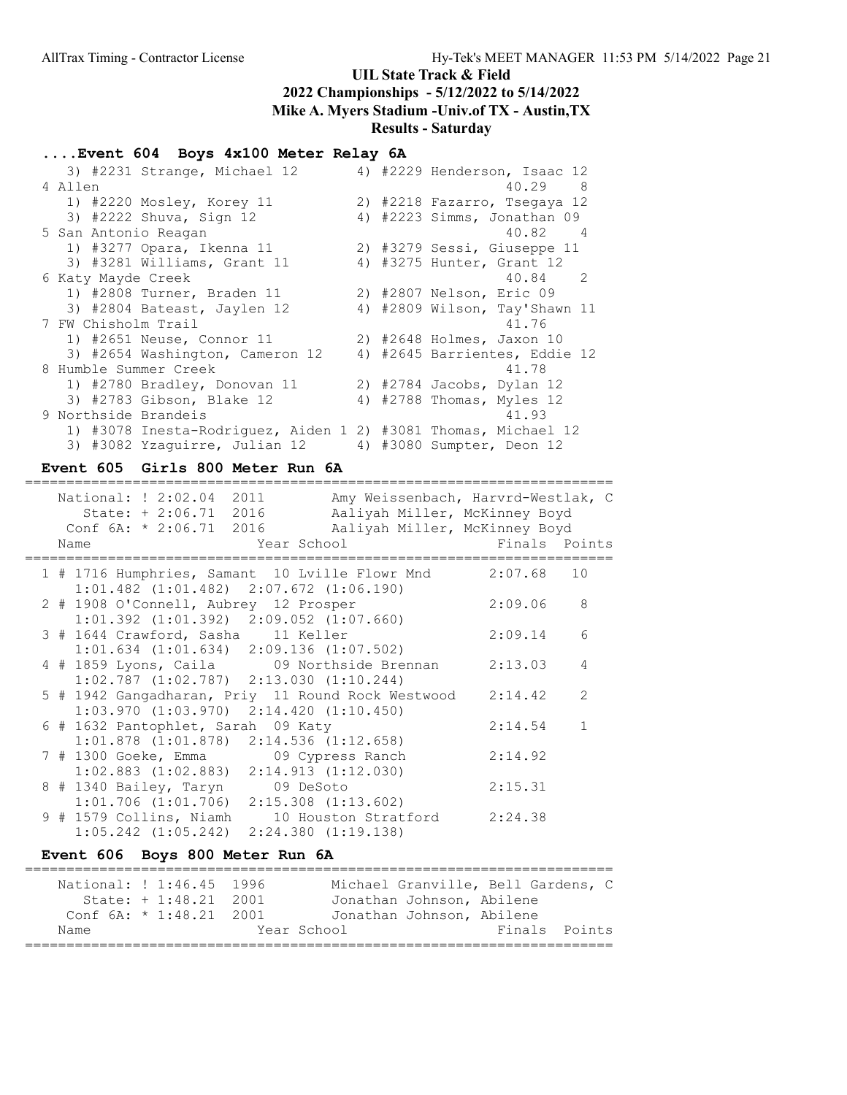### ....Event 604 Boys 4x100 Meter Relay 6A

|                       | 3) #2231 Strange, Michael 12                                   |  | 4) #2229 Henderson, Isaac 12  |
|-----------------------|----------------------------------------------------------------|--|-------------------------------|
| 4 Allen               |                                                                |  | 40.29 8                       |
|                       | 1) #2220 Mosley, Korey 11                                      |  | 2) #2218 Fazarro, Tsegaya 12  |
|                       | 3) #2222 Shuva, Sign 12                                        |  | 4) #2223 Simms, Jonathan 09   |
| 5 San Antonio Reagan  |                                                                |  | 40.82<br>4                    |
|                       | 1) #3277 Opara, Ikenna 11                                      |  | 2) #3279 Sessi, Giuseppe 11   |
|                       | 3) #3281 Williams, Grant 11                                    |  | 4) #3275 Hunter, Grant 12     |
| 6 Katy Mayde Creek    |                                                                |  | 40.84 2                       |
|                       | 1) #2808 Turner, Braden 11                                     |  | 2) #2807 Nelson, Eric 09      |
|                       | 3) #2804 Bateast, Jaylen 12                                    |  | 4) #2809 Wilson, Tay'Shawn 11 |
| 7 FW Chisholm Trail   |                                                                |  | 41.76                         |
|                       | 1) #2651 Neuse, Connor 11                                      |  | 2) #2648 Holmes, Jaxon 10     |
|                       | 3) #2654 Washington, Cameron 12                                |  | 4) #2645 Barrientes, Eddie 12 |
| 8 Humble Summer Creek |                                                                |  | 41.78                         |
|                       | 1) #2780 Bradley, Donovan 11                                   |  | 2) #2784 Jacobs, Dylan 12     |
|                       | 3) #2783 Gibson, Blake 12                                      |  | 4) #2788 Thomas, Myles 12     |
| 9 Northside Brandeis  |                                                                |  | 41.93                         |
|                       | 1) #3078 Inesta-Rodriquez, Aiden 1 2) #3081 Thomas, Michael 12 |  |                               |
|                       | 3) #3082 Yzaquirre, Julian 12                                  |  | 4) #3080 Sumpter, Deon 12     |

### Event 605 Girls 800 Meter Run 6A

| National: ! 2:02.04 2011<br>Conf $6A: * 2:06.71$ 2016<br>Name                            | Amy Weissenbach, Harvrd-Westlak, C<br>State: + 2:06.71 2016 Aaliyah Miller, McKinney Boyd<br>Aaliyah Miller, McKinney Boyd<br>Year School States School | Finals Points |               |
|------------------------------------------------------------------------------------------|---------------------------------------------------------------------------------------------------------------------------------------------------------|---------------|---------------|
| $1:01.482$ $(1:01.482)$ $2:07.672$ $(1:06.190)$                                          | 1 # 1716 Humphries, Samant 10 Lville Flowr Mnd 2:07.68 10                                                                                               |               |               |
| 2 # 1908 O'Connell, Aubrey 12 Prosper<br>$1:01.392$ $(1:01.392)$ $2:09.052$ $(1:07.660)$ |                                                                                                                                                         | 2:09.06       | 8             |
| 3 # 1644 Crawford, Sasha 11 Keller<br>$1:01.634$ $(1:01.634)$ $2:09.136$ $(1:07.502)$    |                                                                                                                                                         | 2:09.14       | 6             |
| $1:02.787$ $(1:02.787)$ $2:13.030$ $(1:10.244)$                                          | 4 # 1859 Lyons, Caila 09 Northside Brennan                                                                                                              | 2:13.03       | 4             |
| $1:03.970$ $(1:03.970)$ $2:14.420$ $(1:10.450)$                                          | 5 # 1942 Gangadharan, Priy 11 Round Rock Westwood                                                                                                       | 2:14.42       | $\mathcal{L}$ |
| 6 # 1632 Pantophlet, Sarah 09 Katy<br>$1:01.878$ $(1:01.878)$ $2:14.536$ $(1:12.658)$    |                                                                                                                                                         | 2:14.54       | $\mathbf{1}$  |
| 7 # 1300 Goeke, Emma 69 Cypress Ranch<br>$1:02.883$ $(1:02.883)$ $2:14.913$ $(1:12.030)$ |                                                                                                                                                         | 2:14.92       |               |
| 8 # 1340 Bailey, Taryn 09 DeSoto<br>$1:01.706$ $(1:01.706)$ $2:15.308$ $(1:13.602)$      |                                                                                                                                                         | 2:15.31       |               |
| 9 # 1579 Collins, Niamh<br>$1:05.242$ $(1:05.242)$ $2:24.380$ $(1:19.138)$               | 10 Houston Stratford                                                                                                                                    | 2:24.38       |               |

## Event 606 Boys 800 Meter Run 6A

| National: ! 1:46.45 1996  |                        |             | Michael Granville, Bell Gardens, C |  |               |  |
|---------------------------|------------------------|-------------|------------------------------------|--|---------------|--|
|                           | State: $+1:48.21$ 2001 |             | Jonathan Johnson, Abilene          |  |               |  |
| Conf $6A: * 1:48.21$ 2001 |                        |             | Jonathan Johnson, Abilene          |  |               |  |
| Name                      |                        | Year School |                                    |  | Finals Points |  |
|                           |                        |             |                                    |  |               |  |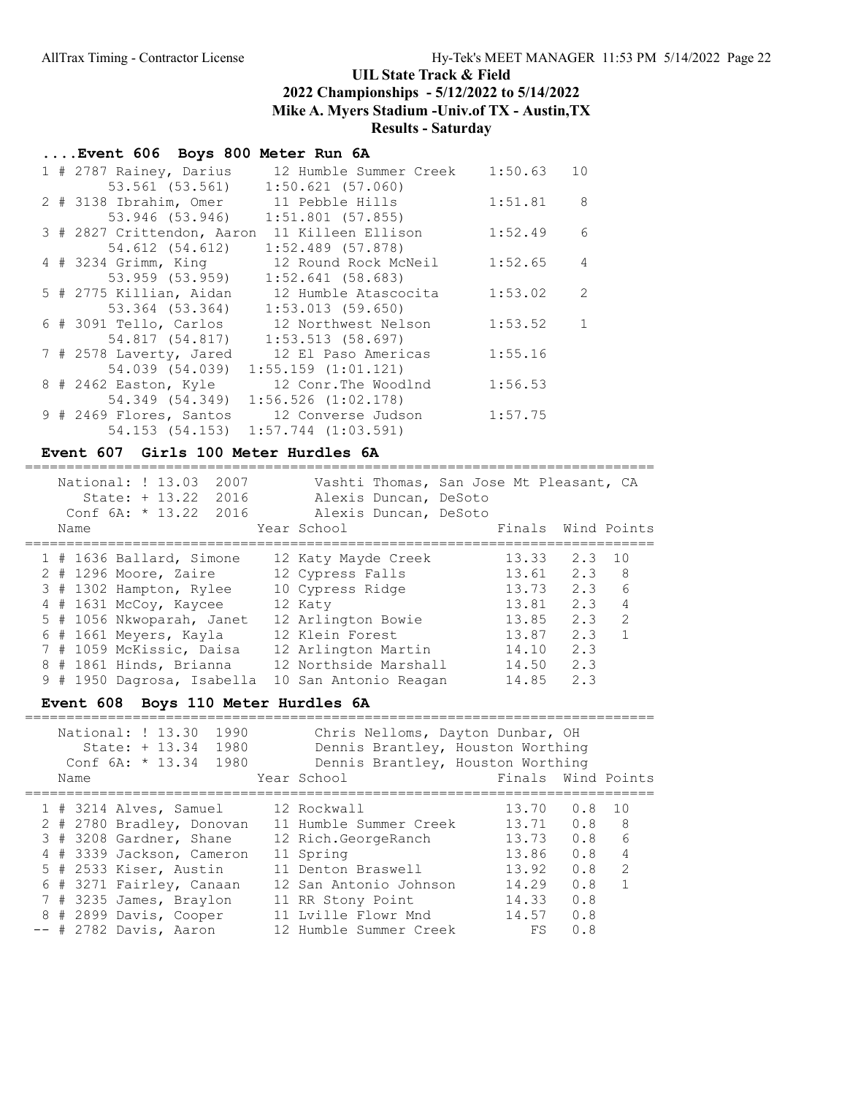## ....Event 606 Boys 800 Meter Run 6A

|  | 1 # 2787 Rainey, Darius    | 12 Humble Summer Creek              | 1:50.63 | 10             |
|--|----------------------------|-------------------------------------|---------|----------------|
|  | 53.561 (53.561)            | $1:50.621$ (57.060)                 |         |                |
|  | 2 # 3138 Ibrahim, Omer     | 11 Pebble Hills                     | 1:51.81 | 8              |
|  | 53.946 (53.946)            | $1:51.801$ (57.855)                 |         |                |
|  | 3 # 2827 Crittendon, Aaron | 11 Killeen Ellison                  | 1:52.49 | $6^{6}$        |
|  | 54.612 (54.612)            | $1:52.489$ (57.878)                 |         |                |
|  | 4 # 3234 Grimm, King       | 12 Round Rock McNeil                | 1:52.65 | $\overline{4}$ |
|  | 53.959 (53.959)            | $1:52.641$ (58.683)                 |         |                |
|  | 5 # 2775 Killian, Aidan    | 12 Humble Atascocita                | 1:53.02 | 2              |
|  | 53.364 (53.364)            | 1:53.013(59.650)                    |         |                |
|  | 6 # 3091 Tello, Carlos     | 12 Northwest Nelson                 | 1:53.52 | 1              |
|  | 54.817 (54.817)            | $1:53.513$ (58.697)                 |         |                |
|  | 7 # 2578 Laverty, Jared    | 12 El Paso Americas                 | 1:55.16 |                |
|  | 54.039 (54.039)            | $1:55.159$ $(1:01.121)$             |         |                |
|  | 8 # 2462 Easton, Kyle      | 12 Conr. The Woodlnd                | 1:56.53 |                |
|  | 54.349 (54.349)            | $1:56.526$ $(1:02.178)$             |         |                |
|  | 9 # 2469 Flores, Santos    | 12 Converse Judson                  | 1:57.75 |                |
|  |                            | 54.153 (54.153) 1:57.744 (1:03.591) |         |                |

### Event 607 Girls 100 Meter Hurdles 6A

|  | Name | National: ! 13.03<br>$State: + 13.22$<br>Conf 6A: * 13.22 2016 | 2007<br>2016 | Year School           | Alexis Duncan, DeSoto<br>Alexis Duncan, DeSoto | Vashti Thomas, San Jose Mt Pleasant, CA | Finals Wind Points |                |
|--|------|----------------------------------------------------------------|--------------|-----------------------|------------------------------------------------|-----------------------------------------|--------------------|----------------|
|  |      | $1$ # 1636 Ballard, Simone                                     |              | 12 Katy Mayde Creek   |                                                | 13.33                                   | 2.3 10             |                |
|  |      | $2$ # 1296 Moore, Zaire                                        |              | 12 Cypress Falls      |                                                | 13.61                                   | 2.3 8              |                |
|  |      | 3 # 1302 Hampton, Rylee                                        |              | 10 Cypress Ridge      |                                                | 13.73                                   | 2.3                | 6              |
|  |      | 4 # 1631 McCoy, Kaycee                                         |              | 12 Katy               |                                                | 13.81                                   | 2.3                | 4              |
|  |      | 5 # 1056 Nkwoparah, Janet                                      |              | 12 Arlington Bowie    |                                                | 13.85                                   | 2.3                | $\overline{2}$ |
|  |      | 6 # 1661 Meyers, Kayla                                         |              | 12 Klein Forest       |                                                | 13.87                                   | 2.3                | $\overline{1}$ |
|  |      | 7 # 1059 McKissic, Daisa                                       |              | 12 Arlington Martin   |                                                | 14.10                                   | 2.3                |                |
|  |      | 8 # 1861 Hinds, Brianna                                        |              | 12 Northside Marshall |                                                | 14.50                                   | 2.3                |                |
|  |      | 9 # 1950 Dagrosa, Isabella                                     |              | 10 San Antonio Reagan |                                                | 14.85                                   | 2.3                |                |

### Event 608 Boys 110 Meter Hurdles 6A

| National: ! 13.30<br>1990<br>State: + 13.34<br>1980<br>Conf $6A: * 13.34$<br>1980<br>Name | Chris Nelloms, Dayton Dunbar, OH<br>Dennis Brantley, Houston Worthing<br>Dennis Brantley, Houston Worthing<br>Year School | Finals Wind Points |     |               |
|-------------------------------------------------------------------------------------------|---------------------------------------------------------------------------------------------------------------------------|--------------------|-----|---------------|
| 1 # 3214 Alves, Samuel                                                                    | 12 Rockwall                                                                                                               | 13.70              | 0.8 | 1 O           |
| 2 # 2780 Bradley, Donovan                                                                 | 11 Humble Summer Creek                                                                                                    | 13.71              | 0.8 | - 8           |
| 3 # 3208 Gardner, Shane                                                                   | 12 Rich.GeorgeRanch                                                                                                       | 13.73              | 0.8 | 6             |
| 4 # 3339 Jackson, Cameron                                                                 | 11 Spring                                                                                                                 | 13.86              | 0.8 | 4             |
| 5 # 2533 Kiser, Austin                                                                    | 11 Denton Braswell                                                                                                        | 13.92              | 0.8 | $\mathcal{L}$ |
| 6 # 3271 Fairley, Canaan                                                                  | 12 San Antonio Johnson                                                                                                    | 14.29              | 0.8 |               |
| 7 # 3235 James, Braylon                                                                   | 11 RR Stony Point                                                                                                         | 14.33              | 0.8 |               |
| 8 # 2899 Davis, Cooper                                                                    | Lville Flowr Mnd                                                                                                          | 14.57              | 0.8 |               |
| $--$ # 2782 Davis, Aaron                                                                  | 12 Humble Summer Creek                                                                                                    | FS                 | 0.8 |               |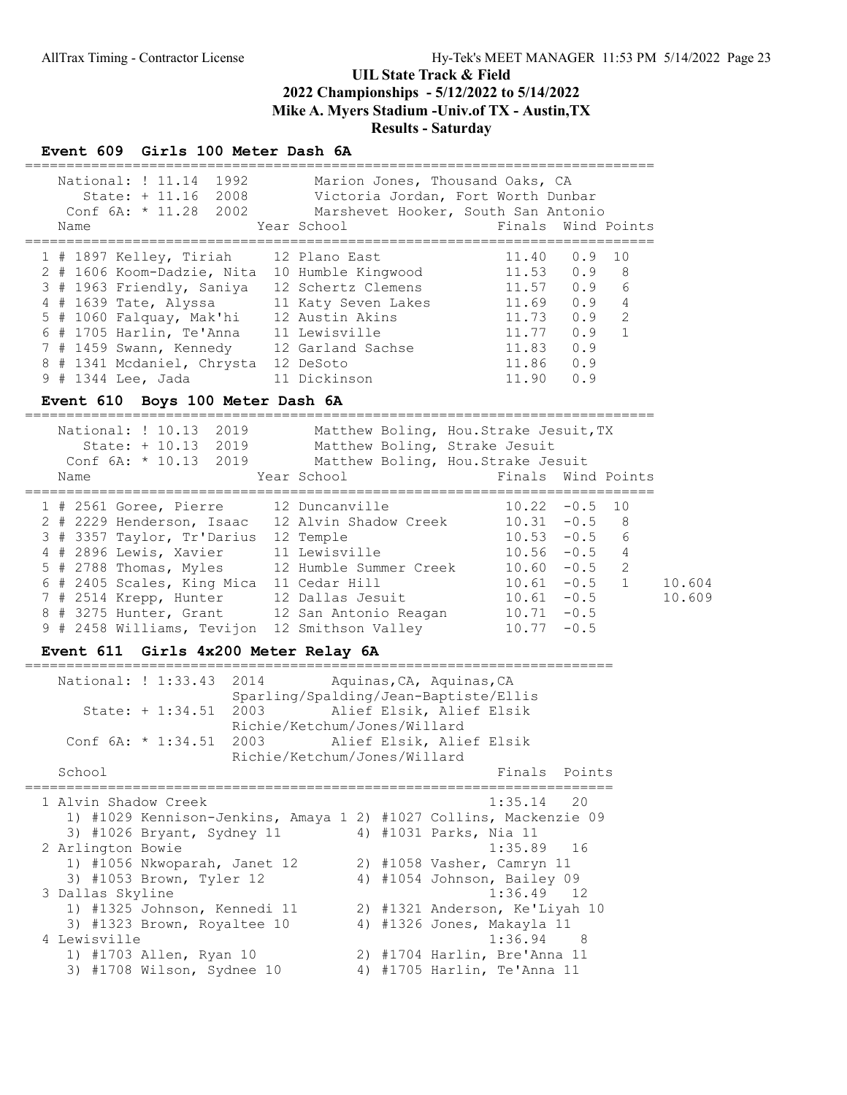#### Event 609 Girls 100 Meter Dash 6A

|  | Name | National: ! 11.14<br>1992<br>$State: + 11.16$<br>2008<br>Conf $6A: * 11.28 2002$ | Marion Jones, Thousand Oaks, CA<br>Victoria Jordan, Fort Worth Dunbar<br>Marshevet Hooker, South San Antonio<br>Year School | Finals Wind Points |     |                 |
|--|------|----------------------------------------------------------------------------------|-----------------------------------------------------------------------------------------------------------------------------|--------------------|-----|-----------------|
|  |      | $1$ # 1897 Kelley, Tiriah                                                        | 12 Plano East                                                                                                               | 11.40              | 0.9 | $\overline{10}$ |
|  |      | 2 # 1606 Koom-Dadzie, Nita                                                       | 10 Humble Kingwood                                                                                                          | 11.53              | 0.9 | - 8             |
|  |      | 3 # 1963 Friendly, Saniya                                                        | 12 Schertz Clemens                                                                                                          | 11.57              | 0.9 | 6               |
|  |      | 4 # 1639 Tate, Alyssa                                                            | 11 Katy Seven Lakes                                                                                                         | 11.69              | 0.9 | $\overline{4}$  |
|  |      | $5$ # 1060 Falquay, Mak'hi                                                       | 12 Austin Akins                                                                                                             | 11.73              | 0.9 | 2               |
|  |      | 6 # 1705 Harlin, Te'Anna                                                         | 11 Lewisville                                                                                                               | 11.77              | 0.9 | $\overline{1}$  |
|  |      | 7 # 1459 Swann, Kennedy                                                          | 12 Garland Sachse                                                                                                           | 11.83              | 0.9 |                 |
|  |      | 8 # 1341 Mcdaniel, Chrysta                                                       | 12 DeSoto                                                                                                                   | 11.86              | 0.9 |                 |
|  |      | 9 # 1344 Lee, Jada                                                               | 11 Dickinson                                                                                                                | 11.90              | 0.9 |                 |

#### Event 610 Boys 100 Meter Dash 6A

============================================================================ National: ! 10.13 2019 Matthew Boling, Hou.Strake Jesuit,TX

|      | $NQL+VHQ+$ , $\pm V+L$<br>$2U+7$<br>State: + 10.13 2019<br>Conf $6A: * 10.13$ 2019 | Matthew BOITHQ, HOU.Strane Sesure, In<br>Matthew Boling, Strake Jesuit<br>Matthew Boling, Hou. Strake Jesuit |                    |          |        |  |
|------|------------------------------------------------------------------------------------|--------------------------------------------------------------------------------------------------------------|--------------------|----------|--------|--|
| Name |                                                                                    | Year School                                                                                                  | Finals Wind Points |          |        |  |
|      | 1 # 2561 Goree, Pierre 12 Duncanville                                              |                                                                                                              | $10.22 - 0.5$ 10   |          |        |  |
|      | 2 # 2229 Henderson, Isaac                                                          | 12 Alvin Shadow Creek                                                                                        | 10.31              | $-0.5$   | - 8    |  |
|      | 3 # 3357 Taylor, Tr'Darius                                                         | 12 Temple                                                                                                    | 10.53              | $-0.5$   | 6      |  |
|      | 4 # 2896 Lewis, Xavier                                                             | 11 Lewisville                                                                                                | $10.56 - 0.5$      |          | 4      |  |
|      | $5$ # 2788 Thomas, Myles                                                           | 12 Humble Summer Creek                                                                                       | $10.60 - 0.5$ 2    |          |        |  |
|      | 6 # 2405 Scales, King Mica                                                         | 11 Cedar Hill                                                                                                | 10.61              | $-0.5$ 1 | 10.604 |  |
|      | 7 # 2514 Krepp, Hunter                                                             | 12 Dallas Jesuit                                                                                             | 10.61              | $-0.5$   | 10.609 |  |
|      | 8 # 3275 Hunter, Grant                                                             | 12 San Antonio Reagan                                                                                        | 10.71              | $-0.5$   |        |  |
|      | 9 # 2458 Williams, Tevijon 12 Smithson Valley                                      |                                                                                                              | 10.77              | $-0.5$   |        |  |
|      |                                                                                    |                                                                                                              |                    |          |        |  |

### Event 611 Girls 4x200 Meter Relay 6A

| 2014<br>National: ! 1:33.43                       | Aquinas, CA, Aquinas, CA<br>Sparling/Spalding/Jean-Baptiste/Ellis                 |
|---------------------------------------------------|-----------------------------------------------------------------------------------|
| State: $+1:34.51$ 2003                            | Alief Elsik, Alief Elsik<br>Richie/Ketchum/Jones/Willard                          |
| Conf 6A: * 1:34.51 2003                           | Alief Elsik, Alief Elsik                                                          |
| School                                            | Richie/Ketchum/Jones/Willard<br>Finals Points                                     |
| 1 Alvin Shadow Creek                              | $1:35.14$ 20<br>1) #1029 Kennison-Jenkins, Amaya 1 2) #1027 Collins, Mackenzie 09 |
| 3) #1026 Bryant, Sydney 11                        | 4) #1031 Parks, Nia 11                                                            |
| 2 Arlington Bowie<br>1) #1056 Nkwoparah, Janet 12 | $1:35.89$ 16<br>2) #1058 Vasher, Camryn 11                                        |
| 3) #1053 Brown, Tyler 12<br>3 Dallas Skyline      | 4) #1054 Johnson, Bailey 09<br>$1:36.49$ 12                                       |
| 1) #1325 Johnson, Kennedi 11                      | 2) #1321 Anderson, Ke'Liyah 10                                                    |
| 3) #1323 Brown, Royaltee 10<br>4 Lewisville       | 4) #1326 Jones, Makayla 11<br>$1:36.94$ 8                                         |
| 1) #1703 Allen, Ryan 10                           | 2) #1704 Harlin, Bre'Anna 11                                                      |
| 3) #1708 Wilson, Sydnee 10                        | 4) #1705 Harlin, Te'Anna 11                                                       |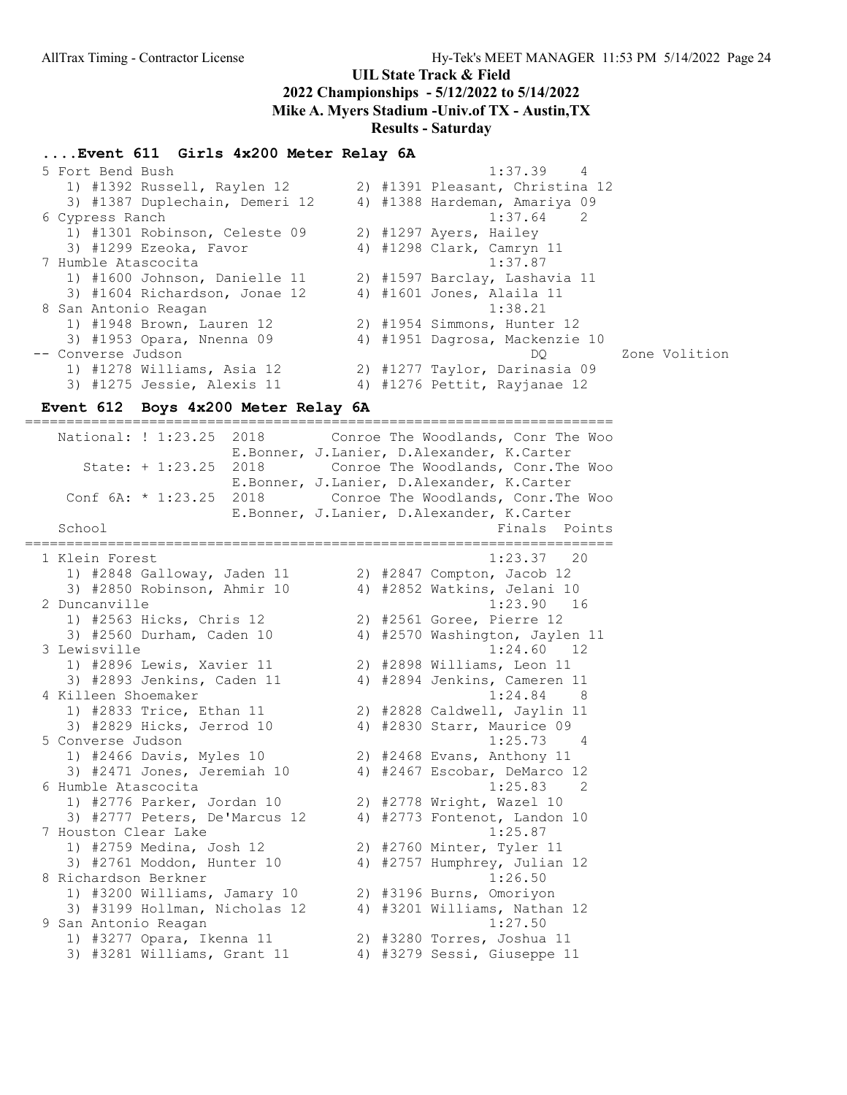#### ....Event 611 Girls 4x200 Meter Relay 6A

| 5 Fort Bend Bush               | 1:37.39                         |
|--------------------------------|---------------------------------|
| 1) #1392 Russell, Raylen 12    | 2) #1391 Pleasant, Christina 12 |
| 3) #1387 Duplechain, Demeri 12 | 4) #1388 Hardeman, Amariya 09   |
| 6 Cypress Ranch                | $1:37.64$ 2                     |
| 1) #1301 Robinson, Celeste 09  | 2) #1297 Ayers, Hailey          |
| 3) #1299 Ezeoka, Favor         | 4) #1298 Clark, Camryn 11       |
| 7 Humble Atascocita            | 1:37.87                         |
| 1) #1600 Johnson, Danielle 11  | 2) #1597 Barclay, Lashavia 11   |
| 3) #1604 Richardson, Jonae 12  | 4) #1601 Jones, Alaila 11       |
| 8 San Antonio Reagan           | 1:38.21                         |
| 1) #1948 Brown, Lauren 12      | 2) #1954 Simmons, Hunter 12     |
| 3) #1953 Opara, Nnenna 09      | 4) #1951 Dagrosa, Mackenzie 10  |
| -- Converse Judson             | Zone Volition<br>DO             |
| 1) #1278 Williams, Asia 12     | 2) #1277 Taylor, Darinasia 09   |
| 3) #1275 Jessie, Alexis 11     | 4) #1276 Pettit, Rayjanae 12    |

#### Event 612 Boys 4x200 Meter Relay 6A

======================================================================= National: ! 1:23.25 2018 Conroe The Woodlands, Conr The Woo E.Bonner, J.Lanier, D.Alexander, K.Carter State: + 1:23.25 2018 Conroe The Woodlands, Conr.The Woo E.Bonner, J.Lanier, D.Alexander, K.Carter Conf 6A: \* 1:23.25 2018 Conroe The Woodlands, Conr.The Woo E.Bonner, J.Lanier, D.Alexander, K.Carter School **Finals** Points ======================================================================= 1 Klein Forest 1:23.37 20 1) #2848 Galloway, Jaden 11 2) #2847 Compton, Jacob 12 3) #2850 Robinson, Ahmir 10 4) #2852 Watkins, Jelani 10 2 Duncanville 1:23.90 16 1) #2563 Hicks, Chris 12 2) #2561 Goree, Pierre 12 3) #2560 Durham, Caden 10 4) #2570 Washington, Jaylen 11 3 Lewisville 1:24.60 12 1) #2896 Lewis, Xavier 11 2) #2898 Williams, Leon 11 3) #2893 Jenkins, Caden 11 4) #2894 Jenkins, Cameren 11 4 Killeen Shoemaker 1:24.84 8 1) #2833 Trice, Ethan 11 2) #2828 Caldwell, Jaylin 11 3) #2829 Hicks, Jerrod 10 4) #2830 Starr, Maurice 09 5 Converse Judson 1:25.73 4 1) #2466 Davis, Myles 10 2) #2468 Evans, Anthony 11 3) #2471 Jones, Jeremiah 10 4) #2467 Escobar, DeMarco 12 6 Humble Atascocita 1:25.83 2 1) #2776 Parker, Jordan 10 2) #2778 Wright, Wazel 10 3) #2777 Peters, De'Marcus 12 4) #2773 Fontenot, Landon 10 7 Houston Clear Lake 1:25.87 1) #2759 Medina, Josh 12 2) #2760 Minter, Tyler 11 3) #2761 Moddon, Hunter 10 4) #2757 Humphrey, Julian 12 8 Richardson Berkner 1:26.50 1) #3200 Williams, Jamary 10 2) #3196 Burns, Omoriyon 3) #3199 Hollman, Nicholas 12 4) #3201 Williams, Nathan 12 9 San Antonio Reagan 1:27.50 1) #3277 Opara, Ikenna 11 2) #3280 Torres, Joshua 11 3) #3281 Williams, Grant 11 4) #3279 Sessi, Giuseppe 11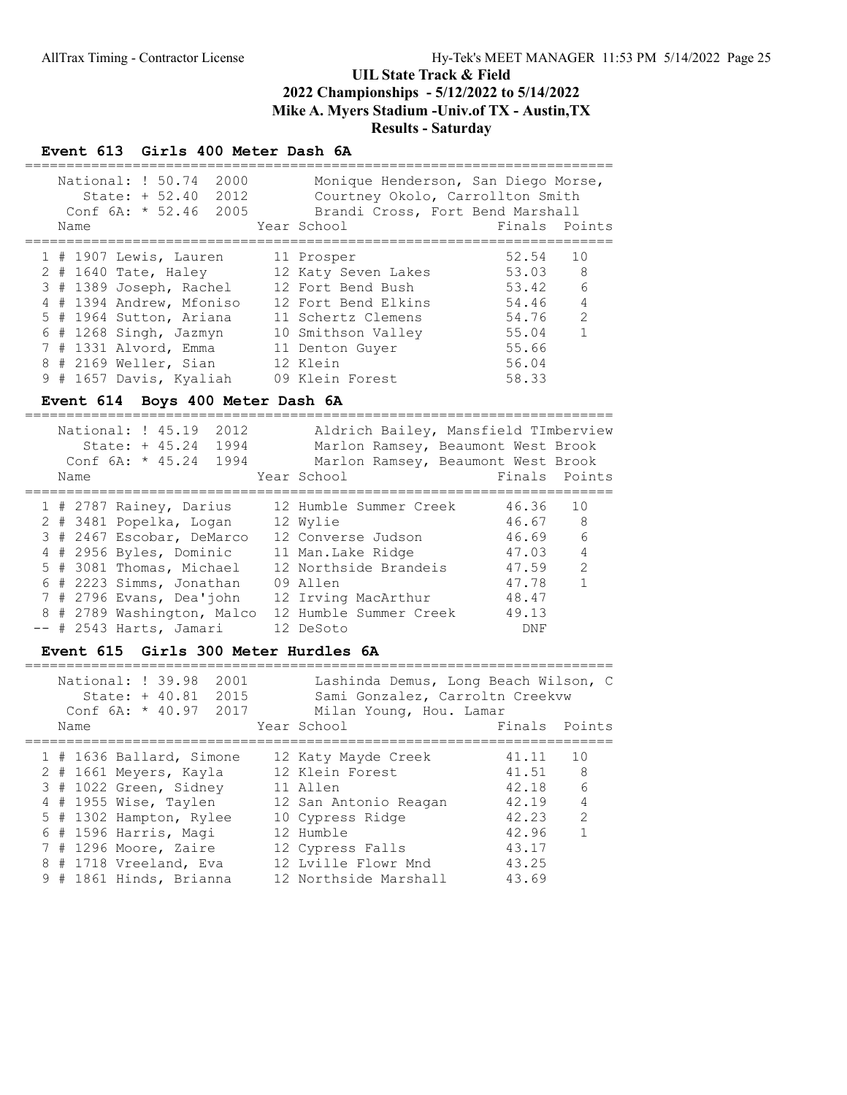#### Event 613 Girls 400 Meter Dash 6A

| National: ! 50.74<br>2000<br>State: $+ 52.40 2012$<br>2005<br>Conf $6A: * 52.46$<br>Name | Monique Henderson, San Diego Morse,<br>Courtney Okolo, Carrollton Smith<br>Brandi Cross, Fort Bend Marshall<br>Year School | Finals Points |                |
|------------------------------------------------------------------------------------------|----------------------------------------------------------------------------------------------------------------------------|---------------|----------------|
| 1 # 1907 Lewis, Lauren                                                                   | 11 Prosper                                                                                                                 | 52.54         | 10             |
| $2$ # 1640 Tate, Haley                                                                   | 12 Katy Seven Lakes                                                                                                        | 53.03 8       |                |
| 3 # 1389 Joseph, Rachel                                                                  | 12 Fort Bend Bush                                                                                                          | 53.42         | 6              |
| 4 # 1394 Andrew, Mfoniso                                                                 | 12 Fort Bend Elkins                                                                                                        | 54.46         | $\overline{4}$ |
| 5 # 1964 Sutton, Ariana                                                                  | 11 Schertz Clemens                                                                                                         | 54.76         | 2              |
| $6$ # 1268 Singh, Jazmyn                                                                 | 10 Smithson Valley                                                                                                         | 55.04         | $\mathbf{1}$   |
| 7 # 1331 Alvord, Emma                                                                    | 11 Denton Guyer                                                                                                            | 55.66         |                |
| 8 # 2169 Weller, Sian                                                                    | 12 Klein                                                                                                                   | 56.04         |                |
| 9 # 1657 Davis, Kyaliah                                                                  | 09 Klein Forest                                                                                                            | 58.33         |                |

#### Event 614 Boys 400 Meter Dash 6A

======================================================================= National: ! 45.19 2012 Aldrich Bailey, Mansfield TImberview State: + 45.24 1994 Marlon Ramsey, Beaumont West Brook Conf 6A: \* 45.24 1994 Marlon Ramsey, Beaumont West Brook Name Year School Finals Points ======================================================================= 1 # 2787 Rainey, Darius 12 Humble Summer Creek 46.36 10 2 # 3481 Popelka, Logan 12 Wylie 46.67 8 3 # 2467 Escobar, DeMarco 12 Converse Judson 46.69 6 4 # 2956 Byles, Dominic 11 Man.Lake Ridge 47.03 4 5 # 3081 Thomas, Michael 12 Northside Brandeis 47.59 2 6 # 2223 Simms, Jonathan 09 Allen 47.78 1 7 # 2796 Evans, Dea'john 12 Irving MacArthur 48.47 8 # 2789 Washington, Malco 12 Humble Summer Creek 49.13 -- # 2543 Harts, Jamari 12 DeSoto DNF

#### Event 615 Girls 300 Meter Hurdles 6A

| National: ! 39.98<br>Conf $6A: * 40.97$<br>Name                                                                                                                                                                 | 2001<br>2015<br>State: $+ 40.81$<br>2017 | Lashinda Demus, Long Beach Wilson, C<br>Sami Gonzalez, Carroltn Creekvw<br>Milan Young, Hou. Lamar<br>Year School                                                                | Finals Points                                                                 |                                                     |
|-----------------------------------------------------------------------------------------------------------------------------------------------------------------------------------------------------------------|------------------------------------------|----------------------------------------------------------------------------------------------------------------------------------------------------------------------------------|-------------------------------------------------------------------------------|-----------------------------------------------------|
| 2 # 1661 Meyers, Kayla<br>3 # 1022 Green, Sidney<br>$4$ # 1955 Wise, Taylen<br>5 # 1302 Hampton, Rylee<br>$6$ # 1596 Harris, Magi<br>7 # 1296 Moore, Zaire<br>8 # 1718 Vreeland, Eva<br>9 # 1861 Hinds, Brianna | $1$ # 1636 Ballard, Simone               | 12 Katy Mayde Creek<br>12 Klein Forest<br>11 Allen<br>12 San Antonio Reagan<br>10 Cypress Ridge<br>12 Humble<br>12 Cypress Falls<br>12 Lville Flowr Mnd<br>12 Northside Marshall | 41.11<br>41.51<br>42.18<br>42.19<br>42.23<br>42.96<br>43.17<br>43.25<br>43.69 | 10<br>8<br>6<br>$\overline{4}$<br>2<br>$\mathbf{1}$ |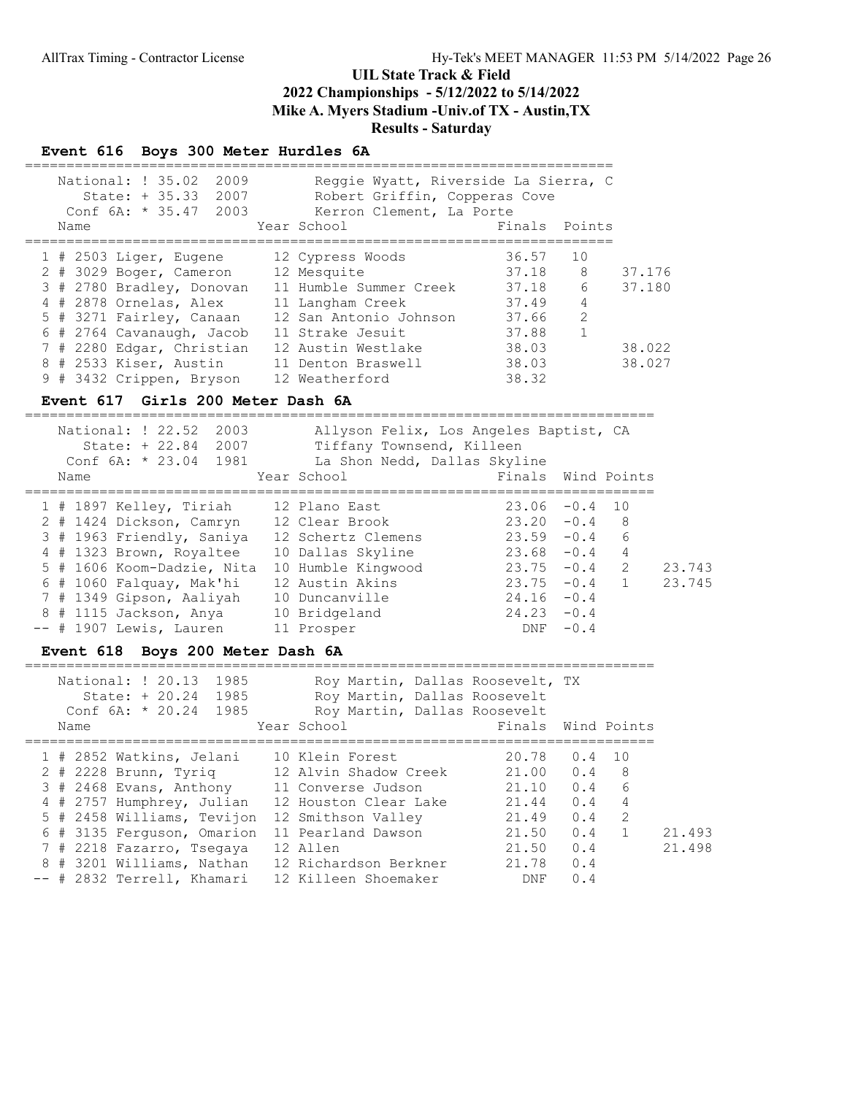#### Event 616 Boys 300 Meter Hurdles 6A

| National: ! 35.02<br>2009<br>State: $+ 35.33$<br>2007<br>Conf $6A: * 35.47$<br>2003 | Reggie Wyatt, Riverside La Sierra, C<br>Robert Griffin, Copperas Cove<br>Kerron Clement, La Porte |                       |        |
|-------------------------------------------------------------------------------------|---------------------------------------------------------------------------------------------------|-----------------------|--------|
| Name                                                                                | Year School                                                                                       | Finals<br>Points      |        |
| $1$ # 2503 Liger, Eugene                                                            | 12 Cypress Woods                                                                                  | 10<br>36.57           |        |
| 2 # 3029 Boger, Cameron                                                             | 12 Mesquite                                                                                       | 8<br>37.18            | 37.176 |
| 3 # 2780 Bradley, Donovan                                                           | 11 Humble Summer Creek                                                                            | 6<br>37.18            | 37.180 |
| 4 # 2878 Ornelas, Alex                                                              | 11 Langham Creek                                                                                  | 4<br>37.49            |        |
| 5 # 3271 Fairley, Canaan                                                            | 12 San Antonio Johnson                                                                            | 2<br>37.66            |        |
| 6 # 2764 Cavanaugh, Jacob                                                           | 11 Strake Jesuit                                                                                  | $\mathbf{1}$<br>37.88 |        |
| 7 # 2280 Edgar, Christian                                                           | 12 Austin Westlake                                                                                | 38.03                 | 38.022 |
| 8 # 2533 Kiser, Austin                                                              | 11 Denton Braswell                                                                                | 38.03                 | 38.027 |
| 9 # 3432 Crippen, Bryson                                                            | 12 Weatherford                                                                                    | 38.32                 |        |

#### Event 617 Girls 200 Meter Dash 6A

============================================================================ National: ! 22.52 2003 Allyson Felix, Los Angeles Baptist, CA State: + 22.84 2007 Tiffany Townsend, Killeen Conf 6A: \* 23.04 1981 La Shon Nedd, Dallas Skyline Name The Year School The Points Wind Points ============================================================================ 1 # 1897 Kelley, Tiriah 12 Plano East 23.06 -0.4 10 2 # 1424 Dickson, Camryn 12 Clear Brook 23.20 -0.4 8 3 # 1963 Friendly, Saniya 12 Schertz Clemens 23.59 -0.4 6 4 # 1323 Brown, Royaltee 10 Dallas Skyline 23.68 -0.4 4 5 # 1606 Koom-Dadzie, Nita 10 Humble Kingwood 23.75 -0.4 2 23.743 6 # 1060 Falquay, Mak'hi 12 Austin Akins 23.75 -0.4 1 23.745 7 # 1349 Gipson, Aaliyah 10 Duncanville 24.16 -0.4 8 # 1115 Jackson, Anya 10 Bridgeland 24.23 -0.4 -- # 1907 Lewis, Lauren 11 Prosper DNF -0.4

#### Event 618 Boys 200 Meter Dash 6A

| --<br>___ |     |                                          |                 | ____<br>____               |
|-----------|-----|------------------------------------------|-----------------|----------------------------|
| NAT       | 985 | $+ \cdot \cdot$<br>IVI 2<br>K(<br>$\sim$ | Dallas Roosevel | <b>m</b> y<br><b>+</b> 4 + |

|      | State: $+ 20.24$<br>1985   | Roy Martin, Dallas Roosevelt |                    |                |    |        |
|------|----------------------------|------------------------------|--------------------|----------------|----|--------|
|      | Conf $6A: * 20.24$ 1985    | Roy Martin, Dallas Roosevelt |                    |                |    |        |
| Name |                            | Year School                  | Finals Wind Points |                |    |        |
|      | 1 # 2852 Watkins, Jelani   | 10 Klein Forest              | 20.78              | $0.4 \quad 10$ |    |        |
|      | 2 # 2228 Brunn, Tyrig      | 12 Alvin Shadow Creek        | 21.00              | 0.4            | -8 |        |
|      | 3 # 2468 Evans, Anthony    | 11 Converse Judson           | 21.10              | 0.4            | 6  |        |
|      | 4 # 2757 Humphrey, Julian  | 12 Houston Clear Lake        | 21.44              | 0.4            | 4  |        |
|      | 5 # 2458 Williams, Tevijon | 12 Smithson Valley           | 21.49              | 0.4            | 2  |        |
|      | 6 # 3135 Ferguson, Omarion | 11 Pearland Dawson           | 21.50              | 0.4            |    | 21.493 |
|      | 7 # 2218 Fazarro, Tsegaya  | 12 Allen                     | 21.50              | 0.4            |    | 21.498 |
|      | 8 # 3201 Williams, Nathan  | 12 Richardson Berkner        | 21.78              | 0.4            |    |        |
|      | -- # 2832 Terrell, Khamari | 12 Killeen Shoemaker         | DNF                | 0.4            |    |        |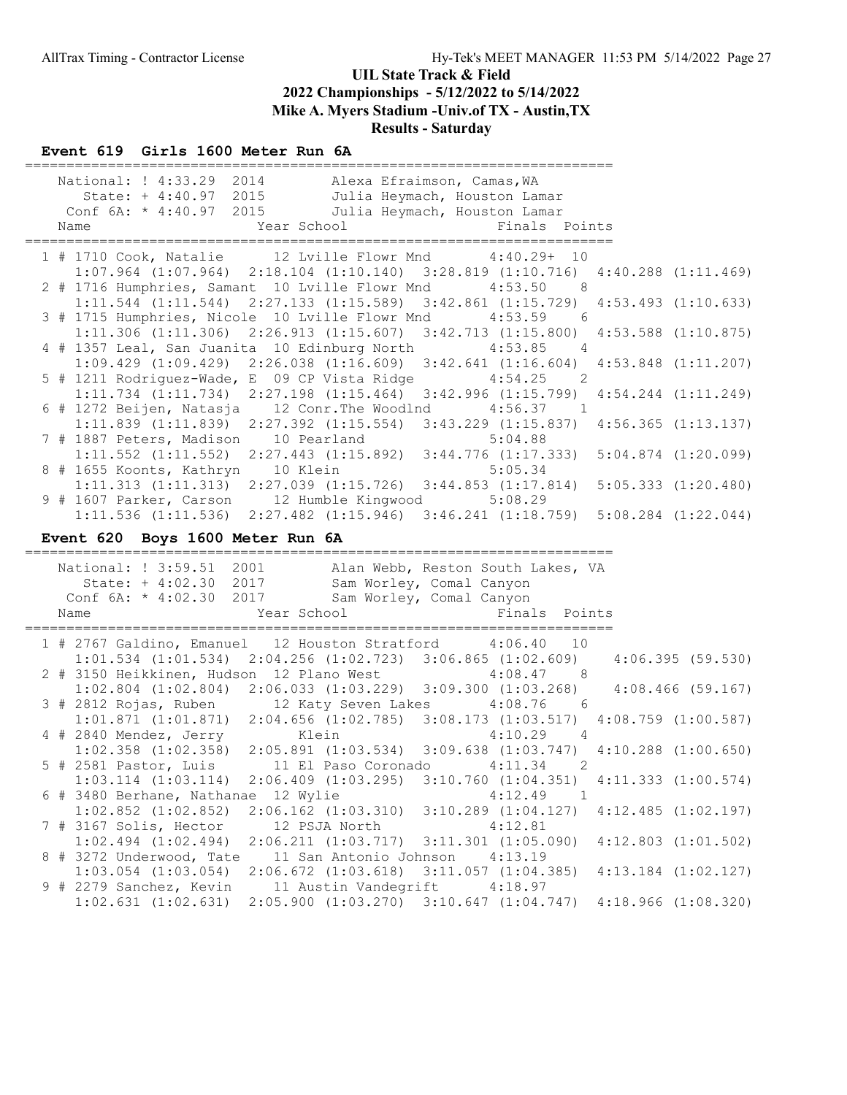### Event 619 Girls 1600 Meter Run 6A

| National: ! 4:33.29 2014 Alexa Efraimson, Camas, WA                                                                                                                              |
|----------------------------------------------------------------------------------------------------------------------------------------------------------------------------------|
| State: + 4:40.97 2015<br>Julia Heymach, Houston Lamar                                                                                                                            |
| Conf $6A: * 4:40.97$ 2015<br>Julia Heymach, Houston Lamar                                                                                                                        |
| Year School<br>Finals Points<br>Name                                                                                                                                             |
|                                                                                                                                                                                  |
| 1 # 1710 Cook, Natalie 12 Lville Flowr Mnd<br>$4:40.29+10$                                                                                                                       |
| $1:07.964$ $(1:07.964)$<br>$2:18.104$ $(1:10.140)$ $3:28.819$ $(1:10.716)$ $4:40.288$ $(1:11.469)$                                                                               |
| 2 # 1716 Humphries, Samant 10 Lville Flowr Mnd<br>4:53.50<br>8 <sup>8</sup>                                                                                                      |
| $1:11.544$ (1:11.544) $2:27.133$ (1:15.589) $3:42.861$ (1:15.729)<br>$4:53.493$ $(1:10.633)$                                                                                     |
| 3 # 1715 Humphries, Nicole 10 Lville Flowr Mnd<br>4:53.59<br>6                                                                                                                   |
| $1:11.306$ (1:11.306) $2:26.913$ (1:15.607) $3:42.713$ (1:15.800) $4:53.588$ (1:10.875)                                                                                          |
| 4 # 1357 Leal, San Juanita 10 Edinburg North<br>4:53.85<br>$\overline{4}$                                                                                                        |
| $1:09.429$ $(1:09.429)$<br>$2:26.038$ $(1:16.609)$ $3:42.641$ $(1:16.604)$<br>$4:53.848$ $(1:11.207)$                                                                            |
| 5 # 1211 Rodriguez-Wade, E 09 CP Vista Ridge<br>$4:54.25$ 2                                                                                                                      |
| $1:11.734$ $(1:11.734)$ $2:27.198$ $(1:15.464)$ $3:42.996$ $(1:15.799)$<br>$4:54.244$ $(1:11.249)$                                                                               |
| 6 # 1272 Beijen, Natasja 12 Conr. The Woodlnd 4:56.37 1                                                                                                                          |
| 2:27.392 (1:15.554) 3:43.229 (1:15.837) 4:56.365 (1:13.137)<br>$1:11.839$ $(1:11.839)$                                                                                           |
| 7 # 1887 Peters, Madison 10 Pearland<br>5:04.88                                                                                                                                  |
| $1:11.552$ $(1:11.552)$<br>$2:27.443$ $(1:15.892)$ $3:44.776$ $(1:17.333)$<br>$5:04.874$ $(1:20.099)$                                                                            |
| 8 # 1655 Koonts, Kathryn 10 Klein<br>5:05.34                                                                                                                                     |
| $1:11.313$ $(1:11.313)$ $2:27.039$ $(1:15.726)$ $3:44.853$ $(1:17.814)$<br>5:05.333(1:20.480)                                                                                    |
| 9 # 1607 Parker, Carson 12 Humble Kingwood 5:08.29                                                                                                                               |
| 1:11.536 (1:11.536) 2:27.482 (1:15.946) 3:46.241 (1:18.759) 5:08.284 (1:22.044)                                                                                                  |
|                                                                                                                                                                                  |
|                                                                                                                                                                                  |
| Event 620 Boys 1600 Meter Run 6A                                                                                                                                                 |
|                                                                                                                                                                                  |
| National: ! 3:59.51 2001<br>Alan Webb, Reston South Lakes, VA                                                                                                                    |
| State: + 4:02.30 2017<br>Sam Worley, Comal Canyon                                                                                                                                |
| Conf 6A: * 4:02.30 2017<br>Sam Worley, Comal Canyon                                                                                                                              |
| Year School<br>Finals Points<br>Name                                                                                                                                             |
|                                                                                                                                                                                  |
| 1 # 2767 Galdino, Emanuel 12 Houston Stratford 4:06.40<br>10                                                                                                                     |
| $1:01.534$ $(1:01.534)$ $2:04.256$ $(1:02.723)$ $3:06.865$ $(1:02.609)$<br>4:06.395(59.530)                                                                                      |
|                                                                                                                                                                                  |
| 2 # 3150 Heikkinen, Hudson 12 Plano West 4:08.47 8<br>1:02.804 (1:02.804) 2:06.033 (1:03.229) 3:09.300 (1:03.268)<br>$4:08.466$ (59.167)                                         |
| 3 # 2812 Rojas, Ruben 12 Katy Seven Lakes 4:08.76 6                                                                                                                              |
| $1:01.871$ $(1:01.871)$ $2:04.656$ $(1:02.785)$ $3:08.173$ $(1:03.517)$<br>$4:08.759$ $(1:00.587)$                                                                               |
| 4 # 2840 Mendez, Jerry<br>$4:10.29$ 4<br>Klein                                                                                                                                   |
|                                                                                                                                                                                  |
| $1:02.358$ $(1:02.358)$ $2:05.891$ $(1:03.534)$ $3:09.638$ $(1:03.747)$ $4:10.288$ $(1:00.650)$<br>5 # 2581 Pastor, Luis 11 El Paso Coronado 4:11.34<br>$\overline{\phantom{a}}$ |
| $1:03.114$ $(1:03.114)$ $2:06.409$ $(1:03.295)$ $3:10.760$ $(1:04.351)$ $4:11.333$ $(1:00.574)$                                                                                  |
| 6 # 3480 Berhane, Nathanae 12 Wylie<br>4:12.49<br>$\mathbf{1}$                                                                                                                   |
| $2:06.162$ $(1:03.310)$<br>$1:02.852$ $(1:02.852)$<br>$3:10.289$ $(1:04.127)$<br>$4:12.485$ $(1:02.197)$                                                                         |
| 7 # 3167 Solis, Hector<br>12 PSJA North<br>4:12.81                                                                                                                               |
| $1:02.494$ $(1:02.494)$<br>$4:12.803$ $(1:01.502)$<br>2:06.211(1:03.717)<br>$3:11.301$ $(1:05.090)$                                                                              |
| 8 # 3272 Underwood, Tate<br>11 San Antonio Johnson<br>4:13.19                                                                                                                    |
| $1:03.054$ $(1:03.054)$<br>$2:06.672$ $(1:03.618)$<br>$3:11.057$ $(1:04.385)$<br>$4:13.184$ $(1:02.127)$                                                                         |
| 9 # 2279 Sanchez, Kevin<br>11 Austin Vandegrift<br>4:18.97<br>$1:02.631$ $(1:02.631)$<br>$2:05.900$ $(1:03.270)$<br>$4:18.966$ $(1:08.320)$<br>$3:10.647$ $(1:04.747)$           |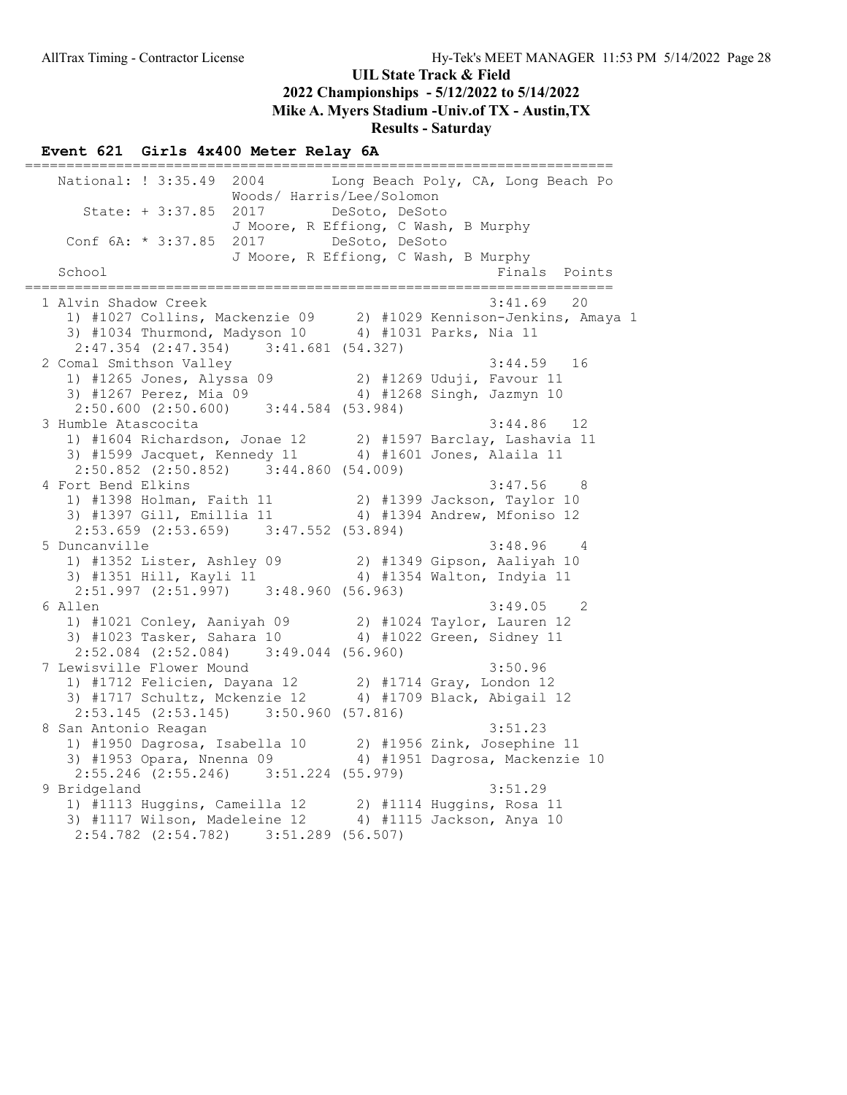Results - Saturday

### Event 621 Girls 4x400 Meter Relay 6A

======================================================================= National: ! 3:35.49 2004 Long Beach Poly, CA, Long Beach Po Woods/ Harris/Lee/Solomon State: + 3:37.85 2017 DeSoto, DeSoto J Moore, R Effiong, C Wash, B Murphy Conf 6A: \* 3:37.85 2017 DeSoto, DeSoto J Moore, R Effiong, C Wash, B Murphy<br>Final Finals Points ======================================================================= 1 Alvin Shadow Creek 3:41.69 20 1) #1027 Collins, Mackenzie 09 2) #1029 Kennison-Jenkins, Amaya 1 3) #1034 Thurmond, Madyson 10 4) #1031 Parks, Nia 11 2:47.354 (2:47.354) 3:41.681 (54.327)<br>2 Comal Smithson Valley 2 Comal Smithson Valley 3:44.59 16 1) #1265 Jones, Alyssa 09 2) #1269 Uduji, Favour 11 3) #1267 Perez, Mia 09 4) #1268 Singh, Jazmyn 10 2:50.600 (2:50.600) 3:44.584 (53.984) 3 Humble Atascocita 3:44.86 12 1) #1604 Richardson, Jonae 12 2) #1597 Barclay, Lashavia 11 3) #1599 Jacquet, Kennedy 11 4) #1601 Jones, Alaila 11 2:50.852 (2:50.852) 3:44.860 (54.009) 4 Fort Bend Elkins 3:47.56 8 1) #1398 Holman, Faith 11 2) #1399 Jackson, Taylor 10 3) #1397 Gill, Emillia 11 4) #1394 Andrew, Mfoniso 12 2:53.659 (2:53.659) 3:47.552 (53.894)<br>5 Duncanville 5 Duncanville 3:48.96 4 1) #1352 Lister, Ashley 09 2) #1349 Gipson, Aaliyah 10 3) #1351 Hill, Kayli 11 4) #1354 Walton, Indyia 11 2:51.997 (2:51.997) 3:48.960 (56.963) 6 Allen 3:49.05 2 1) #1021 Conley, Aaniyah 09 2) #1024 Taylor, Lauren 12 3) #1023 Tasker, Sahara 10 4) #1022 Green, Sidney 11 2:52.084 (2:52.084) 3:49.044 (56.960) 7 Lewisville Flower Mound 3:50.96 1) #1712 Felicien, Dayana 12 2) #1714 Gray, London 12 3) #1717 Schultz, Mckenzie 12 4) #1709 Black, Abigail 12 2:53.145 (2:53.145) 3:50.960 (57.816)<br>8 San Antonio Reagan 8 San Antonio Reagan 3:51.23 1) #1950 Dagrosa, Isabella 10 2) #1956 Zink, Josephine 11 3) #1953 Opara, Nnenna 09 4) #1951 Dagrosa, Mackenzie 10 2:55.246 (2:55.246) 3:51.224 (55.979) 9 Bridgeland 3:51.29 1) #1113 Huggins, Cameilla 12 2) #1114 Huggins, Rosa 11 3) #1117 Wilson, Madeleine 12 4) #1115 Jackson, Anya 10 2:54.782 (2:54.782) 3:51.289 (56.507)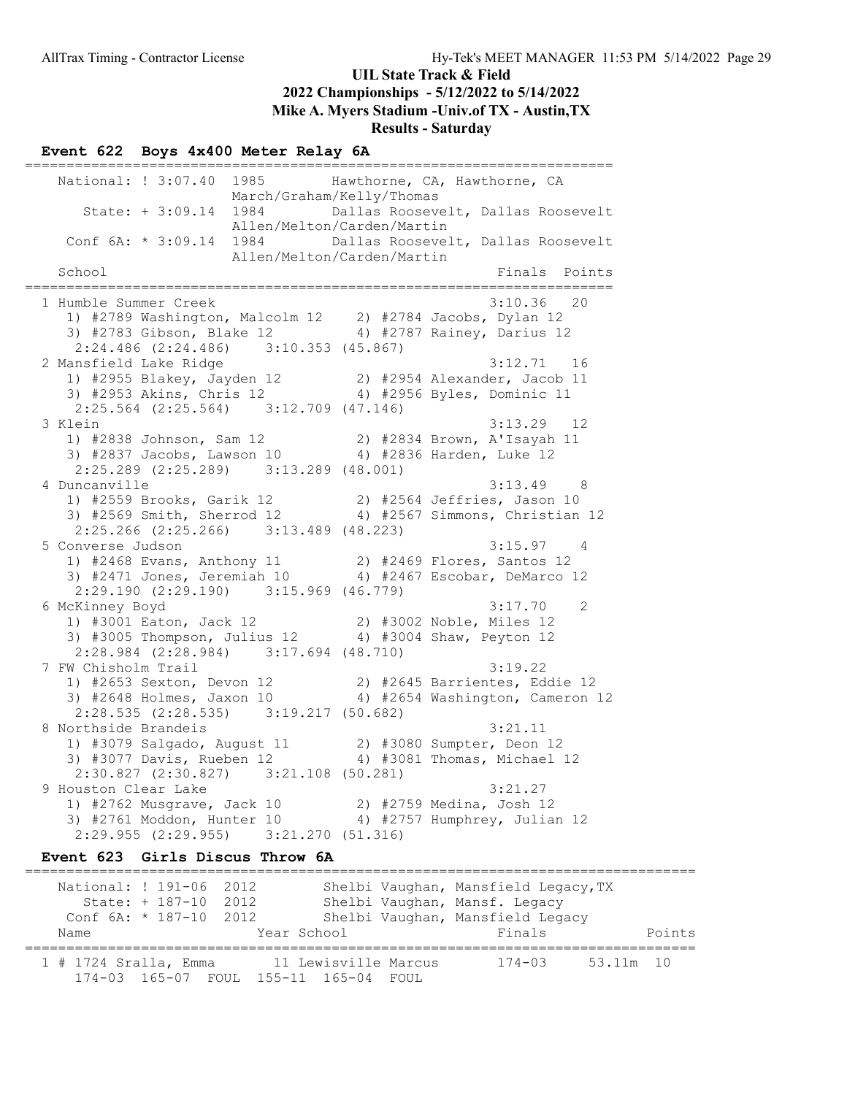#### Event 622 Boys 4x400 Meter Relay 6A

======================================================================= National: ! 3:07.40 1985 Hawthorne, CA, Hawthorne, CA March/Graham/Kelly/Thomas State: + 3:09.14 1984 Dallas Roosevelt, Dallas Roosevelt Allen/Melton/Carden/Martin Conf 6A: \* 3:09.14 1984 Dallas Roosevelt, Dallas Roosevelt Allen/Melton/Carden/Martin Finals Points ======================================================================= 1 Humble Summer Creek 3:10.36 20 1) #2789 Washington, Malcolm 12 2) #2784 Jacobs, Dylan 12 3) #2783 Gibson, Blake 12 4) #2787 Rainey, Darius 12 2:24.486 (2:24.486) 3:10.353 (45.867)<br>2 Mansfield Lake Ridge 2 Mansfield Lake Ridge 3:12.71 16 1) #2955 Blakey, Jayden 12 2) #2954 Alexander, Jacob 11 3) #2953 Akins, Chris 12 4) #2956 Byles, Dominic 11 2:25.564 (2:25.564) 3:12.709 (47.146) 3 Klein 3:13.29 12 1) #2838 Johnson, Sam 12 2) #2834 Brown, A'Isayah 11 3) #2837 Jacobs, Lawson 10 4) #2836 Harden, Luke 12 2:25.289 (2:25.289) 3:13.289 (48.001) 4 Duncanville 3:13.49 8 1) #2559 Brooks, Garik 12 2) #2564 Jeffries, Jason 10 3) #2569 Smith, Sherrod 12 4) #2567 Simmons, Christian 12 2:25.266 (2:25.266) 3:13.489 (48.223) 5 Converse Judson 3:15.97 4 1) #2468 Evans, Anthony 11 2) #2469 Flores, Santos 12 3) #2471 Jones, Jeremiah 10 4) #2467 Escobar, DeMarco 12 2:29.190 (2:29.190) 3:15.969 (46.779) 6 McKinney Boyd 3:17.70 2 1) #3001 Eaton, Jack 12 2) #3002 Noble, Miles 12 3) #3005 Thompson, Julius 12 4) #3004 Shaw, Peyton 12 2:28.984 (2:28.984) 3:17.694 (48.710) 7 FW Chisholm Trail 3:19.22 1) #2653 Sexton, Devon 12 2) #2645 Barrientes, Eddie 12 3) #2648 Holmes, Jaxon 10 4) #2654 Washington, Cameron 12 2:28.535 (2:28.535) 3:19.217 (50.682)<br>8 Northside Brandeis 8 Northside Brandeis 3:21.11 1) #3079 Salgado, August 11 2) #3080 Sumpter, Deon 12 3) #3077 Davis, Rueben 12 4) #3081 Thomas, Michael 12 2:30.827 (2:30.827) 3:21.108 (50.281) 9 Houston Clear Lake 3:21.27 1) #2762 Musgrave, Jack 10 2) #2759 Medina, Josh 12 3) #2761 Moddon, Hunter 10 4) #2757 Humphrey, Julian 12 2:29.955 (2:29.955) 3:21.270 (51.316)

#### Event 623 Girls Discus Throw 6A

================================================================================= National: ! 191-06 2012 Shelbi Vaughan, Mansfield Legacy, TX State: + 187-10 2012 Shelbi Vaughan, Mansf. Legacy Conf 6A: \* 187-10 2012 Shelbi Vaughan, Mansfield Legacy Name Year School Finals Points ================================================================================= 1 # 1724 Sralla, Emma 11 Lewisville Marcus 174-03 53.11m 10 174-03 165-07 FOUL 155-11 165-04 FOUL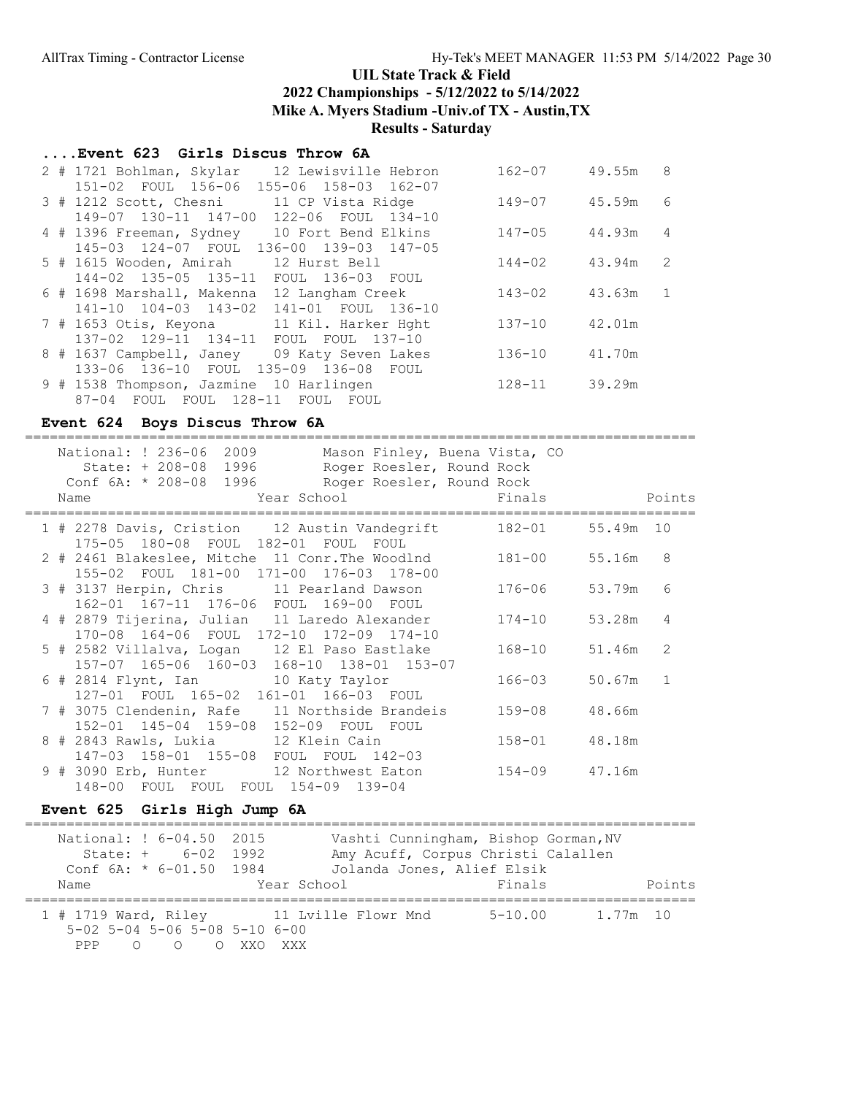### UIL State Track & Field

2022 Championships - 5/12/2022 to 5/14/2022

Mike A. Myers Stadium -Univ.of TX - Austin,TX

Results - Saturday

### ....Event 623 Girls Discus Throw 6A

|  | 12 Lewisville Hebron<br>2 # 1721 Bohlman, Skylar | $162 - 07$ | 49.55m | 8              |
|--|--------------------------------------------------|------------|--------|----------------|
|  | 151-02 FOUL 156-06 155-06 158-03 162-07          |            |        |                |
|  | 3 # 1212 Scott, Chesni 11 CP Vista Ridge         | $149 - 07$ | 45.59m | - 6            |
|  | 149-07 130-11 147-00<br>122-06 FOUL 134-10       |            |        |                |
|  | 4 # 1396 Freeman, Sydney 10 Fort Bend Elkins     | $147 - 05$ | 44.93m | $\overline{4}$ |
|  | 145-03 124-07 FOUL 136-00 139-03 147-05          |            |        |                |
|  | 5 # 1615 Wooden, Amirah 12 Hurst Bell            | $144 - 02$ | 43.94m | 2              |
|  | 144-02 135-05 135-11 FOUL 136-03 FOUL            |            |        |                |
|  | 6 # 1698 Marshall, Makenna 12 Langham Creek      | $143 - 02$ | 43.63m | $\overline{1}$ |
|  | 141-10 104-03 143-02 141-01 FOUL 136-10          |            |        |                |
|  | 7 # 1653 Otis, Keyona 11 Kil. Harker Hght        | $137 - 10$ | 42.01m |                |
|  | 137-02 129-11 134-11<br>FOUL FOUL 137-10         |            |        |                |
|  | 8 # 1637 Campbell, Janey 09 Katy Seven Lakes     | $136 - 10$ | 41.70m |                |
|  | 133-06 136-10 FOUL 135-09 136-08<br>FOUL         |            |        |                |
|  | 9 # 1538 Thompson, Jazmine 10 Harlingen          | $128 - 11$ | 39.29m |                |
|  | FOUL FOUL 128-11<br>$87 - 04$<br>FOUL<br>FOUL    |            |        |                |

#### Event 624 Boys Discus Throw 6A

|  | National: ! 236-06 2009<br>Mason Finley, Buena Vista, CO<br>State: + 208-08 1996<br>Roger Roesler, Round Rock<br>Conf 6A: * 208-08 1996 Roger Roesler, Round Rock<br>Year School and the School<br>Name | Finals     |           | Points        |
|--|---------------------------------------------------------------------------------------------------------------------------------------------------------------------------------------------------------|------------|-----------|---------------|
|  |                                                                                                                                                                                                         |            |           |               |
|  | 1 # 2278 Davis, Cristion 12 Austin Vandegrift<br>175-05 180-08 FOUL 182-01 FOUL<br>FOUL                                                                                                                 | 182-01     | 55.49m 10 |               |
|  | 2 # 2461 Blakeslee, Mitche 11 Conr.The Woodlnd<br>155-02 FOUL 181-00 171-00 176-03 178-00                                                                                                               | $181 - 00$ | 55.16m    | 8             |
|  | 3 # 3137 Herpin, Chris 11 Pearland Dawson<br>162-01 167-11 176-06 FOUL 169-00 FOUL                                                                                                                      | 176-06     | 53.79m    | 6             |
|  | 4 # 2879 Tijerina, Julian 11 Laredo Alexander<br>170-08 164-06 FOUL 172-10 172-09 174-10                                                                                                                | $174 - 10$ | 53.28m    | 4             |
|  | 5 # 2582 Villalva, Logan 12 El Paso Eastlake<br>157-07 165-06 160-03 168-10 138-01 153-07                                                                                                               | 168-10     | 51.46m    | $\mathcal{L}$ |
|  | 6 # 2814 Flynt, Ian 10 Katy Taylor<br>127-01 FOUL 165-02 161-01 166-03 FOUL                                                                                                                             | 166-03     | 50.67m    | $\mathbf{1}$  |
|  | 7 # 3075 Clendenin, Rafe 11 Northside Brandeis<br>152-01 145-04 159-08 152-09 FOUL FOUL                                                                                                                 | 159-08     | 48.66m    |               |
|  | 8 # 2843 Rawls, Lukia 12 Klein Cain<br>147-03 158-01 155-08 FOUL FOUL<br>$142 - 03$                                                                                                                     | $158 - 01$ | 48.18m    |               |
|  | 9 # 3090 Erb, Hunter 12 Northwest Eaton<br>148-00<br>FOUL FOUL FOUL 154-09 139-04                                                                                                                       | 154-09     | 47.16m    |               |

### Event 625 Girls High Jump 6A

================================================================================= National: ! 6-04.50 2015 Vashti Cunningham, Bishop Gorman,NV State: + 6-02 1992 Amy Acuff, Corpus Christi Calallen Conf 6A: \* 6-01.50 1984 Jolanda Jones, Alief Elsik Name  $Year School$  Finals Points ================================================================================= 1 # 1719 Ward, Riley 11 Lville Flowr Mnd 5-10.00 1.77m 10 5-02 5-04 5-06 5-08 5-10 6-00 PPP O O O XXO XXX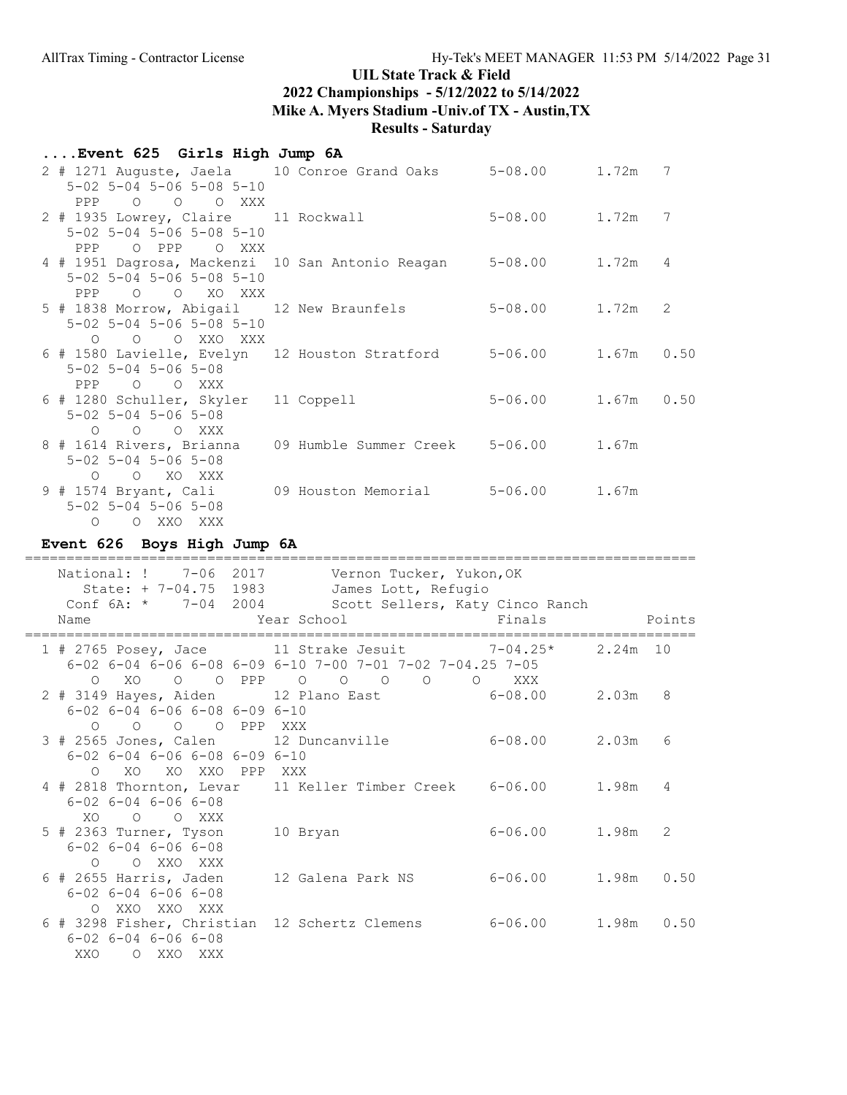| Event 625 Girls High Jump 6A                                                                                 |                                      |                        |   |
|--------------------------------------------------------------------------------------------------------------|--------------------------------------|------------------------|---|
| 2 # 1271 Auguste, Jaela 10 Conroe Grand Oaks 5-08.00 1.72m 7<br>$5 - 02$ $5 - 04$ $5 - 06$ $5 - 08$ $5 - 10$ |                                      |                        |   |
| PPP 0 0 0 XXX                                                                                                |                                      |                        |   |
| 2 # 1935 Lowrey, Claire 11 Rockwall                                                                          |                                      | 5-08.00 1.72m          | 7 |
| $5 - 02$ $5 - 04$ $5 - 06$ $5 - 08$ $5 - 10$<br>PPP O PPP O XXX                                              |                                      |                        |   |
| 4 # 1951 Dagrosa, Mackenzi 10 San Antonio Reagan 5-08.00 1.72m                                               |                                      |                        | 4 |
| $5 - 02$ $5 - 04$ $5 - 06$ $5 - 08$ $5 - 10$                                                                 |                                      |                        |   |
| PPP O O XO XXX                                                                                               |                                      |                        |   |
| 5 # 1838 Morrow, Abigail 12 New Braunfels<br>$5 - 02$ $5 - 04$ $5 - 06$ $5 - 08$ $5 - 10$                    |                                      | 5-08.00 1.72m          | 2 |
| O O O XXO XXX                                                                                                |                                      |                        |   |
| 6 # 1580 Lavielle, Evelyn 12 Houston Stratford 5-06.00 1.67m 0.50                                            |                                      |                        |   |
| $5 - 02$ $5 - 04$ $5 - 06$ $5 - 08$                                                                          |                                      |                        |   |
| PPP 0 0 XXX                                                                                                  |                                      |                        |   |
| 6 # 1280 Schuller, Skyler 11 Coppell<br>$5 - 02$ $5 - 04$ $5 - 06$ $5 - 08$                                  |                                      | $5 - 06.00$ 1.67m 0.50 |   |
| O O O XXX                                                                                                    |                                      |                        |   |
| 8 # 1614 Rivers, Brianna                                                                                     | 09 Humble Summer Creek 5-06.00 1.67m |                        |   |
| $5 - 02$ $5 - 04$ $5 - 06$ $5 - 08$                                                                          |                                      |                        |   |
| O O XO XXX                                                                                                   |                                      |                        |   |
| 9 # 1574 Bryant, Cali (09 Houston Memorial (5-06.00 1.67m)                                                   |                                      |                        |   |
| $5 - 02$ $5 - 04$ $5 - 06$ $5 - 08$                                                                          |                                      |                        |   |
| O XXO XXX<br>$\circ$                                                                                         |                                      |                        |   |

# Event 626 Boys High Jump 6A

| National: ! 7-06 2017<br>State: + 7-04.75 1983                                                                                          | Vernon Tucker, Yukon, OK<br>James Lott, Refugio<br>Conf 6A: * 7-04 2004 Scott Sellers, Katy Cinco Ranch                             |                        |            |                 |
|-----------------------------------------------------------------------------------------------------------------------------------------|-------------------------------------------------------------------------------------------------------------------------------------|------------------------|------------|-----------------|
| Name                                                                                                                                    | Year School Finals                                                                                                                  |                        |            | Points          |
|                                                                                                                                         | 1 # 2765 Posey, Jace $11$ Strake Jesuit 7-04.25*<br>$6-02$ $6-04$ $6-06$ $6-08$ $6-09$ $6-10$ $7-00$ $7-01$ $7-02$ $7-04.25$ $7-05$ |                        | $2.24m$ 10 |                 |
| O XO<br>$6 - 02$ $6 - 04$ $6 - 06$ $6 - 08$ $6 - 09$ $6 - 10$                                                                           | 0 0 PPP 0 0 0 0 0 XXX<br>2 # 3149 Hayes, Aiden 12 Plano East 6-08.00 2.03m                                                          |                        |            | 8               |
| 0 0 0 0 PPP XXX<br>3 # 2565 Jones, Calen 12 Duncanville<br>$6 - 02$ $6 - 04$ $6 - 06$ $6 - 08$ $6 - 09$ $6 - 10$<br>O XO XO XXO PPP XXX |                                                                                                                                     | $6 - 08.00$ 2.03m      |            | $6\overline{6}$ |
| $6 - 02$ $6 - 04$ $6 - 06$ $6 - 08$<br>XO O O XXX                                                                                       | 4 # 2818 Thornton, Levar 11 Keller Timber Creek 6-06.00 1.98m 4                                                                     |                        |            |                 |
| $5$ # 2363 Turner, Tyson<br>$6 - 02$ $6 - 04$ $6 - 06$ $6 - 08$<br>O OXXOXXX                                                            | 10 Bryan                                                                                                                            | 6-06.00 1.98m 2        |            |                 |
| $6$ # 2655 Harris, Jaden<br>$6 - 02$ $6 - 04$ $6 - 06$ $6 - 08$<br>O XXO XXO XXX                                                        | 12 Galena Park NS                                                                                                                   | $6 - 06.00$ 1.98m 0.50 |            |                 |
| $6 - 02$ $6 - 04$ $6 - 06$ $6 - 08$<br>XXO OXXOXXX                                                                                      | 6 # 3298 Fisher, Christian 12 Schertz Clemens 6-06.00 1.98m 0.50                                                                    |                        |            |                 |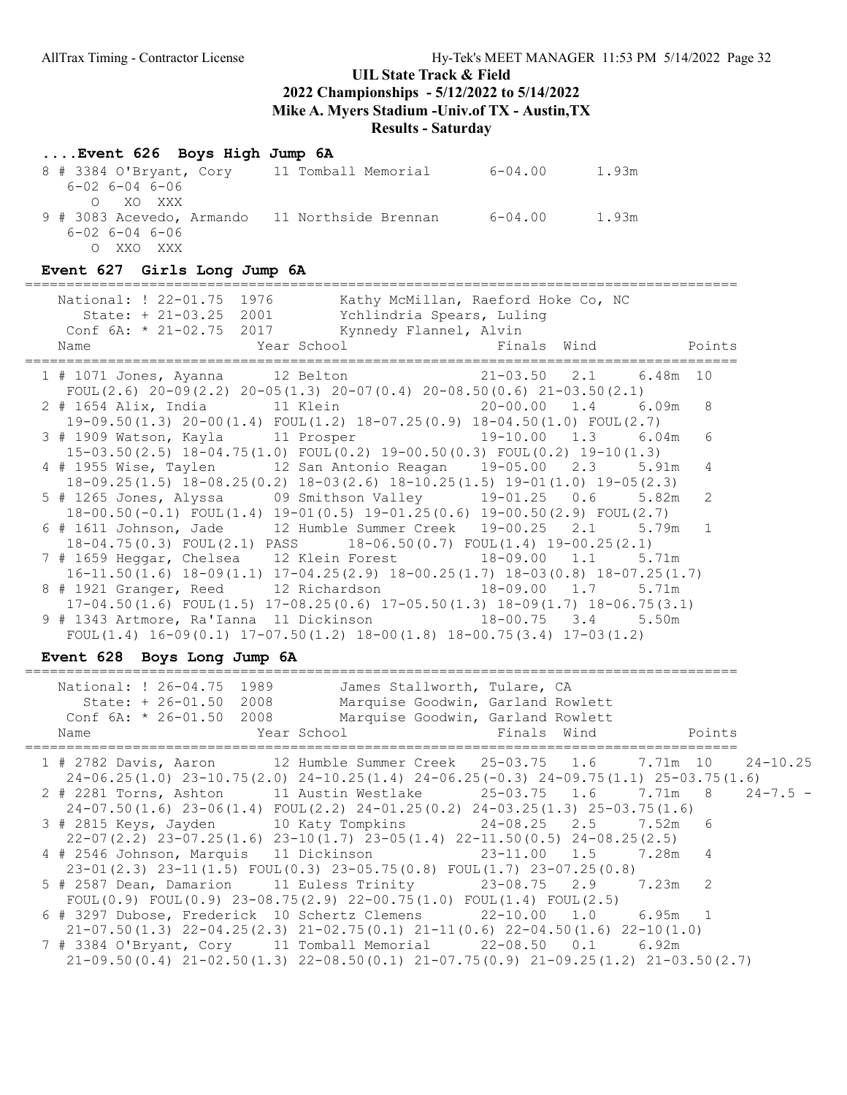## ....Event 626 Boys High Jump 6A

| 8 # 3384 O'Bryant, Cory    | 11 Tomball Memorial  | $6 - 04.00$ | 1.93m |
|----------------------------|----------------------|-------------|-------|
| $6 - 02$ $6 - 04$ $6 - 06$ |                      |             |       |
| O XO XXX                   |                      |             |       |
| 9 # 3083 Acevedo, Armando  | 11 Northside Brennan | 6-04.00     | 1.93m |
| $6 - 02$ $6 - 04$ $6 - 06$ |                      |             |       |
| XXO XXX                    |                      |             |       |

### Event 627 Girls Long Jump 6A

| National: ! 22-01.75 1976<br>Kathy McMillan, Raeford Hoke Co, NC<br>State: + 21-03.25 2001 Ychlindria Spears, Luling<br>Conf $6A: * 21-02.75$ 2017 Kynnedy Flannel, Alvin<br>Name | Points         |
|-----------------------------------------------------------------------------------------------------------------------------------------------------------------------------------|----------------|
| 1 # 1071 Jones, Ayanna 12 Belton 10 11-03.50 2.1 6.48m 10<br>FOUL (2.6) $20-09(2.2)$ $20-05(1.3)$ $20-07(0.4)$ $20-08.50(0.6)$ $21-03.50(2.1)$                                    |                |
| 2 # 1654 Alix, India 11 Klein 11 Alein 20-00.00 1.4 6.09m 8<br>$19-09.50(1.3)$ $20-00(1.4)$ $FOUT(1.2)$ $18-07.25(0.9)$ $18-04.50(1.0)$ $FOUT(2.7)$                               |                |
| $19-10.00$ $1.3$ 6.04m<br>3 # 1909 Watson, Kayla 11 Prosper<br>$15-03.50(2.5)$ $18-04.75(1.0)$ $FOUT(0.2)$ $19-00.50(0.3)$ $FOUT(0.2)$ $19-10(1.3)$                               | 6              |
| 4 # 1955 Wise, Taylen 12 San Antonio Reagan 19-05.00 2.3 5.91m<br>$18-09.25(1.5)$ $18-08.25(0.2)$ $18-03(2.6)$ $18-10.25(1.5)$ $19-01(1.0)$ $19-05(2.3)$                          | $\overline{4}$ |
| $18-00.50(-0.1)$ FOUL $(1.4)$ $19-01(0.5)$ $19-01.25(0.6)$ $19-00.50(2.9)$ FOUL $(2.7)$                                                                                           | 2              |
| 6 # 1611 Johnson, Jade 12 Humble Summer Creek 19-00.25 2.1 5.79m<br>$18-04.75(0.3)$ FOUL $(2.1)$ PASS $18-06.50(0.7)$ FOUL $(1.4)$ 19-00.25 $(2.1)$                               |                |
| 7 # 1659 Heggar, Chelsea 12 Klein Forest 18-09.00 1.1 5.71m<br>$16-11.50(1.6)$ $18-09(1.1)$ $17-04.25(2.9)$ $18-00.25(1.7)$ $18-03(0.8)$ $18-07.25(1.7)$                          |                |
| 8 # 1921 Granger, Reed 12 Richardson 18-09.00 1.7 5.71m<br>$17-04.50(1.6)$ FOUL $(1.5)$ $17-08.25(0.6)$ $17-05.50(1.3)$ $18-09(1.7)$ $18-06.75(3.1)$                              |                |
| 9 # 1343 Artmore, Ra'Ianna 11 Dickinson 18-00.75 3.4<br>5.50m<br>FOUL $(1.4)$ 16-09 $(0.1)$ 17-07.50 $(1.2)$ 18-00 $(1.8)$ 18-00.75 $(3.4)$ 17-03 $(1.2)$                         |                |

# Event 628 Boys Long Jump 6A

| National: ! 26-04.75 1989<br>State: + 26-01.50 2008<br>Name | James Stallworth, Tulare, CA<br>Marquise Goodwin, Garland Rowlett<br>Conf 6A: * 26-01.50 2008 Marquise Goodwin, Garland Rowlett<br>Year School and Finals Wind  | Points |  |
|-------------------------------------------------------------|-----------------------------------------------------------------------------------------------------------------------------------------------------------------|--------|--|
|                                                             | 1 # 2782 Davis, Aaron 12 Humble Summer Creek 25-03.75 1.6 7.71m 10 24-10.25                                                                                     |        |  |
|                                                             | $24-06.25(1.0)$ $23-10.75(2.0)$ $24-10.25(1.4)$ $24-06.25(-0.3)$ $24-09.75(1.1)$ $25-03.75(1.6)$                                                                |        |  |
|                                                             | 2 # 2281 Torns, Ashton 11 Austin Westlake 25-03.75 1.6 7.71m 8 24-7.5 -                                                                                         |        |  |
|                                                             | $24-07.50(1.6)$ $23-06(1.4)$ $FOUL(2.2)$ $24-01.25(0.2)$ $24-03.25(1.3)$ $25-03.75(1.6)$                                                                        |        |  |
|                                                             | 3 # 2815 Keys, Jayden 10 Katy Tompkins 24-08.25 2.5 7.52m 6                                                                                                     |        |  |
|                                                             | $22-07(2.2)$ $23-07.25(1.6)$ $23-10(1.7)$ $23-05(1.4)$ $22-11.50(0.5)$ $24-08.25(2.5)$                                                                          |        |  |
|                                                             |                                                                                                                                                                 |        |  |
|                                                             | $23-01(2.3)$ $23-11(1.5)$ $FOUT(0.3)$ $23-05.75(0.8)$ $FOUT(1.7)$ $23-07.25(0.8)$                                                                               |        |  |
|                                                             | 5 # 2587 Dean, Damarion 11 Euless Trinity 23-08.75 2.9 7.23m 2                                                                                                  |        |  |
|                                                             | FOUL $(0.9)$ FOUL $(0.9)$ 23-08.75 $(2.9)$ 22-00.75 $(1.0)$ FOUL $(1.4)$ FOUL $(2.5)$                                                                           |        |  |
|                                                             | 6 # 3297 Dubose, Frederick 10 Schertz Clemens 22-10.00 1.0 6.95m 1<br>$21-07.50(1.3)$ $22-04.25(2.3)$ $21-02.75(0.1)$ $21-11(0.6)$ $22-04.50(1.6)$ $22-10(1.0)$ |        |  |
|                                                             | 7 # 3384 O'Bryant, Cory 11 Tomball Memorial 22-08.50 0.1 6.92m                                                                                                  |        |  |
|                                                             | $21-09.50(0.4)$ $21-02.50(1.3)$ $22-08.50(0.1)$ $21-07.75(0.9)$ $21-09.25(1.2)$ $21-03.50(2.7)$                                                                 |        |  |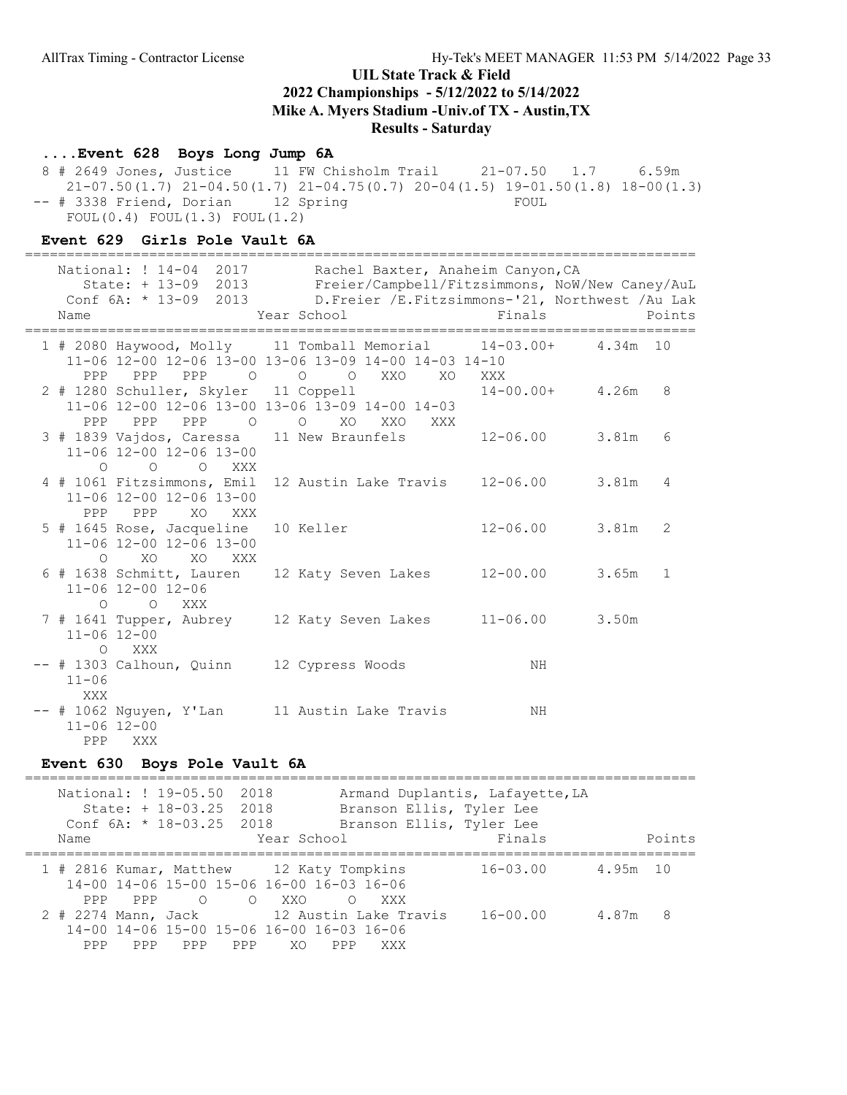### ....Event 628 Boys Long Jump 6A

 8 # 2649 Jones, Justice 11 FW Chisholm Trail 21-07.50 1.7 6.59m 21-07.50(1.7) 21-04.50(1.7) 21-04.75(0.7) 20-04(1.5) 19-01.50(1.8) 18-00(1.3) -- # 3338 Friend, Dorian 12 Spring FOUL FOUL(0.4) FOUL(1.3) FOUL(1.2)

### Event 629 Girls Pole Vault 6A

| ===========                                                                                                  |                                                                                                                                                                                                       |                    |        |
|--------------------------------------------------------------------------------------------------------------|-------------------------------------------------------------------------------------------------------------------------------------------------------------------------------------------------------|--------------------|--------|
| State: + 13-09 2013<br>Name                                                                                  | National: ! 14-04 2017 Rachel Baxter, Anaheim Canyon, CA<br>Freier/Campbell/Fitzsimmons, NoW/New Caney/AuL<br>Conf 6A: * 13-09 2013 D. Freier / E. Fitzsimmons-'21, Northwest / Au Lak<br>Year School | Finals             | Points |
| 1 # 2080 Haywood, Molly 11 Tomball Memorial 14-03.00+ 4.34m 10<br>PPP PPP 0 0 0<br>PPP                       | 11-06 12-00 12-06 13-00 13-06 13-09 14-00 14-03 14-10<br>XXO<br>XO                                                                                                                                    | XXX                |        |
| 2 # 1280 Schuller, Skyler 11 Coppell<br>PPP PPP PPP O                                                        | 11-06 12-00 12-06 13-00 13-06 13-09 14-00 14-03<br>O XO XXO<br>XXX                                                                                                                                    | $14-00.00+ 4.26m$  | 8      |
| 3 # 1839 Vajdos, Caressa 11 New Braunfels 12-06.00 3.81m<br>11-06 12-00 12-06 13-00<br>$O$ $O$ $O$ $XXX$     |                                                                                                                                                                                                       |                    | 6      |
| 4 # 1061 Fitzsimmons, Emil 12 Austin Lake Travis 12-06.00 3.81m<br>11-06 12-00 12-06 13-00<br>PPP PPP XO XXX |                                                                                                                                                                                                       |                    | 4      |
| 5 # 1645 Rose, Jacqueline 10 Keller<br>11-06 12-00 12-06 13-00<br>O XO XO XXX                                |                                                                                                                                                                                                       | $12 - 06.00$ 3.81m | 2      |
| 6 # 1638 Schmitt, Lauren<br>11-06 12-00 12-06<br>O O XXX                                                     | 12 Katy Seven Lakes   12-00.00   3.65m   1                                                                                                                                                            |                    |        |
| 7 # 1641 Tupper, Aubrey 12 Katy Seven Lakes 11-06.00 3.50m<br>$11 - 06$ $12 - 00$<br>O XXX                   |                                                                                                                                                                                                       |                    |        |
| -- # 1303 Calhoun, Quinn 12 Cypress Woods<br>$11 - 06$<br>XXX                                                |                                                                                                                                                                                                       | ΝH                 |        |
| -- # 1062 Nguyen, Y'Lan 11 Austin Lake Travis<br>$11 - 06$ $12 - 00$<br>PPP XXX                              |                                                                                                                                                                                                       | ΝH                 |        |

#### Event 630 Boys Pole Vault 6A

================================================================================= National: ! 19-05.50 2018 Armand Duplantis, Lafayette, LA State: + 18-03.25 2018 Branson Ellis, Tyler Lee Conf 6A: \* 18-03.25 2018 Branson Ellis, Tyler Lee Name **Name** Year School **Finals** Points ================================================================================= 1 # 2816 Kumar, Matthew 12 Katy Tompkins 16-03.00 4.95m 10 14-00 14-06 15-00 15-06 16-00 16-03 16-06 PPP PPP O O XXO O XXX 2 # 2274 Mann, Jack 12 Austin Lake Travis 16-00.00 4.87m 8 14-00 14-06 15-00 15-06 16-00 16-03 16-06 PPP PPP PPP PPP XO PPP XXX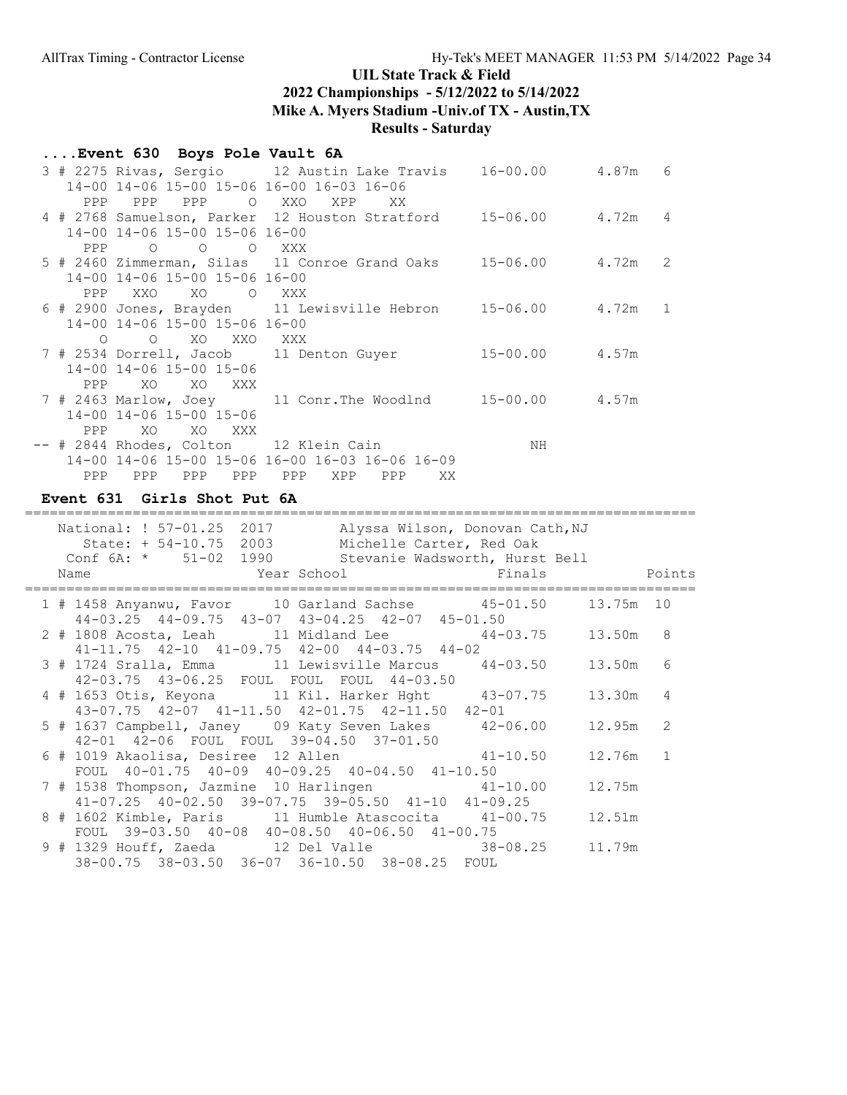## ....Event 630 Boys Pole Vault 6A

|     | $14-00$ $14-06$ $15-00$ $15-06$ $16-00$ $16-03$ $16-06$ | 3 # 2275 Rivas, Sergio 12 Austin Lake Travis 16-00.00 4.87m 6    |    |  |
|-----|---------------------------------------------------------|------------------------------------------------------------------|----|--|
|     | PPP PPP PPP<br>O XXO                                    | XPP<br>XX.                                                       |    |  |
|     |                                                         | 4 # 2768 Samuelson, Parker 12 Houston Stratford 15-06.00 4.72m 4 |    |  |
| PPP | 14-00 14-06 15-00 15-06 16-00<br>O O O XXX              |                                                                  |    |  |
|     |                                                         | 5 # 2460 Zimmerman, Silas 11 Conroe Grand Oaks 15-06.00 4.72m 2  |    |  |
|     | 14-00 14-06 15-00 15-06 16-00                           |                                                                  |    |  |
| PPP | XXO<br>XO<br>O XXX                                      |                                                                  |    |  |
|     |                                                         | 6 # 2900 Jones, Brayden 11 Lewisville Hebron 15-06.00 4.72m 1    |    |  |
|     | 14-00 14-06 15-00 15-06 16-00                           |                                                                  |    |  |
|     | O O XO XXO XXX                                          |                                                                  |    |  |
|     |                                                         | 7 # 2534 Dorrell, Jacob 11 Denton Guyer 15-00.00 4.57m           |    |  |
|     | 14-00 14-06 15-00 15-06                                 |                                                                  |    |  |
| PPP | XO XO XXX                                               |                                                                  |    |  |
|     |                                                         |                                                                  |    |  |
|     | 14-00 14-06 15-00 15-06                                 |                                                                  |    |  |
| PPP | XO<br>XO<br><b>XXX</b>                                  |                                                                  |    |  |
|     | -- # 2844 Rhodes, Colton 12 Klein Cain                  |                                                                  | NH |  |
|     |                                                         | 14-00 14-06 15-00 15-06 16-00 16-03 16-06 16-09                  |    |  |
| PPP | PPP<br>PPP<br>PPP                                       | PPP<br>XPP<br>PPP<br>XX.                                         |    |  |

### Event 631 Girls Shot Put 6A

| National: ! 57-01.25 2017<br>Alyssa Wilson, Donovan Cath, NJ<br>State: + 54-10.75 2003 Michelle Carter, Red Oak<br>Conf 6A: * 51-02 1990 Stevanie Wadsworth, Hurst Bell<br>Year School <a> Finals <a> Finals <a> Points<br/>Name</a></a></a> |          |                |
|----------------------------------------------------------------------------------------------------------------------------------------------------------------------------------------------------------------------------------------------|----------|----------------|
| 1 # 1458 Anyanwu, Favor 10 Garland Sachse 45-01.50 13.75m 10                                                                                                                                                                                 |          |                |
| 44-03.25 44-09.75 43-07 43-04.25 42-07 45-01.50<br>2 # 1808 Acosta, Leah 11 Midland Lee 44-03.75 13.50m 8<br>41-11.75 42-10 41-09.75 42-00 44-03.75 44-02                                                                                    |          |                |
| 3 # 1724 Sralla, Emma 11 Lewisville Marcus 44-03.50                                                                                                                                                                                          | 13.50m   | 6              |
| 42-03.75 43-06.25 FOUL FOUL FOUL 44-03.50<br>4 # 1653 Otis, Keyona 11 Kil. Harker Hght 43-07.75<br>$43-07.75$ $42-07$ $41-11.50$ $42-01.75$ $42-11.50$ $42-01$                                                                               | 13.30m   | $\overline{4}$ |
| 5 # 1637 Campbell, Janey 09 Katy Seven Lakes 42-06.00<br>42-01 42-06 FOUL FOUL 39-04.50 37-01.50                                                                                                                                             | 12.95m   | $\mathcal{L}$  |
| 6 # 1019 Akaolisa, Desiree 12 Allen (1941-10.50)<br>FOUL 40-01.75 40-09 40-09.25 40-04.50 41-10.50                                                                                                                                           | 12.76m 1 |                |
| 7 # 1538 Thompson, Jazmine 10 Harlingen 41-10.00                                                                                                                                                                                             | 12.75m   |                |
| $41-07.25$ $40-02.50$ $39-07.75$ $39-05.50$ $41-10$ $41-09.25$<br>8 # 1602 Kimble, Paris 11 Humble Atascocita 41-00.75<br>FOUL 39-03.50 40-08 40-08.50 40-06.50 41-00.75                                                                     | 12.51m   |                |
| 9 # 1329 Houff, Zaeda 12 Del Valle 38-08.25 11.79m<br>38-00.75 38-03.50 36-07 36-10.50 38-08.25 FOUL                                                                                                                                         |          |                |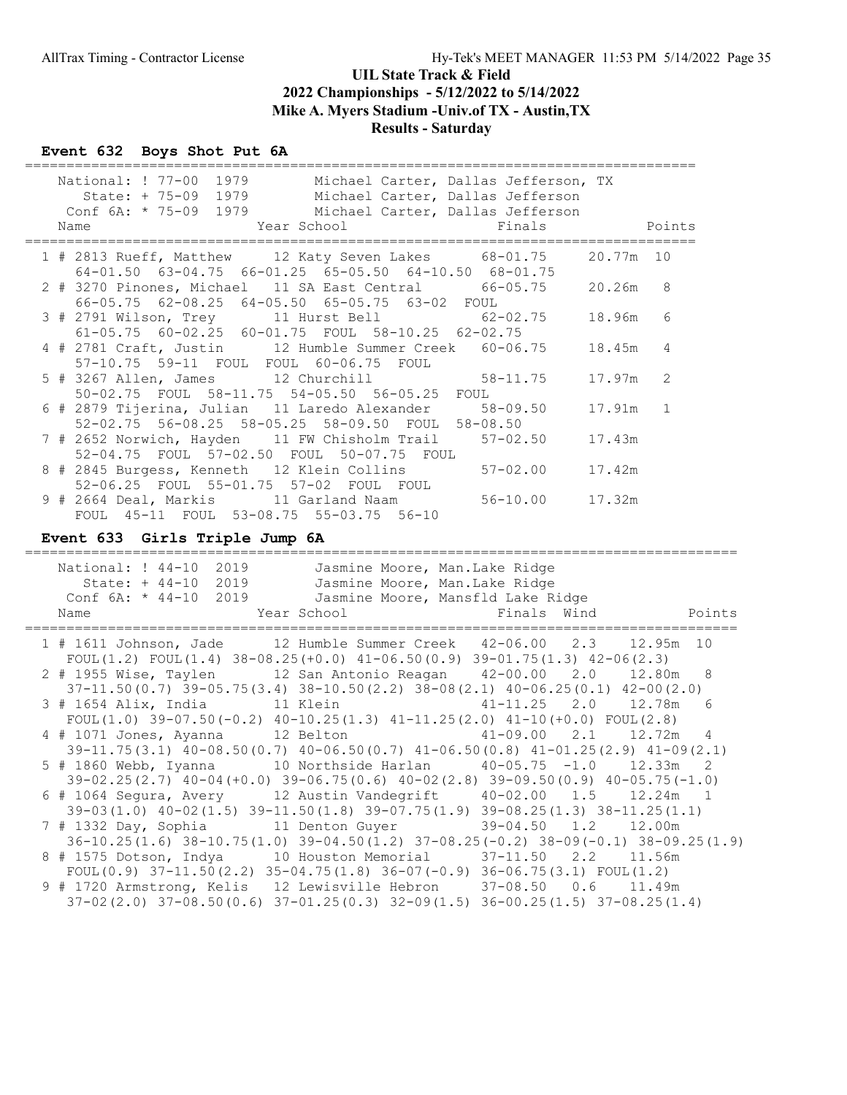## Event 632 Boys Shot Put 6A

| _________________________<br>National: ! 77-00 1979 Michael Carter, Dallas Jefferson, TX<br>State: + 75-09 1979 Michael Carter, Dallas Jefferson<br>Conf 6A: * 75-09 1979 Michael Carter, Dallas Jefferson<br>Year School<br>Finals<br>Name  |           | Points       |
|----------------------------------------------------------------------------------------------------------------------------------------------------------------------------------------------------------------------------------------------|-----------|--------------|
| 1 # 2813 Rueff, Matthew 12 Katy Seven Lakes 68-01.75<br>$64-01.50$ $63-04.75$ $66-01.25$ $65-05.50$ $64-10.50$ $68-01.75$                                                                                                                    | 20.77m 10 |              |
| 2 # 3270 Pinones, Michael 11 SA East Central 66-05.75<br>66-05.75 62-08.25 64-05.50 65-05.75 63-02 FOUL                                                                                                                                      | 20.26m    | 8            |
| 3 # 2791 Wilson, Trey 11 Hurst Bell 62-02.75<br>61-05.75 60-02.25 60-01.75 FOUL 58-10.25 62-02.75                                                                                                                                            | 18.96m    | 6            |
| 4 # 2781 Craft, Justin 12 Humble Summer Creek 60-06.75<br>57-10.75 59-11 FOUL FOUL 60-06.75 FOUL                                                                                                                                             | 18.45m    | 4            |
| 5 # 3267 Allen, James 12 Churchill<br>$58 - 11.75$<br>50-02.75 FOUL 58-11.75 54-05.50 56-05.25 FOUL                                                                                                                                          | 17.97m    | 2            |
| 6 # 2879 Tijerina, Julian 11 Laredo Alexander<br>58-09.50<br>52-02.75 56-08.25 58-05.25 58-09.50 FOUL 58-08.50                                                                                                                               | 17.91m    | $\mathbf{1}$ |
| 7 # 2652 Norwich, Hayden 11 FW Chisholm Trail<br>$57 - 02.50$<br>52-04.75 FOUL 57-02.50 FOUL 50-07.75 FOUL                                                                                                                                   | 17.43m    |              |
| 8 # 2845 Burgess, Kenneth 12 Klein Collins<br>$57 - 02.00$<br>52-06.25 FOUL 55-01.75 57-02 FOUL FOUL                                                                                                                                         | 17.42m    |              |
| $56 - 10.00$<br>9 # 2664 Deal, Markis 11 Garland Naam<br>FOUL 45-11 FOUL 53-08.75 55-03.75 56-10                                                                                                                                             | 17.32m    |              |
| Event 633 Girls Triple Jump 6A                                                                                                                                                                                                               |           |              |
| National: ! 44-10 2019 Jasmine Moore, Man.Lake Ridge<br>State: + 44-10 2019 Jasmine Moore, Man.Lake Ridge<br>Conf 6A: * 44-10 2019 Jasmine Moore, Mansfld Lake R:<br>Jasmine Moore, Mansfld Lake Ridge<br>Finals Wind<br>Year School<br>Name |           | Points       |
|                                                                                                                                                                                                                                              |           |              |
| 1 # 1611 Johnson, Jade 12 Humble Summer Creek 42-06.00 2.3 12.95m 10                                                                                                                                                                         |           |              |
| FOUL(1.2) FOUL(1.4) $38-08.25(+0.0)$ $41-06.50(0.9)$ $39-01.75(1.3)$ $42-06(2.3)$<br>2 # 1955 Wise, Taylen 12 San Antonio Reagan 42-00.00 2.0 12.80m                                                                                         |           | 8            |
| $37-11.50(0.7)$ $39-05.75(3.4)$ $38-10.50(2.2)$ $38-08(2.1)$ $40-06.25(0.1)$ $42-00(2.0)$<br>3 # 1654 Alix, India 11 Klein 11 + 41-11.25 2.0 12.78m                                                                                          |           | 6            |
| FOUL(1.0) $39-07.50(-0.2)$ $40-10.25(1.3)$ $41-11.25(2.0)$ $41-10(+0.0)$ FOUL(2.8)<br>4 # 1071 Jones, Ayanna<br>12 Belton<br>41-09.00 2.1 12.72m                                                                                             |           | 4            |
| 39-11.75(3.1) 40-08.50(0.7) 40-06.50(0.7) 41-06.50(0.8) 41-01.25(2.9) 41-09(2.1)<br>5 # 1860 Webb, Iyanna 10 Northside Harlan 40-05.75 -1.0 12.33m                                                                                           |           | 2            |
| $39-02.25(2.7)$ $40-04(+0.0)$ $39-06.75(0.6)$ $40-02(2.8)$ $39-09.50(0.9)$ $40-05.75(-1.0)$<br>$6$ # 1064 Segura, Avery 12 Austin Vandegrift $40-02.00$ 1.5                                                                                  |           | $12.24m$ 1   |
| 39-03 (1.0) 40-02 (1.5) 39-11.50 (1.8) 39-07.75 (1.9) 39-08.25 (1.3) 38-11.25 (1.1)<br>7 # 1332 Day, Sophia<br>11 Denton Guyer<br>$39 - 04.50$ 1.2                                                                                           |           | 12.00m       |
| 36-10.25(1.6) 38-10.75(1.0) 39-04.50(1.2) 37-08.25(-0.2) 38-09(-0.1) 38-09.25(1.9)<br>10 Houston Memorial 37-11.50 2.2<br>8 # 1575 Dotson, Indya<br>FOUL (0.9) $37-11.50(2.2)$ $35-04.75(1.8)$ $36-07(-0.9)$ $36-06.75(3.1)$ $F0UL(1.2)$     |           | 11.56m       |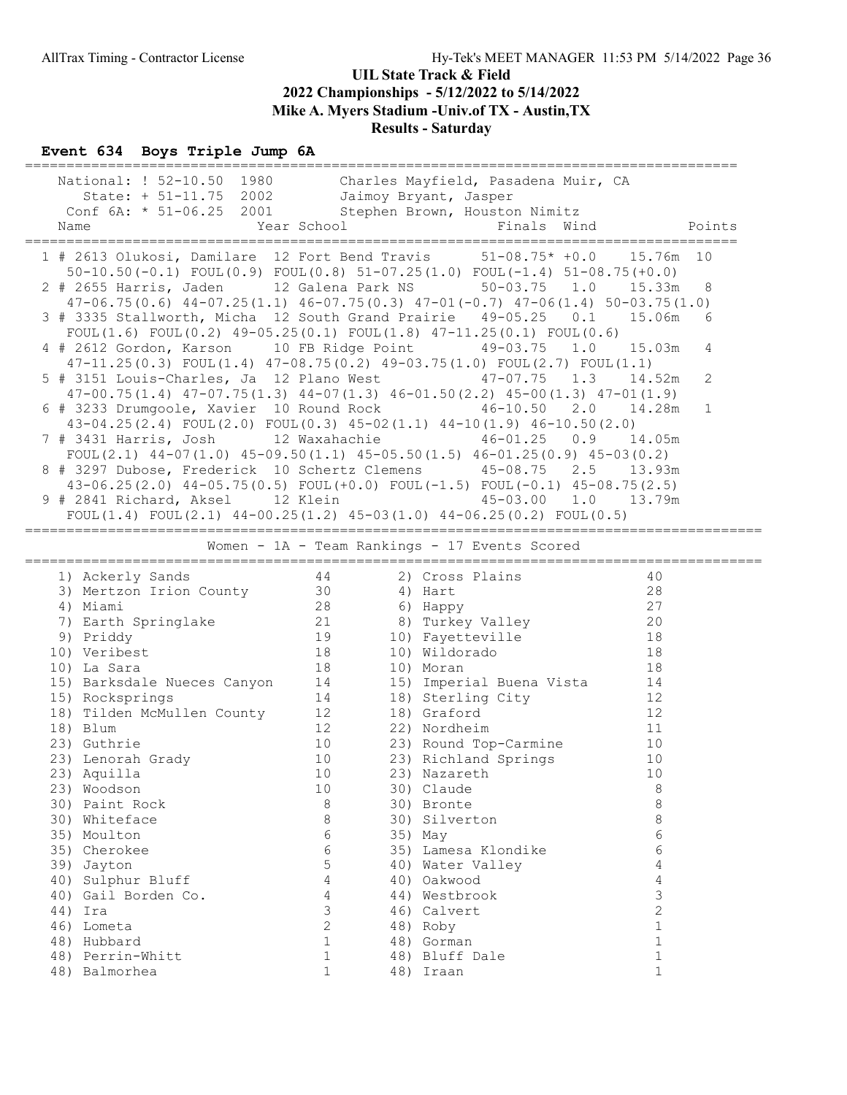| National: ! 52-10.50 1980 Charles Mayfield, Pasadena Muir, CA<br>State: + 51-11.75 2002 Jaimoy Bryant, Jasper<br>Conf 6A: * 51-06.25 2001 Stephen Brown, Houston Nimitz |                |                                                                                |                |     |
|-------------------------------------------------------------------------------------------------------------------------------------------------------------------------|----------------|--------------------------------------------------------------------------------|----------------|-----|
| 1 # 2613 Olukosi, Damilare 12 Fort Bend Travis 51-08.75* +0.0 15.76m 10<br>$50-10.50(-0.1)$ FOUL $(0.9)$ FOUL $(0.8)$ $51-07.25(1.0)$ FOUL $(-1.4)$ $51-08.75(+0.0)$    |                |                                                                                |                |     |
| 2 # 2655 Harris, Jaden 12 Galena Park NS 50-03.75 1.0<br>$47-06.75(0.6)$ $44-07.25(1.1)$ $46-07.75(0.3)$ $47-01(-0.7)$ $47-06(1.4)$ $50-03.75(1.0)$                     |                |                                                                                | 15.33m         | 8   |
| 3 # 3335 Stallworth, Micha 12 South Grand Prairie 49-05.25 0.1<br>FOUL(1.6) FOUL(0.2) $49-05.25(0.1)$ FOUL(1.8) $47-11.25(0.1)$ FOUL(0.6)                               |                |                                                                                | 15.06m         | - 6 |
| 4 # 2612 Gordon, Karson 10 FB Ridge Point 49-03.75 1.0 15.03m<br>47-11.25(0.3) FOUL(1.4) 47-08.75(0.2) 49-03.75(1.0) FOUL(2.7) FOUL(1.1)                                |                |                                                                                |                | 4   |
| 5 # 3151 Louis-Charles, Ja 12 Plano West 47-07.75 1.3<br>$47-00.75(1.4)$ $47-07.75(1.3)$ $44-07(1.3)$ $46-01.50(2.2)$ $45-00(1.3)$ $47-01(1.9)$                         |                |                                                                                | 14.52m         | 2   |
| 6 # 3233 Drumgoole, Xavier 10 Round Rock 46-10.50 2.0 14.28m<br>$43-04.25(2.4)$ FOUL $(2.0)$ FOUL $(0.3)$ $45-02(1.1)$ $44-10(1.9)$ $46-10.50(2.0)$                     |                |                                                                                |                | 1   |
| 7 # 3431 Harris, Josh 12 Waxahachie 46-01.25 0.9 14.05m<br>FOUL(2.1) $44-07(1.0)$ $45-09.50(1.1)$ $45-05.50(1.5)$ $46-01.25(0.9)$ $45-03(0.2)$                          |                |                                                                                |                |     |
| 8 # 3297 Dubose, Frederick 10 Schertz Clemens 45-08.75 2.5 13.93m                                                                                                       |                |                                                                                |                |     |
| $43-06.25(2.0)$ $44-05.75(0.5)$ FOUL $(+0.0)$ FOUL $(-1.5)$ FOUL $(-0.1)$ $45-08.75(2.5)$<br>9 # 2841 Richard, Aksel 12 Klein 13.79m                                    |                |                                                                                |                |     |
| FOUL $(1.4)$ FOUL $(2.1)$ 44-00.25 $(1.2)$ 45-03 $(1.0)$ 44-06.25 $(0.2)$ FOUL $(0.5)$                                                                                  |                |                                                                                |                |     |
|                                                                                                                                                                         |                | Women - 1A - Team Rankings - 17 Events Scored                                  |                |     |
| 44<br>1) Ackerly Sands                                                                                                                                                  |                | 2) Cross Plains                                                                | 40             |     |
| 3) Mertzon Irion County 30 (4) Hart                                                                                                                                     |                | $\sim$ 28                                                                      |                |     |
| 4) Miami                                                                                                                                                                | 28             | %, nappy<br>8) Turkey Valley<br>10) Fayetteville<br>10) Wildorado<br>10) Moran | 27             |     |
| 7) Earth Springlake<br>9) Priddy<br>19 (1) Veribest<br>18                                                                                                               |                |                                                                                | 20             |     |
|                                                                                                                                                                         |                |                                                                                | 18<br>18       |     |
| 10) Veribest                                                                                                                                                            | 18             |                                                                                |                |     |
| 10) La Sara                                                                                                                                                             |                |                                                                                | 18             |     |
| 15) Barksdale Nueces Canyon 14 15) Imperial Buena Vista 14<br>15) Rocksprings                                                                                           |                |                                                                                | 12             |     |
|                                                                                                                                                                         |                | 14 18) Sterling City<br>18) Graford                                            | 12             |     |
| 18) Tilden McMullen County 12<br>18) Blum                                                                                                                               | 12             | 22) Nordheim                                                                   | 11             |     |
| 23) Guthrie                                                                                                                                                             |                | 10 23) Round Top-Carmine 10                                                    |                |     |
| 23) Lenorah Grady                                                                                                                                                       | 10             | 23) Richland Springs                                                           | 10             |     |
| 23) Aquilla                                                                                                                                                             | 10             | 23) Nazareth                                                                   | 10             |     |
| 23) Woodson                                                                                                                                                             | 10             | 30) Claude                                                                     | 8              |     |
| 30) Paint Rock                                                                                                                                                          | 8              | 30) Bronte                                                                     | 8              |     |
| 30) Whiteface                                                                                                                                                           | 8              | 30) Silverton                                                                  | 8              |     |
| 35) Moulton                                                                                                                                                             | 6              | 35) May                                                                        | 6              |     |
| 35) Cherokee                                                                                                                                                            | 6              | 35) Lamesa Klondike                                                            | 6              |     |
| 39) Jayton                                                                                                                                                              | 5              | 40) Water Valley                                                               | 4              |     |
| 40) Sulphur Bluff                                                                                                                                                       | $\overline{4}$ | 40) Oakwood                                                                    | $\overline{4}$ |     |
| 40) Gail Borden Co.                                                                                                                                                     | 4              | 44) Westbrook                                                                  | 3              |     |
| 44) Ira                                                                                                                                                                 | 3              | 46) Calvert                                                                    | $\overline{2}$ |     |
| 46) Lometa                                                                                                                                                              | 2              | 48) Roby                                                                       | $\mathbf{1}$   |     |
| 48) Hubbard                                                                                                                                                             | $\mathbf{1}$   | 48) Gorman                                                                     | $\mathbf{1}$   |     |
| 48) Perrin-Whitt                                                                                                                                                        | $\mathbf{1}$   | 48) Bluff Dale                                                                 | $\mathbf 1$    |     |
| 48) Balmorhea                                                                                                                                                           | $\mathbf{1}$   | 48) Iraan                                                                      | $\mathbf{1}$   |     |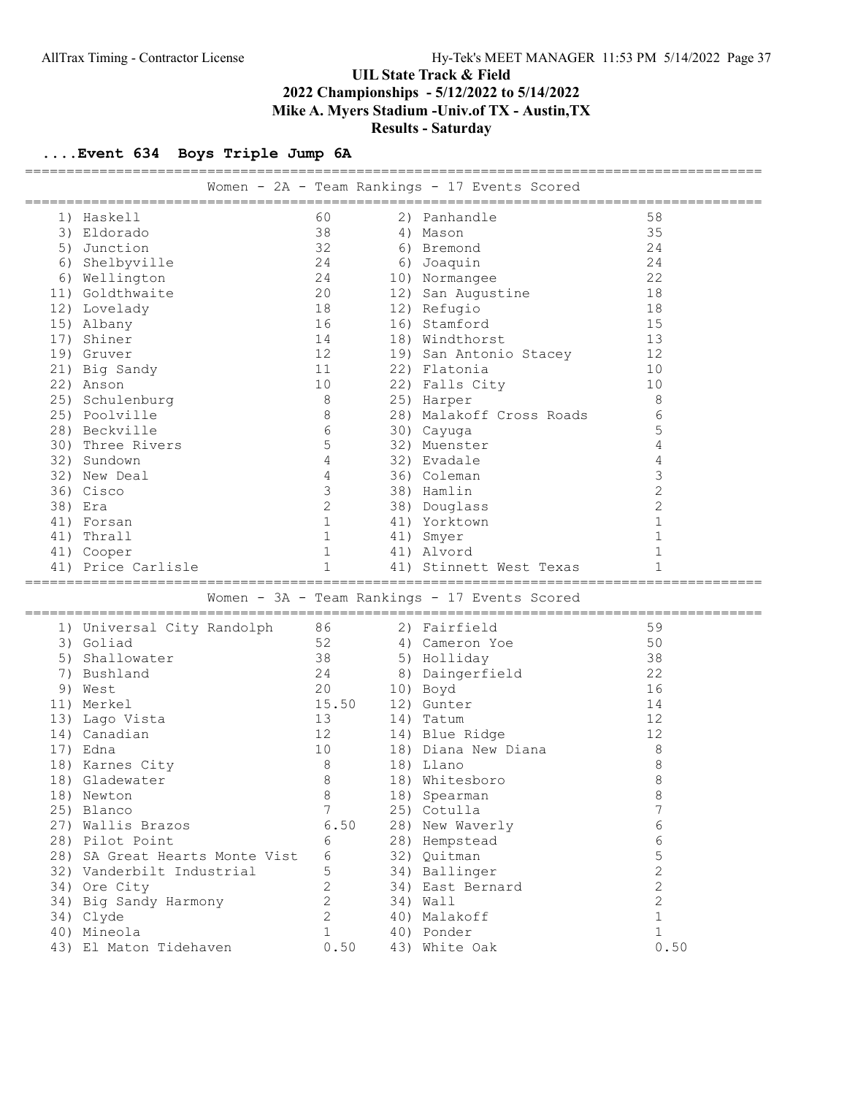| 60<br>58<br>1) Haskell<br>2)<br>Panhandle<br>38<br>35<br>3) Eldorado<br>4) Mason<br>32<br>24<br>5) Junction<br>6) Bremond<br>24<br>6) Shelbyville<br>24<br>6) Joaquin<br>22<br>6) Wellington<br>24<br>10) Normangee<br>11) Goldthwaite<br>20<br>12) San Augustine<br>18<br>18<br>18<br>12) Lovelady<br>12) Refugio<br>16<br>15<br>16) Stamford<br>15) Albany<br>13<br>17) Shiner<br>14<br>18) Windthorst<br>12<br>12<br>19) Gruver<br>19) San Antonio Stacey<br>10<br>11<br>22) Flatonia<br>21) Big Sandy<br>10<br>22) Falls City<br>22) Anson<br>10<br>8<br>25) Schulenburg<br>8<br>25) Harper<br>6<br>8<br>25) Poolville<br>28) Malakoff Cross Roads<br>5<br>6<br>28) Beckville<br>30) Cayuga<br>4<br>5<br>32) Muenster<br>30) Three Rivers<br>4<br>4<br>32) Evadale<br>32) Sundown<br>3<br>4<br>32) New Deal<br>36) Coleman<br>$\overline{2}$<br>3<br>36) Cisco<br>38) Hamlin<br>$\overline{c}$<br>$\mathbf{2}$<br>38) Era<br>38) Douglass<br>$\mathbf{1}$<br>$\mathbf 1$<br>41) Yorktown<br>41) Forsan<br>$\mathbf{1}$<br>$\mathbf{1}$<br>41)<br>Thrall<br>41) Smyer<br>1<br>41) Alvord<br>41) Cooper<br>1<br>1<br>1<br>41) Price Carlisle<br>41) Stinnett West Texas<br>=========================<br>Women - 3A - Team Rankings - 17 Events Scored<br>86<br>2) Fairfield<br>59<br>1) Universal City Randolph<br>52<br>3) Goliad<br>50<br>4) Cameron Yoe<br>Shallowater<br>38<br>38<br>5) Holliday<br>5)<br>22<br>Bushland<br>24<br>Daingerfield<br>7)<br>8)<br>20<br>16<br>9) West<br>10) Boyd<br>15.50<br>12) Gunter<br>14<br>11) Merkel<br>13<br>12<br>13) Lago Vista<br>14) Tatum<br>12<br>14) Canadian<br>12<br>14) Blue Ridge<br>8<br>17) Edna<br>10<br>18) Diana New Diana<br>$\,8\,$<br>8<br>18) Karnes City<br>18) Llano<br>8<br>8<br>18) Whitesboro<br>18) Gladewater<br>8<br>8<br>18) Spearman<br>18) Newton<br>7<br>7<br>25) Blanco<br>25) Cotulla<br>6<br>6.50<br>27) Wallis Brazos<br>28) New Waverly<br>6<br>28) Hempstead<br>28) Pilot Point<br>6 | =================== |  | Women - 2A - Team Rankings - 17 Events Scored |  |
|-----------------------------------------------------------------------------------------------------------------------------------------------------------------------------------------------------------------------------------------------------------------------------------------------------------------------------------------------------------------------------------------------------------------------------------------------------------------------------------------------------------------------------------------------------------------------------------------------------------------------------------------------------------------------------------------------------------------------------------------------------------------------------------------------------------------------------------------------------------------------------------------------------------------------------------------------------------------------------------------------------------------------------------------------------------------------------------------------------------------------------------------------------------------------------------------------------------------------------------------------------------------------------------------------------------------------------------------------------------------------------------------------------------------------------------------------------------------------------------------------------------------------------------------------------------------------------------------------------------------------------------------------------------------------------------------------------------------------------------------------------------------------------------------------------------------------------------------------------------------------------------------------------------------------------------------------------------------------|---------------------|--|-----------------------------------------------|--|
|                                                                                                                                                                                                                                                                                                                                                                                                                                                                                                                                                                                                                                                                                                                                                                                                                                                                                                                                                                                                                                                                                                                                                                                                                                                                                                                                                                                                                                                                                                                                                                                                                                                                                                                                                                                                                                                                                                                                                                       |                     |  |                                               |  |
|                                                                                                                                                                                                                                                                                                                                                                                                                                                                                                                                                                                                                                                                                                                                                                                                                                                                                                                                                                                                                                                                                                                                                                                                                                                                                                                                                                                                                                                                                                                                                                                                                                                                                                                                                                                                                                                                                                                                                                       |                     |  |                                               |  |
|                                                                                                                                                                                                                                                                                                                                                                                                                                                                                                                                                                                                                                                                                                                                                                                                                                                                                                                                                                                                                                                                                                                                                                                                                                                                                                                                                                                                                                                                                                                                                                                                                                                                                                                                                                                                                                                                                                                                                                       |                     |  |                                               |  |
|                                                                                                                                                                                                                                                                                                                                                                                                                                                                                                                                                                                                                                                                                                                                                                                                                                                                                                                                                                                                                                                                                                                                                                                                                                                                                                                                                                                                                                                                                                                                                                                                                                                                                                                                                                                                                                                                                                                                                                       |                     |  |                                               |  |
|                                                                                                                                                                                                                                                                                                                                                                                                                                                                                                                                                                                                                                                                                                                                                                                                                                                                                                                                                                                                                                                                                                                                                                                                                                                                                                                                                                                                                                                                                                                                                                                                                                                                                                                                                                                                                                                                                                                                                                       |                     |  |                                               |  |
|                                                                                                                                                                                                                                                                                                                                                                                                                                                                                                                                                                                                                                                                                                                                                                                                                                                                                                                                                                                                                                                                                                                                                                                                                                                                                                                                                                                                                                                                                                                                                                                                                                                                                                                                                                                                                                                                                                                                                                       |                     |  |                                               |  |
|                                                                                                                                                                                                                                                                                                                                                                                                                                                                                                                                                                                                                                                                                                                                                                                                                                                                                                                                                                                                                                                                                                                                                                                                                                                                                                                                                                                                                                                                                                                                                                                                                                                                                                                                                                                                                                                                                                                                                                       |                     |  |                                               |  |
|                                                                                                                                                                                                                                                                                                                                                                                                                                                                                                                                                                                                                                                                                                                                                                                                                                                                                                                                                                                                                                                                                                                                                                                                                                                                                                                                                                                                                                                                                                                                                                                                                                                                                                                                                                                                                                                                                                                                                                       |                     |  |                                               |  |
|                                                                                                                                                                                                                                                                                                                                                                                                                                                                                                                                                                                                                                                                                                                                                                                                                                                                                                                                                                                                                                                                                                                                                                                                                                                                                                                                                                                                                                                                                                                                                                                                                                                                                                                                                                                                                                                                                                                                                                       |                     |  |                                               |  |
|                                                                                                                                                                                                                                                                                                                                                                                                                                                                                                                                                                                                                                                                                                                                                                                                                                                                                                                                                                                                                                                                                                                                                                                                                                                                                                                                                                                                                                                                                                                                                                                                                                                                                                                                                                                                                                                                                                                                                                       |                     |  |                                               |  |
|                                                                                                                                                                                                                                                                                                                                                                                                                                                                                                                                                                                                                                                                                                                                                                                                                                                                                                                                                                                                                                                                                                                                                                                                                                                                                                                                                                                                                                                                                                                                                                                                                                                                                                                                                                                                                                                                                                                                                                       |                     |  |                                               |  |
|                                                                                                                                                                                                                                                                                                                                                                                                                                                                                                                                                                                                                                                                                                                                                                                                                                                                                                                                                                                                                                                                                                                                                                                                                                                                                                                                                                                                                                                                                                                                                                                                                                                                                                                                                                                                                                                                                                                                                                       |                     |  |                                               |  |
|                                                                                                                                                                                                                                                                                                                                                                                                                                                                                                                                                                                                                                                                                                                                                                                                                                                                                                                                                                                                                                                                                                                                                                                                                                                                                                                                                                                                                                                                                                                                                                                                                                                                                                                                                                                                                                                                                                                                                                       |                     |  |                                               |  |
|                                                                                                                                                                                                                                                                                                                                                                                                                                                                                                                                                                                                                                                                                                                                                                                                                                                                                                                                                                                                                                                                                                                                                                                                                                                                                                                                                                                                                                                                                                                                                                                                                                                                                                                                                                                                                                                                                                                                                                       |                     |  |                                               |  |
|                                                                                                                                                                                                                                                                                                                                                                                                                                                                                                                                                                                                                                                                                                                                                                                                                                                                                                                                                                                                                                                                                                                                                                                                                                                                                                                                                                                                                                                                                                                                                                                                                                                                                                                                                                                                                                                                                                                                                                       |                     |  |                                               |  |
|                                                                                                                                                                                                                                                                                                                                                                                                                                                                                                                                                                                                                                                                                                                                                                                                                                                                                                                                                                                                                                                                                                                                                                                                                                                                                                                                                                                                                                                                                                                                                                                                                                                                                                                                                                                                                                                                                                                                                                       |                     |  |                                               |  |
|                                                                                                                                                                                                                                                                                                                                                                                                                                                                                                                                                                                                                                                                                                                                                                                                                                                                                                                                                                                                                                                                                                                                                                                                                                                                                                                                                                                                                                                                                                                                                                                                                                                                                                                                                                                                                                                                                                                                                                       |                     |  |                                               |  |
|                                                                                                                                                                                                                                                                                                                                                                                                                                                                                                                                                                                                                                                                                                                                                                                                                                                                                                                                                                                                                                                                                                                                                                                                                                                                                                                                                                                                                                                                                                                                                                                                                                                                                                                                                                                                                                                                                                                                                                       |                     |  |                                               |  |
|                                                                                                                                                                                                                                                                                                                                                                                                                                                                                                                                                                                                                                                                                                                                                                                                                                                                                                                                                                                                                                                                                                                                                                                                                                                                                                                                                                                                                                                                                                                                                                                                                                                                                                                                                                                                                                                                                                                                                                       |                     |  |                                               |  |
|                                                                                                                                                                                                                                                                                                                                                                                                                                                                                                                                                                                                                                                                                                                                                                                                                                                                                                                                                                                                                                                                                                                                                                                                                                                                                                                                                                                                                                                                                                                                                                                                                                                                                                                                                                                                                                                                                                                                                                       |                     |  |                                               |  |
|                                                                                                                                                                                                                                                                                                                                                                                                                                                                                                                                                                                                                                                                                                                                                                                                                                                                                                                                                                                                                                                                                                                                                                                                                                                                                                                                                                                                                                                                                                                                                                                                                                                                                                                                                                                                                                                                                                                                                                       |                     |  |                                               |  |
|                                                                                                                                                                                                                                                                                                                                                                                                                                                                                                                                                                                                                                                                                                                                                                                                                                                                                                                                                                                                                                                                                                                                                                                                                                                                                                                                                                                                                                                                                                                                                                                                                                                                                                                                                                                                                                                                                                                                                                       |                     |  |                                               |  |
|                                                                                                                                                                                                                                                                                                                                                                                                                                                                                                                                                                                                                                                                                                                                                                                                                                                                                                                                                                                                                                                                                                                                                                                                                                                                                                                                                                                                                                                                                                                                                                                                                                                                                                                                                                                                                                                                                                                                                                       |                     |  |                                               |  |
|                                                                                                                                                                                                                                                                                                                                                                                                                                                                                                                                                                                                                                                                                                                                                                                                                                                                                                                                                                                                                                                                                                                                                                                                                                                                                                                                                                                                                                                                                                                                                                                                                                                                                                                                                                                                                                                                                                                                                                       |                     |  |                                               |  |
|                                                                                                                                                                                                                                                                                                                                                                                                                                                                                                                                                                                                                                                                                                                                                                                                                                                                                                                                                                                                                                                                                                                                                                                                                                                                                                                                                                                                                                                                                                                                                                                                                                                                                                                                                                                                                                                                                                                                                                       |                     |  |                                               |  |
|                                                                                                                                                                                                                                                                                                                                                                                                                                                                                                                                                                                                                                                                                                                                                                                                                                                                                                                                                                                                                                                                                                                                                                                                                                                                                                                                                                                                                                                                                                                                                                                                                                                                                                                                                                                                                                                                                                                                                                       |                     |  |                                               |  |
|                                                                                                                                                                                                                                                                                                                                                                                                                                                                                                                                                                                                                                                                                                                                                                                                                                                                                                                                                                                                                                                                                                                                                                                                                                                                                                                                                                                                                                                                                                                                                                                                                                                                                                                                                                                                                                                                                                                                                                       |                     |  |                                               |  |
|                                                                                                                                                                                                                                                                                                                                                                                                                                                                                                                                                                                                                                                                                                                                                                                                                                                                                                                                                                                                                                                                                                                                                                                                                                                                                                                                                                                                                                                                                                                                                                                                                                                                                                                                                                                                                                                                                                                                                                       |                     |  |                                               |  |
|                                                                                                                                                                                                                                                                                                                                                                                                                                                                                                                                                                                                                                                                                                                                                                                                                                                                                                                                                                                                                                                                                                                                                                                                                                                                                                                                                                                                                                                                                                                                                                                                                                                                                                                                                                                                                                                                                                                                                                       |                     |  |                                               |  |
|                                                                                                                                                                                                                                                                                                                                                                                                                                                                                                                                                                                                                                                                                                                                                                                                                                                                                                                                                                                                                                                                                                                                                                                                                                                                                                                                                                                                                                                                                                                                                                                                                                                                                                                                                                                                                                                                                                                                                                       |                     |  |                                               |  |
|                                                                                                                                                                                                                                                                                                                                                                                                                                                                                                                                                                                                                                                                                                                                                                                                                                                                                                                                                                                                                                                                                                                                                                                                                                                                                                                                                                                                                                                                                                                                                                                                                                                                                                                                                                                                                                                                                                                                                                       |                     |  |                                               |  |
|                                                                                                                                                                                                                                                                                                                                                                                                                                                                                                                                                                                                                                                                                                                                                                                                                                                                                                                                                                                                                                                                                                                                                                                                                                                                                                                                                                                                                                                                                                                                                                                                                                                                                                                                                                                                                                                                                                                                                                       |                     |  |                                               |  |
|                                                                                                                                                                                                                                                                                                                                                                                                                                                                                                                                                                                                                                                                                                                                                                                                                                                                                                                                                                                                                                                                                                                                                                                                                                                                                                                                                                                                                                                                                                                                                                                                                                                                                                                                                                                                                                                                                                                                                                       |                     |  |                                               |  |
|                                                                                                                                                                                                                                                                                                                                                                                                                                                                                                                                                                                                                                                                                                                                                                                                                                                                                                                                                                                                                                                                                                                                                                                                                                                                                                                                                                                                                                                                                                                                                                                                                                                                                                                                                                                                                                                                                                                                                                       |                     |  |                                               |  |
|                                                                                                                                                                                                                                                                                                                                                                                                                                                                                                                                                                                                                                                                                                                                                                                                                                                                                                                                                                                                                                                                                                                                                                                                                                                                                                                                                                                                                                                                                                                                                                                                                                                                                                                                                                                                                                                                                                                                                                       |                     |  |                                               |  |
|                                                                                                                                                                                                                                                                                                                                                                                                                                                                                                                                                                                                                                                                                                                                                                                                                                                                                                                                                                                                                                                                                                                                                                                                                                                                                                                                                                                                                                                                                                                                                                                                                                                                                                                                                                                                                                                                                                                                                                       |                     |  |                                               |  |
|                                                                                                                                                                                                                                                                                                                                                                                                                                                                                                                                                                                                                                                                                                                                                                                                                                                                                                                                                                                                                                                                                                                                                                                                                                                                                                                                                                                                                                                                                                                                                                                                                                                                                                                                                                                                                                                                                                                                                                       |                     |  |                                               |  |
|                                                                                                                                                                                                                                                                                                                                                                                                                                                                                                                                                                                                                                                                                                                                                                                                                                                                                                                                                                                                                                                                                                                                                                                                                                                                                                                                                                                                                                                                                                                                                                                                                                                                                                                                                                                                                                                                                                                                                                       |                     |  |                                               |  |
|                                                                                                                                                                                                                                                                                                                                                                                                                                                                                                                                                                                                                                                                                                                                                                                                                                                                                                                                                                                                                                                                                                                                                                                                                                                                                                                                                                                                                                                                                                                                                                                                                                                                                                                                                                                                                                                                                                                                                                       |                     |  |                                               |  |
|                                                                                                                                                                                                                                                                                                                                                                                                                                                                                                                                                                                                                                                                                                                                                                                                                                                                                                                                                                                                                                                                                                                                                                                                                                                                                                                                                                                                                                                                                                                                                                                                                                                                                                                                                                                                                                                                                                                                                                       |                     |  |                                               |  |
|                                                                                                                                                                                                                                                                                                                                                                                                                                                                                                                                                                                                                                                                                                                                                                                                                                                                                                                                                                                                                                                                                                                                                                                                                                                                                                                                                                                                                                                                                                                                                                                                                                                                                                                                                                                                                                                                                                                                                                       |                     |  |                                               |  |
| 5<br>28) SA Great Hearts Monte Vist<br>6<br>32) Quitman                                                                                                                                                                                                                                                                                                                                                                                                                                                                                                                                                                                                                                                                                                                                                                                                                                                                                                                                                                                                                                                                                                                                                                                                                                                                                                                                                                                                                                                                                                                                                                                                                                                                                                                                                                                                                                                                                                               |                     |  |                                               |  |
| $\overline{2}$<br>32) Vanderbilt Industrial<br>5<br>34) Ballinger                                                                                                                                                                                                                                                                                                                                                                                                                                                                                                                                                                                                                                                                                                                                                                                                                                                                                                                                                                                                                                                                                                                                                                                                                                                                                                                                                                                                                                                                                                                                                                                                                                                                                                                                                                                                                                                                                                     |                     |  |                                               |  |
| $\overline{c}$<br>$\overline{2}$<br>34) Ore City<br>34) East Bernard                                                                                                                                                                                                                                                                                                                                                                                                                                                                                                                                                                                                                                                                                                                                                                                                                                                                                                                                                                                                                                                                                                                                                                                                                                                                                                                                                                                                                                                                                                                                                                                                                                                                                                                                                                                                                                                                                                  |                     |  |                                               |  |
| $\mathbf{2}$<br>$\overline{c}$<br>34) Big Sandy Harmony<br>34) Wall                                                                                                                                                                                                                                                                                                                                                                                                                                                                                                                                                                                                                                                                                                                                                                                                                                                                                                                                                                                                                                                                                                                                                                                                                                                                                                                                                                                                                                                                                                                                                                                                                                                                                                                                                                                                                                                                                                   |                     |  |                                               |  |
| $\mathbf{1}$<br>$\overline{c}$<br>34) Clyde<br>40) Malakoff                                                                                                                                                                                                                                                                                                                                                                                                                                                                                                                                                                                                                                                                                                                                                                                                                                                                                                                                                                                                                                                                                                                                                                                                                                                                                                                                                                                                                                                                                                                                                                                                                                                                                                                                                                                                                                                                                                           |                     |  |                                               |  |
| $\mathbf{1}$<br>40) Mineola<br>$\mathbf{1}$<br>40) Ponder                                                                                                                                                                                                                                                                                                                                                                                                                                                                                                                                                                                                                                                                                                                                                                                                                                                                                                                                                                                                                                                                                                                                                                                                                                                                                                                                                                                                                                                                                                                                                                                                                                                                                                                                                                                                                                                                                                             |                     |  |                                               |  |
| 0.50<br>43) El Maton Tidehaven<br>0.50<br>43) White Oak                                                                                                                                                                                                                                                                                                                                                                                                                                                                                                                                                                                                                                                                                                                                                                                                                                                                                                                                                                                                                                                                                                                                                                                                                                                                                                                                                                                                                                                                                                                                                                                                                                                                                                                                                                                                                                                                                                               |                     |  |                                               |  |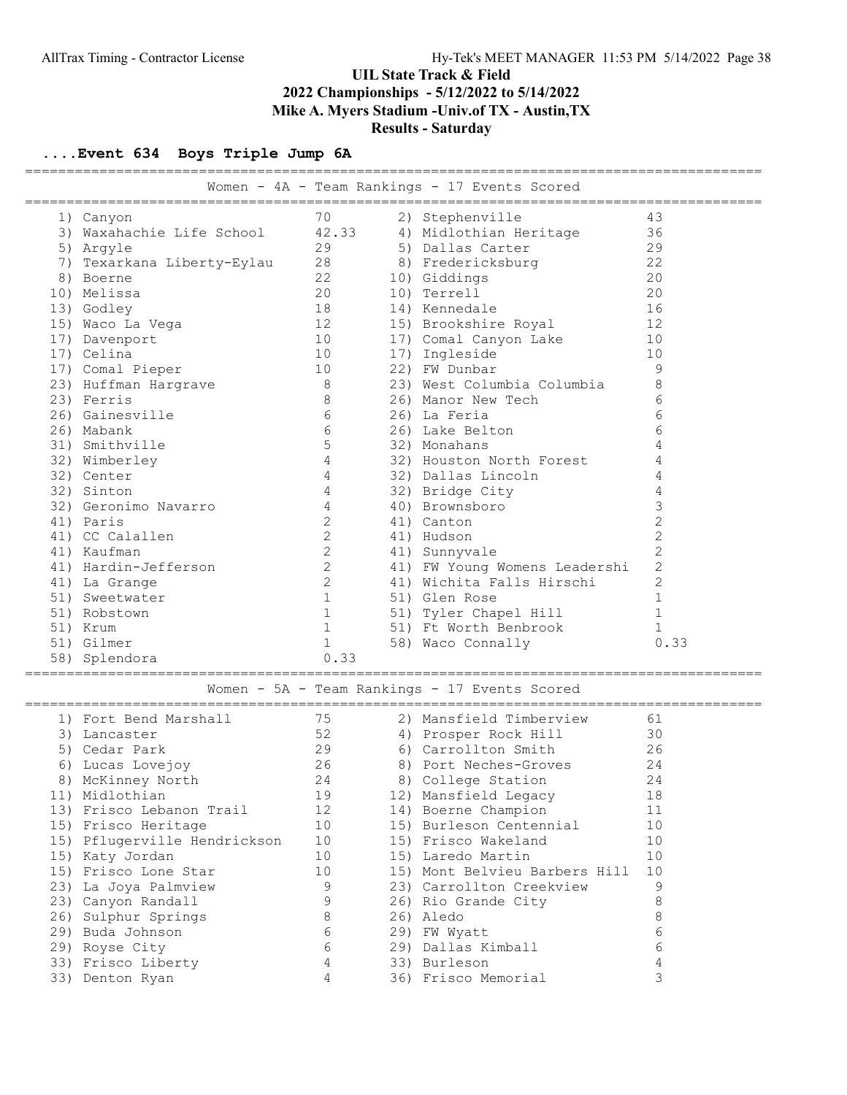|                                                           |                 | Women - 4A - Team Rankings - 17 Events Scored |                 |
|-----------------------------------------------------------|-----------------|-----------------------------------------------|-----------------|
|                                                           |                 |                                               |                 |
| 1) Canyon                                                 | 70              | 2) Stephenville                               | 43              |
| 3) Waxahachie Life School 42.33                           |                 | 4) Midlothian Heritage                        | 36              |
| 5) Argyle                                                 | 29              | 5) Dallas Carter                              | 29              |
| 7) Texarkana Liberty-Eylau                                | 28              | 8) Fredericksburg                             | 22              |
| 8) Boerne                                                 | 22              | 10) Giddings                                  | 20              |
| 10) Melissa                                               | 20              | 10) Terrell                                   | 20              |
| 13) Godley                                                | 18              | 14) Kennedale                                 | 16              |
| 15) Waco La Vega                                          | 12              | 15) Brookshire Royal                          | 12              |
| 17) Davenport                                             | 10              | 17) Comal Canyon Lake                         | 10              |
| 17) Celina                                                | 10              | 17) Ingleside                                 | 10              |
| 17) Comal Pieper                                          | 10              | 22) FW Dunbar                                 | 9               |
| 23) Huffman Hargrave                                      | 8 <sup>8</sup>  | 23) West Columbia Columbia                    | 8               |
| 23) Ferris                                                | 8               | 26) Manor New Tech                            | $6\phantom{1}6$ |
| 26) Gainesville                                           | $6\overline{6}$ | 26) La Feria                                  | $6\phantom{1}6$ |
| 26) Mabank                                                | $6\overline{6}$ | 26) Lake Belton                               | 6               |
| 31) Smithville                                            | $\mathsf S$     | 32) Monahans                                  | 4               |
| 32) Wimberley                                             | 4               | 32) Houston North Forest                      | 4               |
| 32) Center                                                | 4               | 32) Dallas Lincoln                            | 4               |
| 32) Sinton                                                | 4               | 32) Bridge City                               | $\overline{4}$  |
| 32) Geronimo Navarro                                      | 4               | 40) Brownsboro                                | 3               |
| 41) Paris                                                 | $\overline{2}$  | 41) Canton                                    | $\overline{c}$  |
| 41) CC Calallen                                           | $\overline{2}$  | 41) Hudson                                    | $\mathbf{2}$    |
| 41) Kaufman                                               | $\mathbf{2}$    | 41) Sunnyvale                                 | $\overline{2}$  |
| 41) Hardin-Jefferson                                      | 2               | 41) FW Young Womens Leadershi                 | $\overline{2}$  |
| 41) La Grange                                             | $2^{\circ}$     | 41) Wichita Falls Hirschi                     | $\overline{2}$  |
| 51) Sweetwater                                            | 1               | 51) Glen Rose                                 | $\mathbf{1}$    |
| 51) Robstown                                              | 1               | 51) Tyler Chapel Hill                         | $\mathbf{1}$    |
| 51) Krum                                                  | $\mathbf{1}$    | 51) Ft Worth Benbrook                         | $\mathbf{1}$    |
| 51) Gilmer                                                | 1               | 58) Waco Connally                             | 0.33            |
| 58) Splendora                                             | 0.33            |                                               |                 |
|                                                           |                 | Women - 5A - Team Rankings - 17 Events Scored |                 |
| ============-----<br>1) Fort Bend Marshall       75<br>52 |                 | 2) Mansfield Timberview                       | 61              |
|                                                           |                 | 4) Prosper Rock Hill                          | 30              |
| 5) Cedar Park                                             | 29              | 6) Carrollton Smith                           | 26              |
| 26<br>6) Lucas Lovejoy                                    |                 | 8) Port Neches-Groves                         | 24              |
| 8) McKinney North                                         | 24              | 8) College Station                            | 24              |
| 11) Midlothian                                            | 19              | 12) Mansfield Legacy                          | 18              |
| 13) Frisco Lebanon Trail                                  | 12              | 14) Boerne Champion                           | 11              |
| 15) Frisco Heritage                                       | 10              | 15) Burleson Centennial                       | 10              |
| 15) Pflugerville Hendrickson                              | 10              | 15) Frisco Wakeland                           | 10              |
| 15) Katy Jordan                                           | 10              | 15) Laredo Martin                             | 10              |
| 15) Frisco Lone Star                                      | 10              | 15) Mont Belvieu Barbers Hill                 | 10              |
| 23) La Joya Palmview                                      | 9               | 23) Carrollton Creekview                      | 9               |
| 23) Canyon Randall                                        | 9               | 26) Rio Grande City                           | 8               |
| 26) Sulphur Springs                                       | 8               | 26) Aledo                                     | 8               |
| 29) Buda Johnson                                          | 6               | 29) FW Wyatt                                  | 6               |
| 29) Royse City                                            | 6               | 29) Dallas Kimball                            | 6               |
| 33) Frisco Liberty                                        | 4               | 33) Burleson                                  | 4               |
| 33) Denton Ryan                                           | 4               | 36) Frisco Memorial                           | 3               |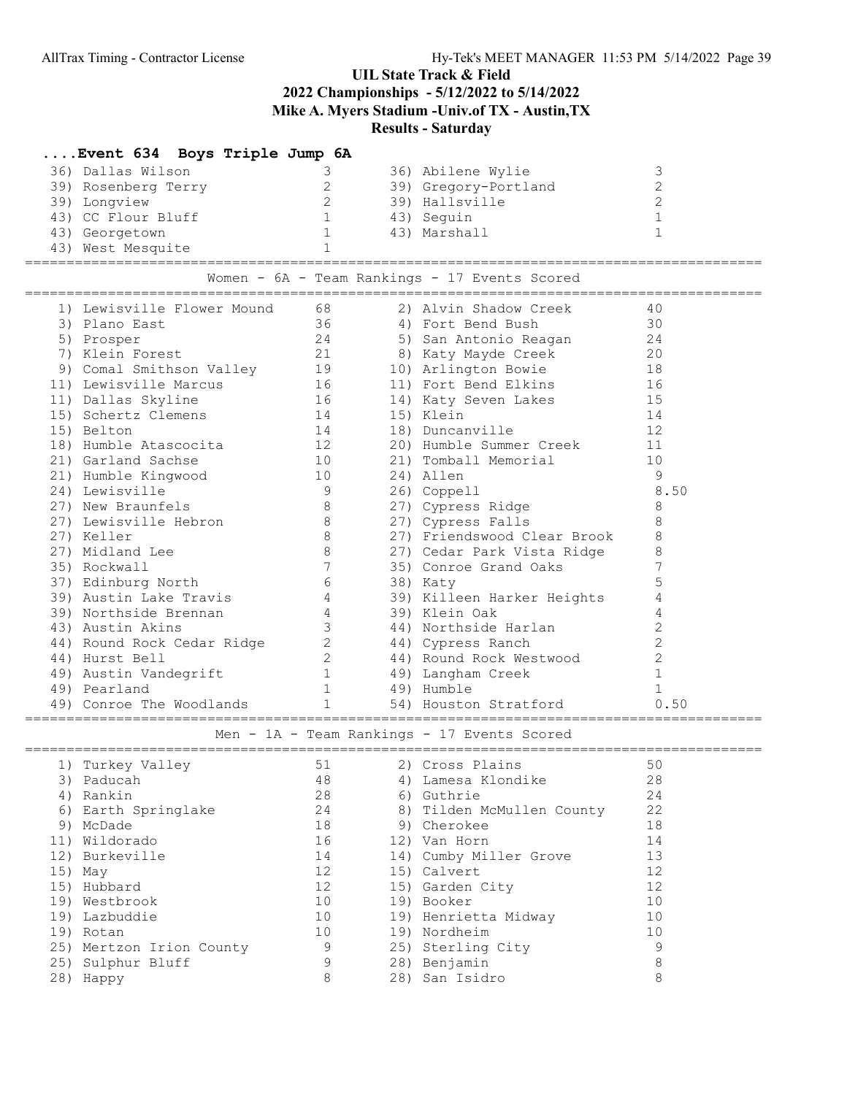| Event 634 Boys Triple Jump 6A                                                                 |                                                 |                                               |                |
|-----------------------------------------------------------------------------------------------|-------------------------------------------------|-----------------------------------------------|----------------|
| 36) Dallas Wilson                                                                             | 3                                               | 36) Abilene Wylie                             | 3              |
| 39) Rosenberg Terry                                                                           | $\overline{2}$                                  | 39) Gregory-Portland                          | $\overline{c}$ |
| 39) Longview                                                                                  | $\overline{2}$                                  | 39) Hallsville                                | $\overline{c}$ |
| 43) CC Flour Bluff                                                                            | 1                                               | 43) Seguin                                    | $\mathbf{1}$   |
| 43) Georgetown                                                                                | $\overline{1}$                                  | 43) Marshall                                  | $\mathbf{1}$   |
| 43) West Mesquite                                                                             | $\mathbf{1}$                                    |                                               |                |
|                                                                                               |                                                 | Women - 6A - Team Rankings - 17 Events Scored |                |
|                                                                                               |                                                 | 2) Alvin Shadow Creek                         | 40             |
| 1) Lewisville Flower Mound 68 (2) Alvin Shadow Cr<br>30 (2) Plano East (36 (4) Fort Bend Bush |                                                 |                                               | 30             |
| 5) Prosper                                                                                    |                                                 | 24 5) San Antonio Reagan 24                   |                |
| 7) Klein Forest                                                                               |                                                 | 21 8) Katy Mayde Creek 20                     |                |
| 9) Comal Smithson Valley 19                                                                   |                                                 | 10) Arlington Bowie                           | 18             |
|                                                                                               |                                                 | 11) Fort Bend Elkins                          | 16             |
| 11) Lewisville Marcus<br>16<br>11) Dallas Skyline<br>16<br>15) Schertz Clemens<br>14          |                                                 | 14) Katy Seven Lakes                          | 15             |
| 15) Schertz Clemens                                                                           |                                                 | 15) Klein                                     | 14             |
| 15) Belton                                                                                    | 14                                              | 18) Duncanville                               | 12             |
| 18) Humble Atascocita 12                                                                      |                                                 | 20) Humble Summer Creek                       | 11             |
| 21) Garland Sachse                                                                            | $\begin{array}{c}\n16 \\ 10 \\ 10\n\end{array}$ | 21) Tomball Memorial                          | 10             |
| 21) Humble Kingwood                                                                           |                                                 | 24) Allen                                     | - 9            |
| 24) Lewisville                                                                                | 9                                               | 26) Coppell                                   | 8.50           |
| 27) New Braunfels                                                                             | 8 <sup>8</sup>                                  | 27) Cypress Ridge                             | 8              |
| 27) Lewisville Hebron                                                                         | 8 <sup>8</sup>                                  | 27) Cypress Falls                             | 8              |
| 27) Keller                                                                                    | 8                                               | 27) Friendswood Clear Brook                   | 8              |
| 27) Midland Lee                                                                               | 8 <sup>8</sup>                                  | 27) Cedar Park Vista Ridge                    | 8              |
| 35) Rockwall                                                                                  | $7\phantom{.0}\phantom{.0}7$                    | 35) Conroe Grand Oaks                         | 7              |
| 37) Edinburg North                                                                            | $6\overline{6}$                                 | 38) Katy                                      | 5              |
| 39) Austin Lake Travis                                                                        | $4\overline{4}$                                 | 39) Killeen Harker Heights                    | 4              |
| 39) Northside Brennan                                                                         | $4\degree$                                      | 39) Klein Oak                                 | 4              |
| 43) Austin Akins                                                                              | $\mathcal{S}$                                   | 44) Northside Harlan                          | $\overline{c}$ |
| 44) Round Rock Cedar Ridge                                                                    |                                                 | 2 (44) Cypress Ranch                          | $\overline{c}$ |
| 44) Hurst Bell                                                                                | $\overline{2}$                                  | 44) Round Rock Westwood                       | $\overline{c}$ |
| 49) Austin Vandegrift                                                                         | 1                                               | 49) Langham Creek                             | $\mathbf{1}$   |
| 49) Pearland                                                                                  | 1                                               | 49) Humble                                    | $\mathbf{1}$   |
| 49) Conroe The Woodlands                                                                      | $1 \qquad \qquad$                               | 54) Houston Stratford                         | 0.50           |
|                                                                                               |                                                 | Men - 1A - Team Rankings - 17 Events Scored   |                |
| 1) Turkey Valley (51 / 2) Cross Plains                                                        |                                                 |                                               | 50             |
| 3) Paducah                                                                                    | 48                                              | 4) Lamesa Klondike                            | 28             |
| 4) Rankin                                                                                     | 28                                              | 6) Guthrie                                    | 24             |
| 6) Earth Springlake                                                                           | 24                                              | 8) Tilden McMullen County                     | 22             |
| 9) McDade                                                                                     | 18                                              | 9) Cherokee                                   | 18             |
| 11) Wildorado                                                                                 | 16                                              | 12) Van Horn                                  | 14             |
| 12) Burkeville                                                                                | 14                                              | 14) Cumby Miller Grove                        | 13             |
| 15) May                                                                                       | 12                                              | 15) Calvert                                   | 12             |
| 15) Hubbard                                                                                   | 12                                              | 15) Garden City                               | 12             |
| 19) Westbrook                                                                                 | 10                                              | 19) Booker                                    | 10             |
| 19) Lazbuddie                                                                                 | 10                                              | 19) Henrietta Midway                          | 10             |
| 19) Rotan                                                                                     | 10                                              | 19) Nordheim                                  | 10             |
| 25) Mertzon Irion County                                                                      | 9                                               | 25) Sterling City                             | 9              |
| 25) Sulphur Bluff                                                                             | 9                                               | 28) Benjamin                                  | 8              |
| 28) Happy                                                                                     | 8                                               | 28) San Isidro                                | 8              |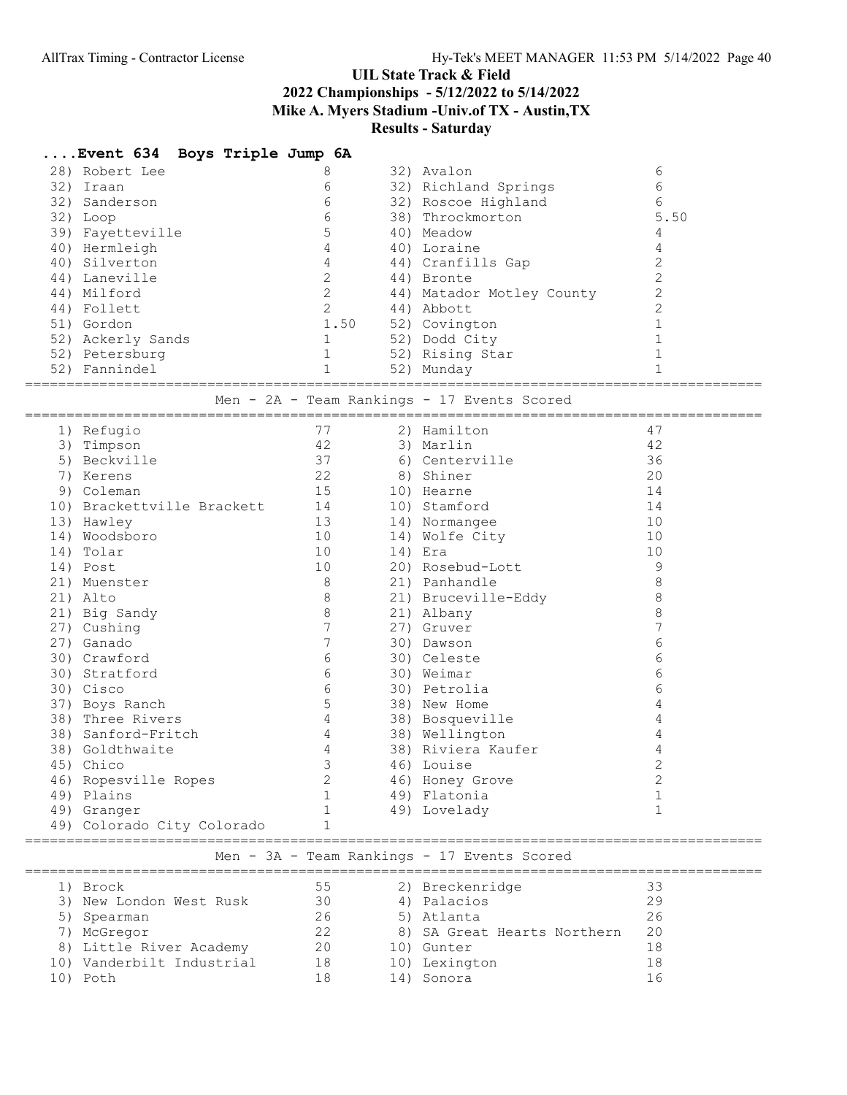|     | Event 634 Boys Triple Jump 6A        |                                         |                                             |                |
|-----|--------------------------------------|-----------------------------------------|---------------------------------------------|----------------|
|     | 28) Robert Lee                       | 8                                       | 32) Avalon                                  | 6              |
|     | 32) Iraan                            | 6                                       | 32) Richland Springs                        | 6              |
|     | 32) Sanderson                        | 6                                       | 32) Roscoe Highland                         | 6              |
|     | 32) Loop                             | 6                                       | 38) Throckmorton                            | 5.50           |
|     | 39) Fayetteville                     | $\mathsf S$                             | 40) Meadow                                  | 4              |
|     | 40) Hermleigh                        | $\overline{4}$                          | 40) Loraine                                 | 4              |
|     | 40) Silverton                        | 4                                       | 44) Cranfills Gap                           | $\overline{2}$ |
|     | 44) Laneville                        | $\overline{2}$                          | 44) Bronte                                  | $\overline{c}$ |
|     | 44) Milford                          | $\overline{2}$                          | 44) Matador Motley County                   | $\overline{c}$ |
|     | 44) Follett                          | $2^{\circ}$                             | 44) Abbott                                  | $\overline{2}$ |
|     | 51) Gordon                           | 1.50                                    | 52) Covington                               | $\mathbf{1}$   |
|     | 52) Ackerly Sands                    | $\mathbf{1}$                            | 52) Dodd City                               | $\mathbf{1}$   |
|     | 52) Petersburg                       | 1                                       | 52) Rising Star                             | $\mathbf{1}$   |
|     | 52) Fannindel                        | $\mathbf{1}$                            | 52) Munday                                  | $\mathbf{1}$   |
|     |                                      |                                         |                                             |                |
|     |                                      |                                         | Men - 2A - Team Rankings - 17 Events Scored |                |
|     |                                      |                                         |                                             |                |
|     | 1) Refugio                           | 77                                      | 2) Hamilton                                 | 47             |
|     | 3) Timpson                           | 42                                      | 3) Marlin                                   | 42             |
|     | 5) Beckville                         | 37                                      | 6) Centerville                              | 36             |
|     | 7) Kerens                            | $\begin{array}{c} 22 \\ 15 \end{array}$ | 8) Shiner                                   | 20             |
|     | 9) Coleman                           |                                         | 10) Hearne                                  | 14             |
|     | 10) Brackettville Brackett 14        |                                         | 10) Stamford                                | 14             |
|     | 13) Hawley                           | 13                                      | 14) Normangee                               | 10             |
|     | 14) Woodsboro                        | 10                                      | 14) Wolfe City                              | 10             |
| 14) | Tolar                                | 10                                      | 14) Era                                     | 10             |
|     | 14) Post                             | 10                                      | 20) Rosebud-Lott                            | - 9            |
|     | 21) Muenster                         | - 8                                     | 21) Panhandle                               | 8              |
|     | 21) Alto                             | 8                                       | 21) Bruceville-Eddy                         | 8              |
|     | 21) Big Sandy                        | 8                                       | 21) Albany                                  | 8              |
|     | 27) Cushing                          | 7                                       | 27) Gruver                                  | 7              |
|     | 27) Ganado                           | 7                                       | 30) Dawson                                  | 6              |
|     | 30) Crawford                         | 6                                       | 30) Celeste                                 | 6              |
|     | 30) Stratford                        | $6\,$                                   | 30) Weimar                                  | 6              |
|     | 30) Cisco                            | 6                                       | 30) Petrolia                                | 6              |
|     | 37) Boys Ranch                       | 5                                       | 38) New Home                                | 4              |
|     | 38) Three Rivers                     | 4                                       | 38) Bosqueville                             | 4              |
|     | 38) Sanford-Fritch                   | 4                                       | 38) Wellington                              | 4              |
|     | 38) Goldthwaite                      | $\overline{4}$                          | 38) Riviera Kaufer                          | 4              |
|     | 45) Chico                            | $\overline{\mathbf{3}}$                 | 46) Louise                                  | $\overline{c}$ |
|     | 46) Ropesville Ropes                 | 2                                       | 46) Honey Grove                             | 2              |
|     | 49) Plains                           |                                         | 49) Flatonia                                | 1              |
|     | 49) Granger                          |                                         | 49) Lovelady                                | $\mathbf{1}$   |
|     | 49) Colorado City Colorado           |                                         |                                             |                |
|     | ==================================== |                                         |                                             |                |
|     |                                      |                                         | Men - 3A - Team Rankings - 17 Events Scored |                |
|     | 1) Brock                             | 55                                      | 2) Breckenridge                             | 33             |
|     | 3) New London West Rusk              | 30                                      | 4) Palacios                                 | 29             |
|     |                                      | 26                                      |                                             | 26             |
|     | 5) Spearman                          | 22                                      | 5) Atlanta                                  | 20             |
|     | 7) McGregor                          |                                         | 8) SA Great Hearts Northern                 |                |
|     | 8) Little River Academy              | 20                                      | 10) Gunter                                  | 18             |
|     | 10) Vanderbilt Industrial            | 18                                      | 10) Lexington                               | 18             |
|     | 10) Poth                             | 18                                      | 14) Sonora                                  | 16             |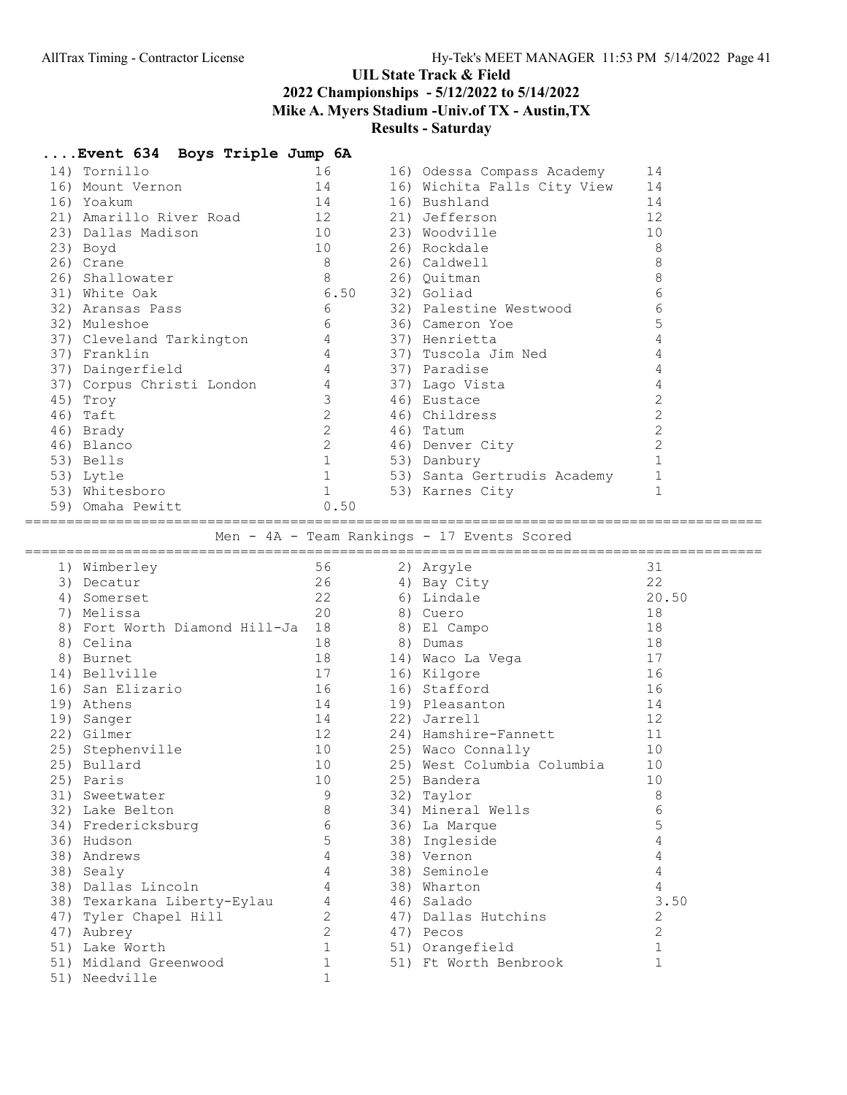| 14) Tornillo                                             | 16                         | 16) Odessa Compass Academy                  | 14             |
|----------------------------------------------------------|----------------------------|---------------------------------------------|----------------|
| 16) Mount Vernon                                         | 14                         | 16) Wichita Falls City View                 | 14             |
| 16) Yoakum                                               | 14                         | 16) Bushland                                | 14             |
| 21) Amarillo River Road 12                               |                            | 21) Jefferson                               | 12             |
| 23) Dallas Madison                                       | 10                         | 23) Woodville                               | 10             |
| 23) Boyd                                                 | 10                         | 26) Rockdale                                | 8              |
| 26) Crane                                                | 8                          | 26) Caldwell                                | 8              |
| 26) Shallowater                                          | 8                          | 26) Quitman                                 | 8              |
| 31) White Oak                                            | 6.50                       | 32) Goliad                                  | 6              |
| 32) Aransas Pass                                         | 6                          | 32) Palestine Westwood                      | 6              |
| 32) Muleshoe                                             | 6                          | 36) Cameron Yoe                             | 5              |
|                                                          | $\overline{4}$             | 37) Henrietta                               | 4              |
| 37) Cleveland Tarkington<br>37) Franklin<br>37) Franklin | 4                          | 37) Tuscola Jim Ned                         | 4              |
| 37) Daingerfield                                         | $\overline{4}$             | 37) Paradise                                | 4              |
| 37) Corpus Christi London                                | 4                          | 37) Lago Vista                              | $\overline{4}$ |
| 45) Troy                                                 | $\mathcal{S}$              | 46) Eustace                                 | $\overline{2}$ |
| 46) Taft                                                 | $2^{\circ}$                | 46) Childress                               | $\overline{c}$ |
| 46) Brady                                                | $\mathbf{2}$               | 46) Tatum                                   | $\overline{c}$ |
| 46) Blanco                                               | $\overline{2}$             | 46) Denver City                             | $\overline{c}$ |
| 53) Bells                                                | $\mathbf{1}$               | 53) Danbury                                 | $\mathbf{1}$   |
|                                                          | $\mathbf{1}$               | 53) Santa Gertrudis Academy                 | $\mathbf{1}$   |
| 53) Lytle<br>53) Whitesboro                              | $\mathbf{1}$               |                                             | $\mathbf{1}$   |
| 59) Omaha Pewitt                                         | 0.50                       | 53) Karnes City                             |                |
|                                                          |                            |                                             |                |
|                                                          |                            | Men - 4A - Team Rankings - 17 Events Scored |                |
|                                                          |                            |                                             |                |
| 1) Wimberley                                             | 56                         | 2) Argyle                                   | 31             |
| 3) Decatur                                               | 26                         | 4) Bay City                                 | 22             |
| 4) Somerset                                              | 22                         | 6) Lindale                                  | 20.50          |
|                                                          |                            |                                             |                |
|                                                          |                            |                                             |                |
| 7) Melissa                                               | 20                         | 8) Cuero                                    | 18             |
| 8) Fort Worth Diamond Hill-Ja 18                         |                            | 8) El Campo                                 | 18             |
| 8) Celina                                                | 18                         | 8) Dumas                                    | 18             |
| 8) Burnet                                                | 18                         | 14) Waco La Vega                            | 17             |
| 14) Bellville                                            | 17                         | 16) Kilgore                                 | 16             |
| 16) San Elizario                                         | 16                         | 16) Stafford                                | 16             |
| 19) Athens                                               | 14                         | 19) Pleasanton                              | 14             |
| 19) Sanger                                               | 14                         | 22) Jarrell                                 | 12             |
| 22) Gilmer                                               | 12                         | 24) Hamshire-Fannett                        | 11             |
| 25) Stephenville                                         | 10                         | 25) Waco Connally                           | 10             |
| 25) Bullard                                              | 10                         | 25) West Columbia Columbia                  | 10             |
| 25) Paris                                                | 10                         | 25) Bandera                                 | 10             |
| 31) Sweetwater                                           | 9                          | 32) Taylor                                  | 8              |
| 32) Lake Belton                                          | 8                          | 34) Mineral Wells                           | 6              |
| 34) Fredericksburg                                       | 6                          | 36) La Marque                               | 5              |
| 36) Hudson                                               | 5                          | 38) Ingleside                               | 4              |
| 38) Andrews                                              | 4                          | 38) Vernon                                  | $\overline{4}$ |
| 38) Sealy                                                | 4                          | 38) Seminole                                | $\overline{4}$ |
| 38) Dallas Lincoln                                       | 4                          | 38) Wharton                                 | 4              |
| 38) Texarkana Liberty-Eylau                              | 4                          | 46) Salado                                  | 3.50           |
| 47) Tyler Chapel Hill                                    | 2                          | 47) Dallas Hutchins                         | 2              |
| 47) Aubrey                                               | $\overline{c}$             | 47) Pecos                                   | 2              |
| 51) Lake Worth                                           | $\mathbf{1}$               | 51) Orangefield                             | $\mathbf{1}$   |
| 51) Midland Greenwood<br>51) Needville                   | $\mathbf 1$<br>$\mathbf 1$ | 51) Ft Worth Benbrook                       | $\mathbf{1}$   |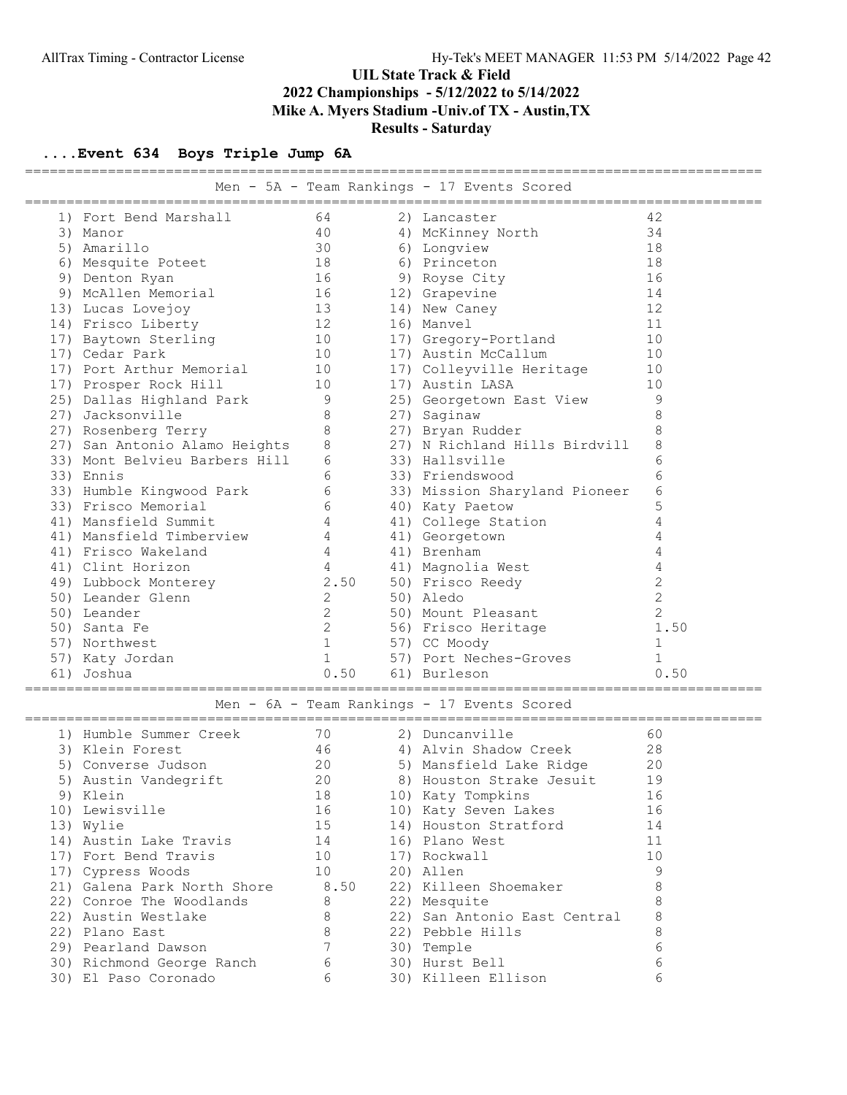| =======================<br>Men - 5A - Team Rankings - 17 Events Scored |                               |                |  |                               |                 |  |  |  |  |  |  |
|------------------------------------------------------------------------|-------------------------------|----------------|--|-------------------------------|-----------------|--|--|--|--|--|--|
|                                                                        | 1) Fort Bend Marshall         | 64             |  | 2) Lancaster                  | 42              |  |  |  |  |  |  |
|                                                                        | 3) Manor                      | 40             |  | 4) McKinney North             | 34              |  |  |  |  |  |  |
|                                                                        | 5) Amarillo                   | 30             |  | 6) Longview                   | 18              |  |  |  |  |  |  |
|                                                                        | 6) Mesquite Poteet            | 18             |  | 6) Princeton                  | 18              |  |  |  |  |  |  |
|                                                                        | 9) Denton Ryan                | 16             |  | 9) Royse City                 | 16              |  |  |  |  |  |  |
|                                                                        | 9) McAllen Memorial           | 16             |  | 12) Grapevine                 | 14              |  |  |  |  |  |  |
|                                                                        | 13) Lucas Lovejoy             | 13             |  | 14) New Caney                 | 12              |  |  |  |  |  |  |
|                                                                        | 14) Frisco Liberty            | 12             |  | 16) Manvel                    | 11              |  |  |  |  |  |  |
|                                                                        | 17) Baytown Sterling          | 10             |  | 17) Gregory-Portland          | 10              |  |  |  |  |  |  |
|                                                                        | 17) Cedar Park                | 10             |  | 17) Austin McCallum           | 10              |  |  |  |  |  |  |
|                                                                        | 17) Port Arthur Memorial      | 10             |  | 17) Colleyville Heritage      | 10              |  |  |  |  |  |  |
|                                                                        | 17) Prosper Rock Hill         | 10             |  | 17) Austin LASA               | 10              |  |  |  |  |  |  |
|                                                                        | 25) Dallas Highland Park      | 9              |  | 25) Georgetown East View      | 9               |  |  |  |  |  |  |
|                                                                        | 27) Jacksonville              | 8              |  | 27) Saginaw                   | 8               |  |  |  |  |  |  |
|                                                                        | 27) Rosenberg Terry           | 8              |  | 27) Bryan Rudder              | 8               |  |  |  |  |  |  |
|                                                                        | 27) San Antonio Alamo Heights | 8              |  | 27) N Richland Hills Birdvill | 8               |  |  |  |  |  |  |
|                                                                        | 33) Mont Belvieu Barbers Hill | 6              |  | 33) Hallsville                | 6               |  |  |  |  |  |  |
|                                                                        | 33) Ennis                     | 6              |  | 33) Friendswood               | 6               |  |  |  |  |  |  |
|                                                                        | 33) Humble Kingwood Park      | 6              |  | 33) Mission Sharyland Pioneer | $6\phantom{1}6$ |  |  |  |  |  |  |
|                                                                        | 33) Frisco Memorial           | 6              |  | 40) Katy Paetow               | 5               |  |  |  |  |  |  |
|                                                                        | 41) Mansfield Summit          | 4              |  | 41) College Station           | 4               |  |  |  |  |  |  |
|                                                                        | 41) Mansfield Timberview      | 4              |  | 41) Georgetown                | 4               |  |  |  |  |  |  |
|                                                                        | 41) Frisco Wakeland           | 4              |  | 41) Brenham                   | 4               |  |  |  |  |  |  |
|                                                                        | 41) Clint Horizon             | 4              |  | 41) Magnolia West             | 4               |  |  |  |  |  |  |
|                                                                        | 49) Lubbock Monterey          | 2.50           |  | 50) Frisco Reedy              | $\overline{c}$  |  |  |  |  |  |  |
|                                                                        | 50) Leander Glenn             | $\overline{2}$ |  | 50) Aledo                     | $\overline{c}$  |  |  |  |  |  |  |
|                                                                        | 50) Leander                   | $\overline{2}$ |  | 50) Mount Pleasant            | 2               |  |  |  |  |  |  |
|                                                                        | 50) Santa Fe                  | 2              |  | 56) Frisco Heritage           | 1.50            |  |  |  |  |  |  |
|                                                                        | 57) Northwest                 | $\mathbf{1}$   |  | 57) CC Moody                  | 1               |  |  |  |  |  |  |
|                                                                        | 57) Katy Jordan               | $\mathbf{1}$   |  | 57) Port Neches-Groves        | $\mathbf{1}$    |  |  |  |  |  |  |
|                                                                        | 61) Joshua                    | 0.50           |  | 61) Burleson                  | 0.50            |  |  |  |  |  |  |
| Men - 6A - Team Rankings - 17 Events Scored                            |                               |                |  |                               |                 |  |  |  |  |  |  |
|                                                                        | 1) Humble Summer Creek        | 70             |  | 2) Duncanville                | 60              |  |  |  |  |  |  |
|                                                                        | 3) Klein Forest               | 46             |  | 4) Alvin Shadow Creek         | 28              |  |  |  |  |  |  |
|                                                                        | 5) Converse Judson            | 20             |  | 5) Mansfield Lake Ridge       | 20              |  |  |  |  |  |  |
|                                                                        | 5) Austin Vandegrift          | 20             |  | 8) Houston Strake Jesuit      | 19              |  |  |  |  |  |  |
|                                                                        | 9) Klein                      | 18             |  | 10) Katy Tompkins             | 16              |  |  |  |  |  |  |
|                                                                        | 10) Lewisville                | 16             |  | 10) Katy Seven Lakes          | 16              |  |  |  |  |  |  |
|                                                                        | 13) Wylie                     | 15             |  | 14) Houston Stratford         | 14              |  |  |  |  |  |  |
|                                                                        | 14) Austin Lake Travis        | 14             |  | 16) Plano West                | 11              |  |  |  |  |  |  |
|                                                                        | 17) Fort Bend Travis          | 10             |  | 17) Rockwall                  | 10              |  |  |  |  |  |  |
|                                                                        | 17) Cypress Woods             | 10             |  | 20) Allen                     | 9               |  |  |  |  |  |  |
|                                                                        | 21) Galena Park North Shore   | 8.50           |  | 22) Killeen Shoemaker         | 8               |  |  |  |  |  |  |
|                                                                        | 22) Conroe The Woodlands      | 8              |  | 22) Mesquite                  | 8               |  |  |  |  |  |  |
|                                                                        | 22) Austin Westlake           | 8              |  | 22) San Antonio East Central  | 8               |  |  |  |  |  |  |
|                                                                        | 22) Plano East                | 8              |  | 22) Pebble Hills              | 8               |  |  |  |  |  |  |
|                                                                        | 29) Pearland Dawson           | 7              |  | 30) Temple                    | 6               |  |  |  |  |  |  |
|                                                                        | 30) Richmond George Ranch     | 6              |  | 30) Hurst Bell                | 6               |  |  |  |  |  |  |
|                                                                        | 30) El Paso Coronado          | 6              |  | 30) Killeen Ellison           | 6               |  |  |  |  |  |  |